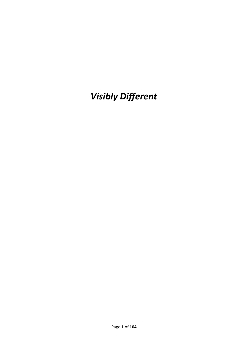*Visibly Different*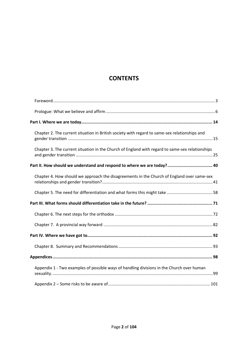# **CONTENTS**

| Chapter 2. The current situation in British society with regard to same-sex relationships and   |
|-------------------------------------------------------------------------------------------------|
| Chapter 3. The current situation in the Church of England with regard to same-sex relationships |
| Part II. How should we understand and respond to where we are today? 40                         |
| Chapter 4. How should we approach the disagreements in the Church of England over same-sex      |
|                                                                                                 |
|                                                                                                 |
|                                                                                                 |
|                                                                                                 |
|                                                                                                 |
|                                                                                                 |
|                                                                                                 |
| Appendix 1 - Two examples of possible ways of handling divisions in the Church over human       |
|                                                                                                 |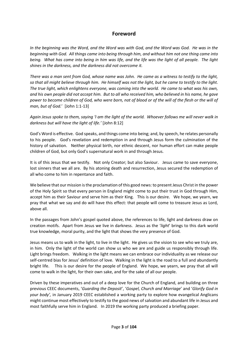# **Foreword**

<span id="page-2-0"></span>*In the beginning was the Word, and the Word was with God, and the Word was God. He was in the beginning with God. All things came into being through him, and without him not one thing came into being. What has come into being in him was life, and the life was the light of all people. The light shines in the darkness, and the darkness did not overcome it.*

*There was a man sent from God, whose name was John. He came as a witness to testify to the light, so that all might believe through him. He himself was not the light, but he came to testify to the light. The true light, which enlightens everyone, was coming into the world. He came to what was his own, and his own people did not accept him. But to all who received him, who believed in his name, he gave power to become children of God, who were born, not of blood or of the will of the flesh or the will of man, but of God.*' [John 1:1-13]

*Again Jesus spoke to them, saying 'I am the light of the world. Whoever follows me will never walk in darkness but will have the light of life.'* [John 8:12]

God's Word is effective. God speaks, and things come into being; and, by speech, he relates personally to his people. God's revelation and redemption in and through Jesus form the culmination of the history of salvation. Neither physical birth, nor ethnic descent, nor human effort can make people children of God, but only God's supernatural work in and through Jesus.

It is of this Jesus that we testify. Not only Creator; but also Saviour. Jesus came to save everyone, lost sinners that we all are. By his atoning death and resurrection, Jesus secured the redemption of all who come to him in repentance and faith.

We believe that our mission is the proclamation of this good news: to present Jesus Christ in the power of the Holy Spirit so that every person in England might come to put their trust in God through Him, accept him as their Saviour and serve him as their King. This is our desire. We hope, we yearn, we pray that what we say and do will have this effect: that people will come to treasure Jesus as Lord, above all.

In the passages from John's gospel quoted above, the references to life, light and darkness draw on creation motifs. Apart from Jesus we live in darkness. Jesus as the '*light*' brings to this dark world true knowledge, moral purity, and the light that shows the very presence of God.

Jesus means us to walk in the light, to live in the light. He gives us the vision to see who we truly are, in him. Only the light of the world can show us who we are and guide us responsibly through life. Light brings freedom. Walking in the light means we can embrace our individuality as we release our self-centred bias for Jesus' definition of love. Walking in the light is the road to a full and abundantly bright life. This is our desire for the people of England. We hope, we yearn, we pray that all will come to walk in the light, for their own sake, and for the sake of all our people.

Driven by these imperatives and out of a deep love for the Church of England, and building on three previous CEEC documents, '*Guarding the Deposit*', '*Gospel, Church and Marriage*' and '*Glorify God in your body',* in January 2019 CEEC established a working party to explore how evangelical Anglicans might continue most effectively to testify to the good news of salvation and abundant life in Jesus and most faithfully serve him in England. In 2019 the working party produced a briefing paper.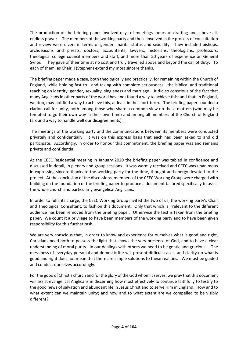The production of the briefing paper involved days of meetings, hours of drafting and, above all, endless prayer. The members of the working party and those involved in the process of consultation and review were divers in terms of gender, marital status and sexuality. They included bishops, archdeacons and priests, doctors, accountants, lawyers, historians, theologians, professors, theological college council members and staff, and more than 50 years of experience on General Synod. They gave of their time at no cost and truly travelled above and beyond the call of duty. To each of them, as Chair, I (Stephen) extend my most sincere thanks.

The briefing paper made a case, both theologically and practically, for remaining within the Church of England, while holding fast to—and taking with complete seriousness—the biblical and traditional teaching on identity, gender, sexuality, singleness and marriage. It did so conscious of the fact that many Anglicans in other parts of the world have not found a way to achieve this; and that, in England, we, too, may not find a way to achieve this, at least in the short-term. The briefing paper sounded a clarion call for unity, both among those who share a common view on these matters (who may be tempted to go their own way in their own time) and among all members of the Church of England (around a way to handle well our disagreements).

The meetings of the working party and the communications between its members were conducted privately and confidentially. It was on this express basis that each had been asked to and did participate. Accordingly, in order to honour this commitment, the briefing paper was and remains private and confidential.

At the CEEC Residential meeting in January 2020 the briefing paper was tabled in confidence and discussed in detail, in plenary and group sessions. It was warmly received and CEEC was unanimous in expressing sincere thanks to the working party for the time, thought and energy devoted to the project. At the conclusion of the discussions, members of the CEEC Working Group were charged with building on the foundation of the briefing paper to produce a document tailored specifically to assist the whole church and particularly evangelical Anglicans.

In order to fulfil its charge, the CEEC Working Group invited the two of us, the working party's Chair and Theological Consultant, to fashion this document. Only that which is irrelevant to the different audience has been removed from the briefing paper. Otherwise the text is taken from the briefing paper. We count it a privilege to have been members of the working party and to have been given responsibility for this further task.

We are very conscious that, in order to know and experience for ourselves what is good and right, Christians need both to possess the light that shows the very presence of God, and to have a clear understanding of moral purity. In our dealings with others we need to be gentle and gracious. The messiness of everyday personal and domestic life will present difficult cases, and clarity on what is good and right does not mean that there are simple solutions to these realities. We must be guided and conduct ourselves accordingly.

For the good of Christ's church and for the glory of the God whom it serves, we pray that this document will assist evangelical Anglicans in discerning how most effectively to continue faithfully to testify to the good news of salvation and abundant life in Jesus Christ and to serve Him in England. How and to what extent can we maintain unity; and how and to what extent are we compelled to be visibly different?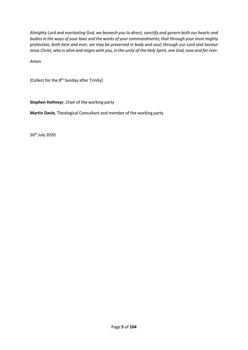*Almighty Lord and everlasting God, we beseech you to direct, sanctify and govern both our hearts and bodies in the ways of your laws and the works of your commandments; that through your most mighty protection, both here and ever, we may be preserved in body and soul; through our Lord and Saviour Jesus Christ, who is alive and reigns with you, in the unity of the Holy Spirit, one God, now and for ever.*

*Amen.*

[Collect for the 8<sup>th</sup> Sunday after Trinity]

**Stephen Hofmeyr**, Chair of the working party

**Martin Davie**, Theological Consultant and member of the working party

26<sup>th</sup> July 2020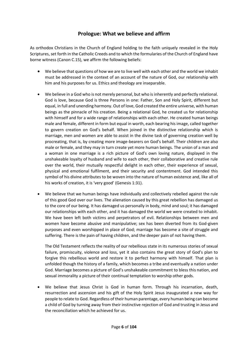# **Prologue: What we believe and affirm**

<span id="page-5-0"></span>As orthodox Christians in the Church of England holding to the faith uniquely revealed in the Holy Scriptures, set forth in the Catholic Creeds and to which the formularies of the Church of England have borne witness (Canon C.15), we affirm the following beliefs:

- We believe that questions of how we are to live well with each other and the world we inhabit must be addressed in the context of an account of the nature of God, our relationship with him and his purposes for us. Ethics and theology are inseparable.
- We believe in a God who is not merely personal, but who is inherently and perfectly relational. God is love, because God is three Persons in one: Father, Son and Holy Spirit, different but equal, in full and unending harmony. Out of love, God created the entire universe, with human beings as the pinnacle of his creation. Being a relational God, he created us for relationship with himself and for a wide range of relationships with each other. He created human beings male and female, different in form but equal in worth, each bearing his image, called together to govern creation on God's behalf. When joined in the distinctive relationship which is marriage, men and women are able to assist in the divine task of governing creation well by procreating, that is, by creating more image-bearers on God's behalf. Their children are also male or female, and they may in turn create yet more human beings. The union of a man and a woman in one marriage is a rich picture of God's own loving nature, displayed in the unshakeable loyalty of husband and wife to each other, their collaborative and creative rule over the world, their mutually respectful delight in each other, their experience of sexual, physical and emotional fulfilment, and their security and contentment. God intended this symbol of his divine attributes to be woven into the nature of human existence and, like all of his works of creation, it is 'very good' (Genesis 1:31).
- We believe that we human beings have individually and collectively rebelled against the rule of this good God over our lives. The alienation caused by this great rebellion has damaged us to the core of our being. It has damaged us personally in body, mind and soul; it has damaged our relationships with each other, and it has damaged the world we were created to inhabit. We have been left both victims and perpetrators of evil. Relationships between men and women have become abusive and manipulative; sex has been diverted from its God-given purposes and even worshipped in place of God; marriage has become a site of struggle and suffering. There is the pain of having children, and the deeper pain of not having them.

The Old Testament reflects the reality of our rebellious state in its numerous stories of sexual failure, promiscuity, violence and loss, yet it also contains the great story of God's plan to forgive this rebellious world and restore it to perfect harmony with himself. That plan is unfolded though the history of a family, which becomes a tribe and eventually a nation under God. Marriage becomes a picture of God's unshakeable commitment to bless this nation, and sexual immorality a picture of their continual temptation to worship other gods.

• We believe that Jesus Christ is God in human form. Through his incarnation, death, resurrection and ascension and his gift of the Holy Spirit Jesus inaugurated a new way for people to relate to God. Regardless of their human parentage, every human being can become a child of God by turning away from their instinctive rejection of God and trusting in Jesus and the reconciliation which he achieved for us.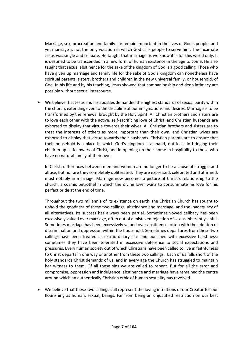Marriage, sex, procreation and family life remain important in the lives of God's people, and yet marriage is not the only vocation in which God calls people to serve him. The incarnate Jesus was single and celibate. He taught that marriage as we know it is for this world only. It is destined to be transcended in a new form of human existence in the age to come. He also taught that sexual abstinence for the sake of the kingdom of God is a good calling. Those who have given up marriage and family life for the sake of God's kingdom can nonetheless have spiritual parents, sisters, brothers and children in the new universal family, or household, of God. In his life and by his teaching, Jesus showed that companionship and deep intimacy are possible without sexual intercourse.

• We believe that Jesus and his apostles demanded the highest standards of sexual purity within the church, extending even to the discipline of our imaginations and desires. Marriage is to be transformed by the renewal brought by the Holy Spirit. All Christian brothers and sisters are to love each other with the active, self-sacrificing love of Christ, and Christian husbands are exhorted to display that virtue towards their wives. All Christian brothers and sisters are to treat the interests of others as more important than their own, and Christian wives are exhorted to display that virtue towards their husbands. Christian parents are to ensure that their household is a place in which God's kingdom is at hand, not least in bringing their children up as followers of Christ, and in opening up their home in hospitality to those who have no natural family of their own.

In Christ, differences between men and women are no longer to be a cause of struggle and abuse, but nor are they completely obliterated. They are expressed, celebrated and affirmed, most notably in marriage. Marriage now becomes a picture of Christ's relationship to the church, a cosmic betrothal in which the divine lover waits to consummate his love for his perfect bride at the end of time.

Throughout the two millennia of its existence on earth, the Christian Church has sought to uphold the goodness of these two callings: abstinence and marriage, and the inadequacy of all alternatives. Its success has always been partial. Sometimes vowed celibacy has been excessively valued over marriage, often out of a mistaken rejection of sex as inherently sinful. Sometimes marriage has been excessively valued over abstinence, often with the addition of discrimination and oppression within the household. Sometimes departures from these two callings have been treated as extraordinary sins and punished with excessive harshness; sometimes they have been tolerated in excessive deference to social expectations and pressures. Every human society out of which Christians have been called to live in faithfulness to Christ departs in one way or another from these two callings. Each of us falls short of the holy standards Christ demands of us, and in every age the Church has struggled to maintain her witness to them. Of all these sins we are called to repent. But for all the error and compromise, oppression and indulgence, abstinence and marriage have remained the centre around which an authentically Christian ethic of human sexuality has revolved.

• We believe that these two callings still represent the loving intentions of our Creator for our flourishing as human, sexual, beings. Far from being an unjustified restriction on our best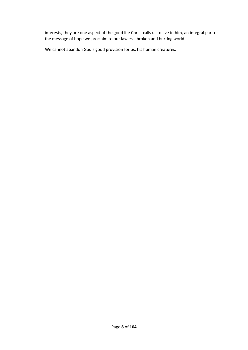interests, they are one aspect of the good life Christ calls us to live in him, an integral part of the message of hope we proclaim to our lawless, broken and hurting world.

We cannot abandon God's good provision for us, his human creatures.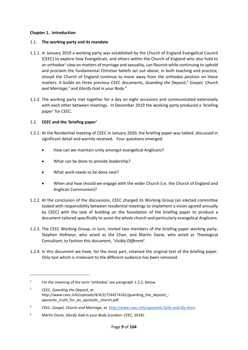# **Chapter 1. Introduction**

#### 1.1. **The working party and its mandate**

- 1.1.1. In January 2019 a working party was established by the Church of England Evangelical Council (CEEC) to explore how Evangelicals, and others within the Church of England who also hold to an orthodox<sup>1</sup> view on matters of marriage and sexuality, can flourish while continuing to uphold and proclaim the fundamental Christian beliefs set out above, in both teaching and practice, should the Church of England continue to move away from the orthodox position on these matters. It builds on three previous CEEC documents, *Guarding the Deposit*, <sup>2</sup> *Gospel, Church and Marriage,<sup>3</sup>* and *Glorify God in your Body*. 4
- 1.1.2. The working party met together for a day on eight occasions and communicated extensively with each other between meetings. In December 2019 the working party produced a 'briefing paper' for CEEC.

# 1.2. **CEEC and the 'briefing paper'**

- 1.2.1. At the Residential meeting of CEEC in January 2020, the briefing paper was tabled, discussed in significant detail and warmly received. Four questions emerged:
	- How can we maintain unity amongst evangelical Anglicans?
	- What can be done to provide leadership?
	- What work needs to be done next?
	- When and how should we engage with the wider Church (i.e. the Church of England and Anglican Communion)?
- 1.2.2. At the conclusion of the discussions, CEEC charged its Working Group (an elected committee tasked with responsibility between residential meetings to implement a vision agreed annually by CEEC) with the task of building on the foundation of the briefing paper to produce a document tailored specifically to assist the whole church and particularly evangelical Anglicans.
- 1.2.3. The CEEC Working Group, in turn, invited two members of the briefing paper working party, Stephen Hofmeyr, who acted as the Chair, and Martin Davie, who acted as Theological Consultant, to fashion this document, '*Visibly Different*'.
- 1.2.4. In this document we have, for the most part, retained the original text of the briefing paper. Only text which is irrelevant to the different audience has been removed.

<sup>1</sup> For the meaning of the term 'orthodox' see paragraph [1.5.2,](#page-11-0) below.

<sup>2</sup> CEEC, *Guarding the Deposit,* at http://www.ceec.info/uploads/4/4/2/7/44274161/guarding\_the\_deposit\_ apostolic\_truth\_for\_an\_apostolic\_church.pdf.

<sup>3</sup> CEEC, *Gospel, Church and Marriage,* at [http://www.ceec.info/apostolic-faith-and-life.html.](http://www.ceec.info/apostolic-faith-and-life.html)

<sup>4</sup> Martin Davie, *Glorify God in your Body* (London: CEEC, 2018).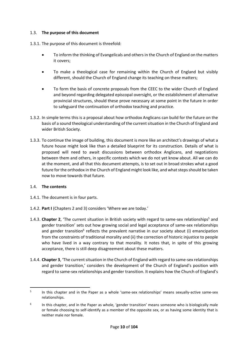# 1.3. **The purpose of this document**

1.3.1. The purpose of this document is threefold:

- To inform the thinking of Evangelicals and others in the Church of England on the matters it covers;
- To make a theological case for remaining within the Church of England but visibly different, should the Church of England change its teaching on these matters;
- To form the basis of concrete proposals from the CEEC to the wider Church of England and beyond regarding delegated episcopal oversight, or the establishment of alternative provincial structures, should these prove necessary at some point in the future in order to safeguard the continuation of orthodox teaching and practice.
- 1.3.2. In simple terms this is a proposal about how orthodox Anglicans can build for the future on the basis of a sound theological understanding of the current situation in the Church of England and wider British Society.
- 1.3.3. To continue the image of building, this document is more like an architect's drawings of what a future house might look like than a detailed blueprint for its construction. Details of what is proposed will need to await discussions between orthodox Anglicans, and negotiations between them and others, in specific contexts which we do not yet know about. All we can do at the moment, and all that this document attempts, is to set out in broad strokes what a good future for the orthodox in the Church of England might look like, and what steps should be taken now to move towards that future.

# 1.4. **The contents**

- 1.4.1. The document is in four parts.
- 1.4.2. **Part I** (Chapters 2 and 3) considers 'Where we are today.'
- 1.4.3. **Chapter 2**, 'The current situation in British society with regard to same-sex relationships<sup>5</sup> and gender transition' sets out how growing social and legal acceptance of same-sex relationships and gender transition<sup>6</sup> reflects the prevalent narrative in our society about (i) emancipation from the constraints of traditional morality and (ii) the correction of historic injustice to people who have lived in a way contrary to that morality. It notes that, in spite of this growing acceptance, there is still deep disagreement about these matters.
- 1.4.4. **Chapter 3**, 'The current situation in the Church of England with regard to same-sex relationships and gender transition,' considers the development of the Church of England's position with regard to same-sex relationships and gender transition. It explains how the Church of England's

<sup>5</sup> In this chapter and in the Paper as a whole 'same-sex relationships' means sexually-active same-sex relationships.

<sup>6</sup> In this chapter, and in the Paper as whole, 'gender transition' means someone who is biologically male or female choosing to self-identify as a member of the opposite sex, or as having some identity that is neither male nor female.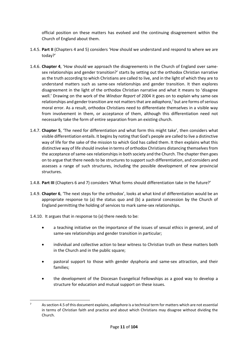official position on these matters has evolved and the continuing disagreement within the Church of England about them.

- 1.4.5. **Part II** (Chapters 4 and 5) considers 'How should we understand and respond to where we are today?'
- 1.4.6. **Chapter 4**, 'How should we approach the disagreements in the Church of England over samesex relationships and gender transition?' starts by setting out the orthodox Christian narrative as the truth according to which Christians are called to live, and in the light of which they are to understand matters such as same-sex relationships and gender transition. It then explores disagreement in the light of the orthodox Christian narrative and what it means to 'disagree well.' Drawing on the work of the *Windsor Report* of 2004 it goes on to explain why same-sex relationships and gender transition are not matters that are *adiaphora*, <sup>7</sup> but are forms of serious moral error. As a result, orthodox Christians need to differentiate themselves in a visible way from involvement in them, or acceptance of them, although this differentiation need not necessarily take the form of entire separation from an existing church.
- 1.4.7. **Chapter 5**, 'The need for differentiation and what form this might take', then considers what visible differentiation entails. It begins by noting that God's people are called to live a distinctive way of life for the sake of the mission to which God has called them. It then explains what this distinctive way of life should involve in terms of orthodox Christians distancing themselves from the acceptance of same-sex relationships in both society and the Church. The chapter then goes on to argue that there needs to be structures to support such differentiation, and considers and assesses a range of such structures, including the possible development of new provincial structures.
- 1.4.8. **Part III** (Chapters 6 and 7) considers 'What forms should differentiation take in the future?'
- 1.4.9. **Chapter 6**, 'The next steps for the orthodox', looks at what kind of differentiation would be an appropriate response to (a) the status quo and (b) a pastoral concession by the Church of England permitting the holding of services to mark same-sex relationships.
- 1.4.10. It argues that in response to (a) there needs to be:
	- a teaching initiative on the importance of the issues of sexual ethics in general, and of same-sex relationships and gender transition in particular;
	- individual and collective action to bear witness to Christian truth on these matters both in the Church and in the public square;
	- pastoral support to those with gender dysphoria and same-sex attraction, and their families;
	- the development of the Diocesan Evangelical Fellowships as a good way to develop a structure for education and mutual support on these issues.

<sup>7</sup> As section 4.5 of this document explains, *adiaphora* is a technical term for matters which are not essential in terms of Christian faith and practice and about which Christians may disagree without dividing the Church.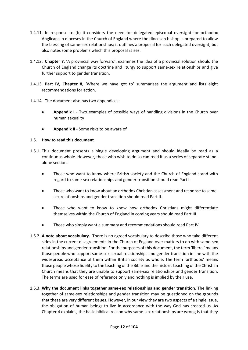- 1.4.11. In response to (b) it considers the need for delegated episcopal oversight for orthodox Anglicans in dioceses in the Church of England where the diocesan bishop is prepared to allow the blessing of same-sex relationships; it outlines a proposal for such delegated oversight, but also notes some problems which this proposal raises.
- 1.4.12. **Chapter 7**, 'A provincial way forward', examines the idea of a provincial solution should the Church of England change its doctrine and liturgy to support same-sex relationships and give further support to gender transition.
- 1.4.13. **Part IV**, **Chapter 8,** 'Where we have got to' summarises the argument and lists eight recommendations for action.
- 1.4.14. The document also has two appendices:
	- **Appendix I** Two examples of possible ways of handling divisions in the Church over human sexuality
	- **Appendix II** Some risks to be aware of

#### 1.5. **How to read this document**

- 1.5.1. This document presents a single developing argument and should ideally be read as a continuous whole. However, those who wish to do so can read it as a series of separate standalone sections.
	- Those who want to know where British society and the Church of England stand with regard to same-sex relationships and gender transition should read Part I.
	- Those who want to know about an orthodox Christian assessment and response to samesex relationships and gender transition should read Part II.
	- Those who want to know to know how orthodox Christians might differentiate themselves within the Church of England in coming years should read Part III.
	- Those who simply want a summary and recommendations should read Part IV.
- <span id="page-11-0"></span>1.5.2. **A note about vocabulary.** There is no agreed vocabulary to describe those who take different sides in the current disagreements in the Church of England over matters to do with same-sex relationships and gender transition. For the purposes of this document, the term 'liberal' means those people who support same-sex sexual relationships and gender transition in line with the widespread acceptance of them within British society as whole. The term 'orthodox' means those people whose fidelity to the teaching of the Bible and the historic teaching of the Christian Church means that they are unable to support same-sex relationships and gender transition. The terms are used for ease of reference only and nothing is implied by their use.
- 1.5.3. **Why the document links together same-sex relationships and gender transition**. The linking together of same-sex relationships and gender transition may be questioned on the grounds that these are very different issues. However, in our view they are two aspects of a single issue, the obligation of human beings to live in accordance with the way God has created us. As Chapter 4 explains, the basic biblical reason why same-sex relationships are wrong is that they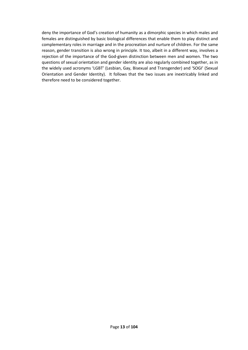deny the importance of God's creation of humanity as a dimorphic species in which males and females are distinguished by basic biological differences that enable them to play distinct and complementary roles in marriage and in the procreation and nurture of children. For the same reason, gender transition is also wrong in principle. It too, albeit in a different way, involves a rejection of the importance of the God-given distinction between men and women. The two questions of sexual orientation and gender identity are also regularly combined together, as in the widely used acronyms 'LGBT' (Lesbian, Gay, Bisexual and Transgender) and 'SOGI' (Sexual Orientation and Gender Identity). It follows that the two issues are inextricably linked and therefore need to be considered together.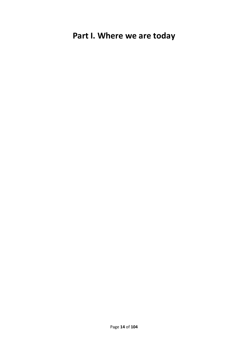# <span id="page-13-0"></span>**Part I. Where we are today**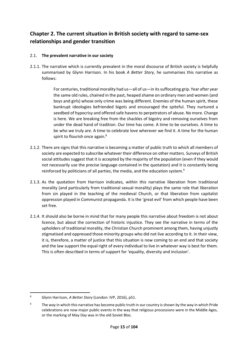# <span id="page-14-0"></span>**Chapter 2. The current situation in British society with regard to same-sex relationships and gender transition**

# 2.1. **The prevalent narrative in our society**

2.1.1. The narrative which is currently prevalent in the moral discourse of British society is helpfully summarised by Glynn Harrison. In his book *A Better Story*, he summarises this narrative as follows:

> For centuries, traditional morality had us—all of us—in its suffocating grip. Year after year the same old rules, chained in the past, heaped shame on ordinary men and women (and boys and girls) whose only crime was being different. Enemies of the human spirit, these bankrupt ideologies befriended bigots and encouraged the spiteful. They nurtured a seedbed of hypocrisy and offered safe havens to perpetrators of abuse. No more. Change is here. We are breaking free from the shackles of bigotry and removing ourselves from under the dead hand of tradition. Our time has come. A time to be ourselves. A time to be who we truly are. A time to celebrate love wherever we find it. A time for the human spirit to flourish once again.<sup>8</sup>

- 2.1.2. There are signs that this narrative is becoming a matter of public truth to which all members of society are expected to subscribe whatever their difference on other matters. Surveys of British social attitudes suggest that it is accepted by the majority of the population (even if they would not necessarily use the precise language contained in the quotation) and it is constantly being reinforced by politicians of all parties, the media, and the education system.<sup>9</sup>
- 2.1.3. As the quotation from Harrison indicates, within this narrative liberation from traditional morality (and particularly from traditional sexual morality) plays the same role that liberation from sin played in the teaching of the medieval Church, or that liberation from capitalist oppression played in Communist propaganda. It is the 'great evil' from which people have been set free.
- 2.1.4. It should also be borne in mind that for many people this narrative about freedom is not about licence, but about the correction of historic injustice. They see the narrative in terms of the upholders of traditional morality, the Christian Church prominent among them, having unjustly stigmatised and oppressed those minority groups who did not live according to it. In their view, it is, therefore, a matter of justice that this situation is now coming to an end and that society and the law support the equal right of every individual to live in whatever way is best for them. This is often described in terms of support for 'equality, diversity and inclusion'.

<sup>8</sup> Glynn Harrison, *A Better Story* (London: IVP, 2016), p51.

<sup>&</sup>lt;sup>9</sup> The way in which this narrative has become public truth in our country is shown by the way in which Pride celebrations are now major public events in the way that religious processions were in the Middle Ages, or the marking of May Day was in the old Soviet Bloc.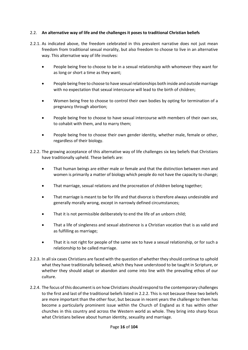# 2.2. **An alternative way of life and the challenges it poses to traditional Christian beliefs**

- 2.2.1. As indicated above, the freedom celebrated in this prevalent narrative does not just mean freedom from traditional sexual morality, but also freedom to choose to live in an alternative way. This alternative way of life involves:
	- People being free to choose to be in a sexual relationship with whomever they want for as long or short a time as they want;
	- People being free to choose to have sexual relationships both inside and outside marriage with no expectation that sexual intercourse will lead to the birth of children;
	- Women being free to choose to control their own bodies by opting for termination of a pregnancy through abortion;
	- People being free to choose to have sexual intercourse with members of their own sex, to cohabit with them, and to marry them;
	- People being free to choose their own gender identity, whether male, female or other, regardless of their biology.
- <span id="page-15-0"></span>2.2.2. The growing acceptance of this alternative way of life challenges six key beliefs that Christians have traditionally upheld. These beliefs are:
	- That human beings are either male or female and that the distinction between men and women is primarily a matter of biology which people do not have the capacity to change;
	- That marriage, sexual relations and the procreation of children belong together;
	- That marriage is meant to be for life and that divorce is therefore always undesirable and generally morally wrong, except in narrowly defined circumstances;
	- That it is not permissible deliberately to end the life of an unborn child;
	- That a life of singleness and sexual abstinence is a Christian vocation that is as valid and as fulfilling as marriage;
	- That it is not right for people of the same sex to have a sexual relationship, or for such a relationship to be called marriage.
- 2.2.3. In all six cases Christians are faced with the question of whether they should continue to uphold what they have traditionally believed, which they have understood to be taught in Scripture, or whether they should adapt or abandon and come into line with the prevailing ethos of our culture.
- 2.2.4. The focus of this document is on how Christians should respond to the contemporary challenges to the first and last of the traditional beliefs listed i[n 2.2.2.](#page-15-0) This is not because these two beliefs are more important than the other four, but because in recent years the challenge to them has become a particularly prominent issue within the Church of England as it has within other churches in this country and across the Western world as whole. They bring into sharp focus what Christians believe about human identity, sexuality and marriage.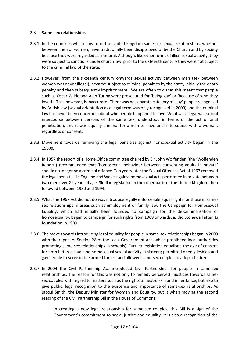#### 2.3. **Same-sex relationships**

- 2.3.1. In the countries which now form the United Kingdom same-sex sexual relationships, whether between men or women, have traditionally been disapproved of by the Church and by society because they were regarded as immoral. Although, like other forms of illicit sexual activity, they were subject to sanctions under church law, prior to the sixteenth century they were not subject to the criminal law of the state.
- 2.3.2. However, from the sixteenth century onwards sexual activity between men (sex between women was never illegal), became subject to criminal penalties by the state, initially the death penalty and then subsequently imprisonment. We are often told that this meant that people such as Oscar Wilde and Alan Turing were prosecuted for 'being gay' or 'because of who they loved.' This, however, is inaccurate. There was no separate category of 'gay' people recognised by British law (sexual orientation as a legal term was only recognised in 2000) and the criminal law has never been concerned about who people happened to love. What was illegal was sexual intercourse between persons of the same sex, understood in terms of the act of anal penetration, and it was equally criminal for a man to have anal intercourse with a woman, regardless of consent.
- 2.3.3. Movement towards removing the legal penalties against homosexual activity began in the 1950s.
- 2.3.4. In 1957 the report of a Home Office committee chaired by Sir John Wolfenden (the 'Wolfenden Report') recommended that 'homosexual behaviour between consenting adults in private' should no longer be a criminal offence. Ten years later the Sexual Offences Act of 1967 removed the legal penalties in England and Wales against homosexual acts performed in private between two men over 21 years of age. Similar legislation in the other parts of the United Kingdom then followed between 1980 and 1994.
- 2.3.5. What the 1967 Act did not do was introduce legally enforceable equal rights for those in samesex relationships in areas such as employment or family law. The Campaign for Homosexual Equality, which had initially been founded to campaign for the de-criminalisation of homosexuality, began to campaign for such rights from 1969 onwards, as did Stonewall after its foundation in 1989.
- 2.3.6. The move towards introducing legal equality for people in same-sex relationships began in 2000 with the repeal of Section 28 of the Local Government Act (which prohibited local authorities promoting same-sex relationships in schools). Further legislation equalised the age of consent for both heterosexual and homosexual sexual activity at sixteen; permitted openly lesbian and gay people to serve in the armed forces; and allowed same-sex couples to adopt children.
- 2.3.7. In 2004 the Civil Partnership Act introduced Civil Partnerships for people in same-sex relationships. The reason for this was not only to remedy perceived injustices towards samesex couples with regard to matters such as the rights of next-of-kin and inheritance, but also to give public, legal recognition to the existence and importance of same-sex relationships. As Jacqui Smith, the Deputy Minister for Women and Equality, put it when moving the second reading of the Civil Partnership Bill in the House of Commons:

In creating a new legal relationship for same-sex couples, this Bill is a sign of the Government's commitment to social justice and equality. It is also a recognition of the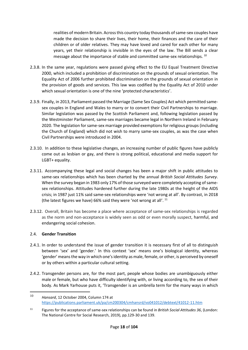realities of modern Britain. Across this country today thousands of same-sex couples have made the decision to share their lives, their home, their finances and the care of their children or of older relatives. They may have loved and cared for each other for many years, yet their relationship is invisible in the eyes of the law. The Bill sends a clear message about the importance of stable and committed same-sex relationships.<sup>10</sup>

- 2.3.8. In the same year, regulations were passed giving effect to the EU Equal Treatment Directive 2000, which included a prohibition of discrimination on the grounds of sexual orientation. The Equality Act of 2006 further prohibited discrimination on the grounds of sexual orientation in the provision of goods and services. This law was codified by the Equality Act of 2010 under which sexual orientation is one of the nine 'protected characteristics'.
- 2.3.9. Finally, in 2013, Parliament passed the Marriage (Same Sex Couples) Act which permitted samesex couples in England and Wales to marry or to convert their Civil Partnerships to marriage. Similar legislation was passed by the Scottish Parliament and, following legislation passed by the Westminster Parliament, same-sex marriages became legal in Northern Ireland in February 2020. The legislation for same-sex marriage provided exemptions for religious groups (including the Church of England) which did not wish to marry same-sex couples, as was the case when Civil Partnerships were introduced in 2004.
- 2.3.10. In addition to these legislative changes, an increasing number of public figures have publicly come out as lesbian or gay, and there is strong political, educational and media support for LGBT+ equality.
- 2.3.11. Accompanying these legal and social changes has been a major shift in public attitudes to same-sex relationships which has been charted by the annual *British Social Attitudes Survey*. When the survey began in 1983 only 17% of those surveyed were completely accepting of samesex relationships. Attitudes hardened further during the late 1980s at the height of the AIDS crisis; in 1987 just 11% said same-sex relationships were 'not wrong at all'. By contrast, in 2018 (the latest figures we have) 66% said they were 'not wrong at all'.  $^{11}$
- 2.3.12. Overall, Britain has become a place where acceptance of same-sex relationships is regarded as the norm and non-acceptance is widely seen as odd or even morally suspect, harmful, and endangering social cohesion.

# 2.4. **Gender Transition**

- 2.4.1. In order to understand the issue of gender transition it is necessary first of all to distinguish between 'sex' and 'gender.' In this context 'sex' means one's biological identity, whereas 'gender' means the way in which one's identity as male, female, or other, is perceived by oneself or by others within a particular cultural setting.
- 2.4.2. Transgender persons are, for the most part, people whose bodies are unambiguously either male or female, but who have difficulty identifying with, or living according to, the sex of their body. As Mark Yarhouse puts it, 'Transgender is an umbrella term for the many ways in which

<sup>10</sup> *Hansard*, 12 October 2004, Column 174 at <https://publications.parliament.uk/pa/cm200304/cmhansrd/vo041012/debtext/41012-11.htm>

<sup>11</sup> Figures for the acceptance of same-sex relationships can be found in *British Social Attitudes 36*, (London: The National Centre for Social Research, 2019), pp.129-30 and 139.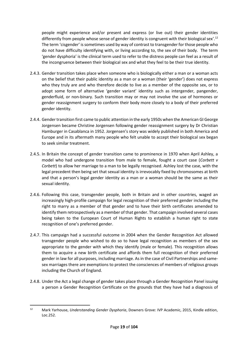people might experience and/or present and express (or live out) their gender identities differently from people whose sense of gender identity is congruent with their biological sex'.<sup>12</sup> The term 'cisgender' is sometimes used by way of contrast to transgender for those people who do not have difficulty identifying with, or living according to, the sex of their body. The term 'gender dysphoria' is the clinical term used to refer to the distress people can feel as a result of the incongruence between their biological sex and what they feel to be their true identity.

- 2.4.3. Gender transition takes place when someone who is biologically either a man or a woman acts on the belief that their public identity as a man or a woman (their 'gender') does not express who they truly are and who therefore decide to live as a member of the opposite sex, or to adopt some form of alternative 'gender variant' identity such as intergender, pangender, genderfluid, or non-binary. Such transition may or may not involve the use of hormones or gender reassignment surgery to conform their body more closely to a body of their preferred gender identity.
- 2.4.4. Gender transition first came to public attention in the early 1950s when the American GI George Jorgensen became Christine Jorgensen following gender reassignment surgery by Dr Christian Hamburger in Casablanca in 1952. Jorgensen's story was widely published in both America and Europe and in its aftermath many people who felt unable to accept their biological sex began to seek similar treatment.
- 2.4.5. In Britain the concept of gender transition came to prominence in 1970 when April Ashley, a model who had undergone transition from male to female, fought a court case (*Corbett v Corbett*) to allow her marriage to a man to be legally recognised. Ashley lost the case, with the legal precedent then being set that sexual identity is irrevocably fixed by chromosomes at birth and that a person's legal gender identity as a man or a woman should be the same as their sexual identity.
- 2.4.6. Following this case, transgender people, both in Britain and in other countries, waged an increasingly high-profile campaign for legal recognition of their preferred gender including the right to marry as a member of that gender and to have their birth certificates amended to identify them retrospectively as a member of that gender. That campaign involved several cases being taken to the European Court of Human Rights to establish a human right to state recognition of one's preferred gender.
- 2.4.7. This campaign had a successful outcome in 2004 when the Gender Recognition Act allowed transgender people who wished to do so to have legal recognition as members of the sex appropriate to the gender with which they identify (male or female). This recognition allows them to acquire a new birth certificate and affords them full recognition of their preferred gender in law for all purposes, including marriage. As in the case of Civil Partnerships and samesex marriages there are exemptions to protect the consciences of members of religious groups including the Church of England.
- 2.4.8. Under the Act a legal change of gender takes place through a Gender Recognition Panel issuing a person a Gender Recognition Certificate on the grounds that they have had a diagnosis of

<sup>12</sup> Mark Yarhouse, *Understanding Gender Dysphoria*, Downers Grove: IVP Academic, 2015, Kindle edition, Loc.252.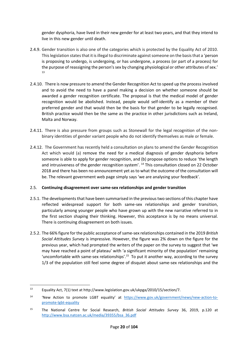gender dysphoria, have lived in their new gender for at least two years, and that they intend to live in this new gender until death.

- 2.4.9. Gender transition is also one of the categories which is protected by the Equality Act of 2010. This legislation states that it is illegal to discriminate against someone on the basis that a 'person is proposing to undergo, is undergoing, or has undergone, a process (or part of a process) for the purpose of reassigning the person's sex by changing physiological or other attributes of sex.' 13
- 2.4.10. There is now pressure to amend the Gender Recognition Act to speed up the process involved and to avoid the need to have a panel making a decision on whether someone should be awarded a gender recognition certificate. The proposal is that the medical model of gender recognition would be abolished. Instead, people would self-identify as a member of their preferred gender and that would then be the basis for that gender to be legally recognised. British practice would then be the same as the practice in other jurisdictions such as Ireland, Malta and Norway.
- 2.4.11. There is also pressure from groups such as Stonewall for the legal recognition of the nonbinary identities of gender variant people who do not identify themselves as male or female.
- 2.4.12. The Government has recently held a consultation on plans to amend the Gender Recognition Act which would (a) remove the need for a medical diagnosis of gender dysphoria before someone is able to apply for gender recognition, and (b) propose options to reduce 'the length and intrusiveness of the gender recognition system'. <sup>14</sup> This consultation closed on 22 October 2018 and there has been no announcement yet as to what the outcome of the consultation will be. The relevant government web page simply says 'we are analysing your feedback'.

# 2.5. **Continuing disagreement over same-sex relationships and gender transition**

- 2.5.1. The developments that have been summarised in the previous two sections of this chapter have reflected widespread support for both same-sex relationships and gender transition, particularly among younger people who have grown up with the new narrative referred to in the first section shaping their thinking. However, this acceptance is by no means universal. There is continuing disagreement on both issues.
- 2.5.2. The 66% figure for the public acceptance of same-sex relationships contained in the 2019 *British Social Attitudes Survey* is impressive. However, the figure was 2% down on the figure for the previous year, which had prompted the writers of the paper on the survey to suggest that 'we may have reached a point of plateau' with 'a significant minority of the population' remaining 'uncomfortable with same-sex relationships'.<sup>15</sup> To put it another way, according to the survey 1/3 of the population still feel some degree of disquiet about same-sex relationships and the

<sup>13</sup> Equality Act, 7(1) text at http://www.legislation.gov.uk/ukpga/2010/15/section/7.

<sup>14</sup> 'New Action to promote LGBT equality' at [https://www.gov.uk/government/news/new-action-to](https://www.gov.uk/government/news/new-action-to-promote-lgbt-equality)[promote-lgbt-equality](https://www.gov.uk/government/news/new-action-to-promote-lgbt-equality)

<sup>15</sup> The National Centre for Social Research, *British Social Attitudes Survey* 36, 2019, p.120 at [http://www.bsa.natcen.ac.uk/media/39355/bsa\\_36.pdf](http://www.bsa.natcen.ac.uk/media/39355/bsa_36.pdf)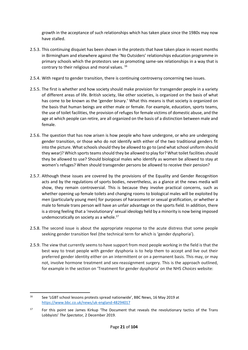growth in the acceptance of such relationships which has taken place since the 1980s may now have stalled.

- 2.5.3. This continuing disquiet has been shown in the protests that have taken place in recent months in Birmingham and elsewhere against the 'No Outsiders' relationships education programme in primary schools which the protestors see as promoting same-sex relationships in a way that is contrary to their religious and moral values. <sup>16</sup>
- 2.5.4. With regard to gender transition, there is continuing controversy concerning two issues.
- 2.5.5. The first is whether and how society should make provision for transgender people in a variety of different areas of life. British society, like other societies, is organized on the basis of what has come to be known as the 'gender binary.' What this means is that society is organized on the basis that human beings are either male or female. For example, education, sports teams, the use of toilet facilities, the provision of refuges for female victims of domestic abuse, and the age at which people can retire, are all organized on the basis of a distinction between male and female.
- 2.5.6. The question that has now arisen is how people who have undergone, or who are undergoing gender transition, or those who do not identify with either of the two traditional genders fit into the picture. What schools should they be allowed to go to (and what school uniform should they wear)? Which sports teams should they be allowed to play for? What toilet facilities should they be allowed to use? Should biological males who identify as women be allowed to stay at women's refuges? When should transgender persons be allowed to receive their pension?
- 2.5.7. Although these issues are covered by the provisions of the Equality and Gender Recognition acts and by the regulations of sports bodies, nevertheless, as a glance at the news media will show, they remain controversial. This is because they involve practical concerns, such as whether opening up female toilets and changing rooms to biological males will be exploited by men (particularly young men) for purposes of harassment or sexual gratification, or whether a male to female trans person will have an unfair advantage on the sports field. In addition, there is a strong feeling that a 'revolutionary' sexual ideology held by a minority is now being imposed undemocratically on society as a whole. $^{17}$
- 2.5.8. The second issue is about the appropriate response to the acute distress that some people seeking gender transition feel (the technical term for which is 'gender dysphoria').
- 2.5.9. The view that currently seems to have support from most people working in the field is that the best way to treat people with gender dysphoria is to help them to accept and live out their preferred gender identity either on an intermittent or on a permanent basis. This may, or may not, involve hormone treatment and sex-reassignment surgery. This is the approach outlined, for example in the section on 'Treatment for gender dysphoria' on the NHS *Choices* website:

<sup>16</sup> See 'LGBT school lessons protests spread nationwide', BBC News, 16 May 2019 at <https://www.bbc.co.uk/news/uk-england-48294017>

<sup>&</sup>lt;sup>17</sup> For this point see James Kirkup 'The Document that reveals the revolutionary tactics of the Trans Lobbyists' *The Spectator,* 2 December 2019.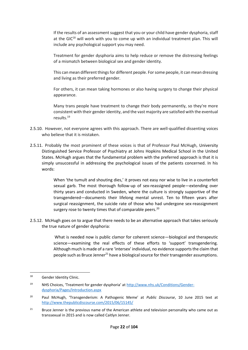If the results of an assessment suggest that you or your child have gender dysphoria, staff at the GIC $^{18}$  will work with you to come up with an individual treatment plan. This will include any psychological support you may need.

Treatment for gender dysphoria aims to help reduce or remove the distressing feelings of a mismatch between biological sex and gender identity.

This can mean different things for different people. For some people, it can mean dressing and living as their preferred gender.

For others, it can mean taking hormones or also having surgery to change their physical appearance.

Many trans people have treatment to change their body permanently, so they're more consistent with their gender identity, and the vast majority are satisfied with the eventual results.<sup>19</sup>

- 2.5.10. However, not everyone agrees with this approach. There are well-qualified dissenting voices who believe that it is mistaken.
- 2.5.11. Probably the most prominent of these voices is that of Professor Paul McHugh, University Distinguished Service Professor of Psychiatry at Johns Hopkins Medical School in the United States. McHugh argues that the fundamental problem with the preferred approach is that it is simply unsuccessful in addressing the psychological issues of the patients concerned. In his words:

When 'the tumult and shouting dies,' it proves not easy nor wise to live in a counterfeit sexual garb. The most thorough follow-up of sex-reassigned people—extending over thirty years and conducted in Sweden, where the culture is strongly supportive of the transgendered—documents their lifelong mental unrest. Ten to fifteen years after surgical reassignment, the suicide rate of those who had undergone sex-reassignment surgery rose to twenty times that of comparable peers.<sup>20</sup>

2.5.12. McHugh goes on to argue that there needs to be an alternative approach that takes seriously the true nature of gender dysphoria:

> What is needed now is public clamor for coherent science—biological and therapeutic science—examining the real effects of these efforts to 'support' transgendering. Although much is made of a rare 'intersex' individual, no evidence supports the claim that people such as Bruce Jenner<sup>21</sup> have a biological source for their transgender assumptions.

<sup>18</sup> Gender Identity Clinic.

<sup>19</sup> NHS Choices, 'Treatment for gender dysphoria' at [http://www.nhs.uk/Conditions/Gender](http://www.nhs.uk/Conditions/Gender-dysphoria/Pages/Introduction.aspx)[dysphoria/Pages/Introduction.aspx](http://www.nhs.uk/Conditions/Gender-dysphoria/Pages/Introduction.aspx)

<sup>20</sup> Paul McHugh, 'Transgenderism: A Pathogenic Meme' at *Public Discourse*, 10 June 2015 text at <http://www.thepublicdiscourse.com/2015/06/15145/>

<sup>&</sup>lt;sup>21</sup> Bruce Jenner is the previous name of the American athlete and television personality who came out as transsexual in 2015 and is now called Caitlyn Jenner.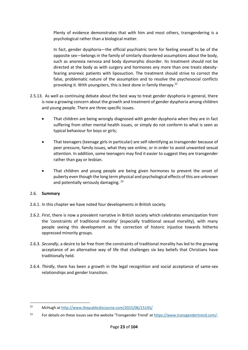Plenty of evidence demonstrates that with him and most others, transgendering is a psychological rather than a biological matter.

In fact, gender dysphoria—the official psychiatric term for feeling oneself to be of the opposite sex—belongs in the family of similarly disordered assumptions about the body, such as anorexia nervosa and body dysmorphic disorder. Its treatment should not be directed at the body as with surgery and hormones any more than one treats obesityfearing anorexic patients with liposuction. The treatment should strive to correct the false, problematic nature of the assumption and to resolve the psychosocial conflicts provoking it. With youngsters, this is best done in family therapy.<sup>22</sup>

- 2.5.13. As well as continuing debate about the best way to treat gender dysphoria in general, there is now a growing concern about the growth and treatment of gender dysphoria among children and young people. There are three specific issues.
	- That children are being wrongly diagnosed with gender dysphoria when they are in fact suffering from other mental health issues, or simply do not conform to what is seen as typical behaviour for boys or girls;
	- That teenagers (teenage girls in particular) are self-identifying as transgender because of peer pressure, family issues, what they see online, or in order to avoid unwanted sexual attention. In addition, some teenagers may find it easier to suggest they are transgender rather than gay or lesbian.
	- That children and young people are being given hormones to prevent the onset of puberty even though the long term physical and psychological effects of this are unknown and potentially seriously damaging. <sup>23</sup>

# 2.6. **Summary**

- 2.6.1. In this chapter we have noted four developments in British society.
- 2.6.2. *First*, there is now a prevalent narrative in British society which celebrates emancipation from the 'constraints of traditional morality' (especially traditional sexual morality), with many people seeing this development as the correction of historic injustice towards hitherto oppressed minority groups.
- 2.6.3. *Secondly*, a desire to be free from the constraints of traditional morality has led to the growing acceptance of an alternative way of life that challenges six key beliefs that Christians have traditionally held.
- 2.6.4. *Thirdly*, there has been a growth in the legal recognition and social acceptance of same-sex relationships and gender transition.

<sup>22</sup> McHugh at<http://www.thepublicdiscourse.com/2015/06/15145/>

<sup>&</sup>lt;sup>23</sup> For details on these issues see the website 'Transgender Trend' at [https://www.transgendertrend.com/.](https://www.transgendertrend.com/)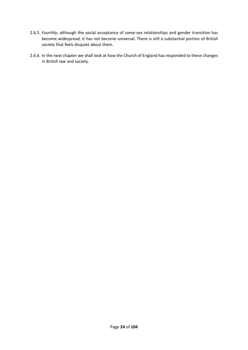- 2.6.5. *Fourthly*, although the social acceptance of same-sex relationships and gender transition has become widespread, it has not become universal. There is still a substantial portion of British society that feels disquiet about them.
- 2.6.6. In the next chapter we shall look at how the Church of England has responded to these changes in British law and society.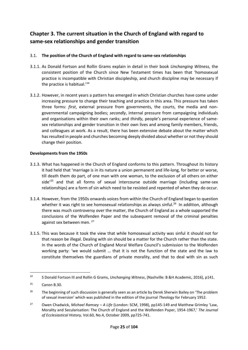# <span id="page-24-0"></span>**Chapter 3. The current situation in the Church of England with regard to same-sex relationships and gender transition**

# 3.1. **The position of the Church of England with regard to same-sex relationships**

- 3.1.1. As Donald Fortson and Rollin Grams explain in detail in their book *Unchanging Witness,* the consistent position of the Church since New Testament times has been that 'homosexual practice is incompatible with Christian discipleship, and church discipline may be necessary if the practice is habitual.'<sup>24</sup>
- 3.1.2. However, in recent years a pattern has emerged in which Christian churches have come under increasing pressure to change their teaching and practice in this area. This pressure has taken three forms: *first*, external pressure from governments, the courts, the media and nongovernmental campaigning bodies; *secondly*, internal pressure from campaigning individuals and organisations within their own ranks; and *thirdly,* people's personal experience of samesex relationships and gender transition in their own lives and among family members, friends, and colleagues at work. As a result, there has been extensive debate about the matter which has resulted in people and churches becoming deeply divided about whether or not they should change their position.

# **Developments from the 1950s**

- 3.1.3. What has happened in the Church of England conforms to this pattern. Throughout its history it had held that 'marriage is in its nature a union permanent and life-long, for better or worse, till death them do part, of one man with one woman, to the exclusion of all others on either side<sup>'25</sup> and that all forms of sexual intercourse outside marriage (including same-sex relationships) are a form of sin which need to be resisted and repented of when they do occur.
- 3.1.4. However, from the 1950s onwards voices from within the Church of England began to question whether it was right to see homosexual relationships as always sinful.<sup>26</sup> In addition, although there was much controversy over the matter, the Church of England as a whole supported the conclusions of the Wolfenden Paper and the subsequent removal of the criminal penalties against sex between men. <sup>27</sup>
- 3.1.5. This was because it took the view that while homosexual activity was sinful it should not for that reason be illegal. Dealing with sin should be a matter for the Church rather than the state. In the words of the Church of England Moral Welfare Council's submission to the Wolfenden working party: 'we would submit … that it is not the function of the state and the law to constitute themselves the guardians of private morality, and that to deal with sin as such

<sup>24</sup> S Donald Fortson III and Rollin G Grams, *Unchanging Witness*, (Nashville: B &H Academic, 2016), p141.

 $25$  Canon B.30.

<sup>&</sup>lt;sup>26</sup> The beginning of such discussion is generally seen as an article by Derek Sherwin Bailey on 'The problem of sexual inversion' which was published in the edition of the journal *Theology* for February 1952.

<sup>27</sup> Owen Chadwick, *Michael Ramsey – A Life* (London: SCM, 1998), pp145-149 and Matthew Grimley 'Law, Morality and Secularisation: The Church of England and the Wolfenden Paper, 1954-1967,' *The Journal of Ecclesiastical History,* Vol.60, No.4, October 2009, pp725-741.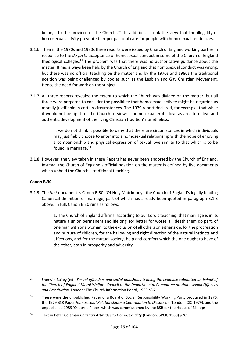belongs to the province of the Church'.<sup>28</sup> In addition, it took the view that the illegality of homosexual activity prevented proper pastoral care for people with homosexual tendencies.

- 3.1.6. Then in the 1970s and 1980s three reports were issued by Church of England working parties in response to the *de facto* acceptance of homosexual conduct in some of the Church of England theological colleges.<sup>29</sup> The problem was that there was no authoritative guidance about the matter. It had always been held by the Church of England that homosexual conduct was wrong, but there was no official teaching on the matter and by the 1970s and 1980s the traditional position was being challenged by bodies such as the Lesbian and Gay Christian Movement. Hence the need for work on the subject.
- 3.1.7. All three reports revealed the extent to which the Church was divided on the matter, but all three were prepared to consider the possibility that homosexual activity might be regarded as morally justifiable in certain circumstances. The 1979 report declared, for example, that while it would not be right for the Church to view: '…homosexual erotic love as an alternative and authentic development of the living Christian tradition' nonetheless:

… we do not think it possible to deny that there are circumstances in which individuals may justifiably choose to enter into a homosexual relationship with the hope of enjoying a companionship and physical expression of sexual love similar to that which is to be found in marriage.<sup>30</sup>

3.1.8. However, the view taken in these Papers has never been endorsed by the Church of England. Instead, the Church of England's official position on the matter is defined by five documents which uphold the Church's traditional teaching.

# **Canon B.30**

3.1.9. The *first* document is Canon B.30, 'Of Holy Matrimony,' the Church of England's legally binding Canonical definition of marriage, part of which has already been quoted in paragraph 3.1.3 above. In full, Canon B.30 runs as follows:

> 1. The Church of England affirms, according to our Lord's teaching, that marriage is in its nature a union permanent and lifelong, for better for worse, till death them do part, of one man with one woman, to the exclusion of all others on either side, for the procreation and nurture of children, for the hallowing and right direction of the natural instincts and affections, and for the mutual society, help and comfort which the one ought to have of the other, both in prosperity and adversity.

<sup>28</sup> Sherwin Bailey (ed.) *Sexual offenders and social punishment: being the evidence submitted on behalf of the Church of England Moral Welfare Council to the Departmental Committee on Homosexual Offences and Prostitution,* London: The Church Information Board, 1956 p36.

<sup>&</sup>lt;sup>29</sup> These were the unpublished Paper of a Board of Social Responsibility Working Party produced in 1970, the 1979 BSR Paper *Homosexual Relationships– a Contribution to Discussion* (London: CIO 1979), and the unpublished 1989 'Osborne Paper' which was commissioned by the BSR for the House of Bishops.

<sup>30</sup> Text in Peter Coleman *Christian Attitudes to Homosexuality* (London: SPCK, 1980) p269.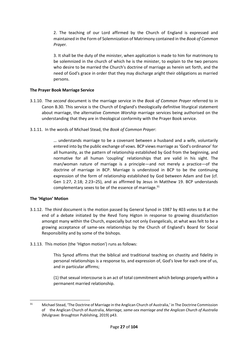2. The teaching of our Lord affirmed by the Church of England is expressed and maintained in the Form of Solemnization of Matrimony contained in the *Book of Common Prayer.*

3. It shall be the duty of the minister, when application is made to him for matrimony to be solemnized in the church of which he is the minister, to explain to the two persons who desire to be married the Church's doctrine of marriage as herein set forth, and the need of God's grace in order that they may discharge aright their obligations as married persons.

# **The Prayer Book Marriage Service**

- 3.1.10. The *second* document is the marriage service in the *Book of Common Prayer* referred to in Canon B.30. This service is the Church of England's theologically definitive liturgical statement about marriage, the alternative *Common Worship* marriage services being authorised on the understanding that they are in theological conformity with the Prayer Book service.
- 3.1.11. In the words of Michael Stead, the *Book of Common Prayer*:

… understands marriage to be a covenant between a husband and a wife, voluntarily entered into by the public exchange of vows. BCP views marriage as 'God's ordinance' for all humanity, as the pattern of relationship established by God from the beginning, and normative for all human 'coupling' relationships that are valid in his sight. The man/woman nature of marriage is a principle—and not merely a practice—of the doctrine of marriage in BCP. Marriage is understood in BCP to be the continuing expression of the form of relationship established by God between Adam and Eve (cf. Gen 1:27, 2:18; 2:23–25), and as affirmed by Jesus in Matthew 19. BCP understands complementary sexes to be of the essence of marriage. $31$ 

# **The 'Higton' Motion**

- 3.1.12. The *third* document is the motion passed by General Synod in 1987 by 403 votes to 8 at the end of a debate initiated by the Revd Tony Higton in response to growing dissatisfaction amongst many within the Church, especially but not only Evangelicals, at what was felt to be a growing acceptance of same-sex relationships by the Church of England's Board for Social Responsibility and by some of the bishops.
- 3.1.13. This motion (the 'Higton motion') runs as follows:

This Synod affirms that the biblical and traditional teaching on chastity and fidelity in personal relationships is a response to, and expression of, God's love for each one of us, and in particular affirms;

(1) that sexual intercourse is an act of total commitment which belongs properly within a permanent married relationship.

<sup>&</sup>lt;sup>31</sup> Michael Stead, 'The Doctrine of Marriage in the Anglican Church of Australia,' in The Doctrine Commission of the Anglican Church of Australia, *Marriage, same-sex marriage and the Anglican Church of Australia* (Mulgrave: Broughton Publishing, 2019) p43.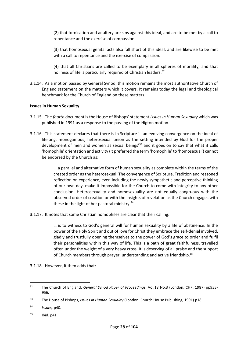(2) that fornication and adultery are sins against this ideal, and are to be met by a call to repentance and the exercise of compassion.

(3) that homosexual genital acts also fall short of this ideal, and are likewise to be met with a call to repentance and the exercise of compassion.

(4) that all Christians are called to be exemplary in all spheres of morality, and that holiness of life is particularly required of Christian leaders.<sup>32</sup>

3.1.14. As a motion passed by General Synod, this motion remains the most authoritative Church of England statement on the matters which it covers. It remains today the legal and theological benchmark for the Church of England on these matters.

#### **Issues in Human Sexuality**

- 3.1.15. The *fourth* document is the House of Bishops' statement *Issues in Human Sexuality* which was published in 1991 as a response to the passing of the Higton motion.
- 3.1.16. This statement declares that there is in Scripture '...an evolving convergence on the ideal of lifelong, monogamous, heterosexual union as the setting intended by God for the proper development of men and women as sexual beings<sup> $33$ </sup> and it goes on to say that what it calls 'homophile' orientation and activity (it preferred the term 'homophile' to 'homosexual') cannot be endorsed by the Church as:

… a parallel and alternative form of human sexuality as complete within the terms of the created order as the heterosexual. The convergence of Scripture, Tradition and reasoned reflection on experience, even including the newly sympathetic and perceptive thinking of our own day, make it impossible for the Church to come with integrity to any other conclusion. Heterosexuality and homosexuality are not equally congruous with the observed order of creation or with the insights of revelation as the Church engages with these in the light of her pastoral ministry.<sup>34</sup>

3.1.17. It notes that some Christian homophiles are clear that their calling:

… is to witness to God's general will for human sexuality by a life of abstinence. In the power of the Holy Spirit and out of love for Christ they embrace the self-denial involved, gladly and trustfully opening themselves to the power of God's grace to order and fulfil their personalities within this way of life. This is a path of great faithfulness, travelled often under the weight of a very heavy cross. It is deserving of all praise and the support of Church members through prayer, understanding and active friendship.<sup>35</sup>

3.1.18. However, it then adds that:

<sup>35</sup> Ibid. p41.

<sup>32</sup> The Church of England, *General Synod Paper of Proceedings,* Vol.18 No.3 (London: CHP, 1987) pp955- 956.

<sup>33</sup> The House of Bishops, *Issues in Human Sexuality* (London: Church House Publishing, 1991) p18.

<sup>34</sup> *Issues,* p40.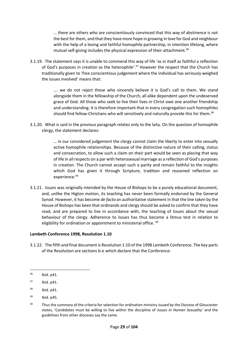… there are others who are conscientiously convinced that this way of abstinence is not the best for them, and that they have more hope in growing in love for God and neighbour with the help of a loving and faithful homophile partnership, in intention lifelong, where mutual self-giving includes the physical expression of their attachment.<sup>36</sup>

3.1.19. The statement says it is unable to commend this way of life 'as in itself as faithful a reflection of God's purposes in creation as the heterophile'.<sup>37</sup> However the respect that the Church has traditionally given to 'free conscientious judgement where the individual has seriously weighed the issues involved' means that:

> …. we do not reject those who sincerely believe it is God's call to them. We stand alongside them in the fellowship of the Church, all alike dependent upon the undeserved grace of God. All those who seek to live their lives in Christ owe one another friendship and understanding. It is therefore important that in every congregation such homophiles should find fellow-Christians who will sensitively and naturally provide this for them.<sup>38</sup>

3.1.20. What is said in the previous paragraph relates only to the laity. On the question of homophile clergy, the statement declares:

> … in our considered judgement the clergy cannot claim the liberty to enter into sexually active homophile relationships. Because of the distinctive nature of their calling, status and consecration, to allow such a claim on their part would be seen as placing that way of life in all respects on a par with heterosexual marriage as a reflection of God's purposes in creation. The Church cannot accept such a parity and remain faithful to the insights which God has given it through Scripture, tradition and reasoned reflection on experience.<sup>39</sup>

3.1.21. *Issues* was originally intended by the House of Bishops to be a purely educational document, and, unlike the Higton motion, its teaching has never been formally endorsed by the General Synod. However, it has become *de facto* an authoritative statement in that the line taken by the House of Bishops has been that ordinands and clergy should be asked to confirm that they have read, and are prepared to live in accordance with, the teaching of *Issues* about the sexual behaviour of the clergy. Adherence to *Issues* has thus become a litmus test in relation to eligibility for ordination or appointment to ministerial office. <sup>40</sup>

# **Lambeth Conference 1998, Resolution 1.10**

3.1.22. The fifth and final document is Resolution 1:10 of the 1998 Lambeth Conference. The key parts of the Resolution are sections b-e which declare that the Conference:

<sup>39</sup> Ibid. p45.

<sup>36</sup> Ibid. p41.

 $37$  Ibid. p41.

<sup>38</sup> Ibid. p41.

<sup>&</sup>lt;sup>40</sup> Thus the summary of the criteria for selection for ordination ministry issued by the Diocese of Gloucester states, 'Candidates must be willing to live within the discipline of *Issues in Human Sexuality'* and the guidelines from other dioceses say the same.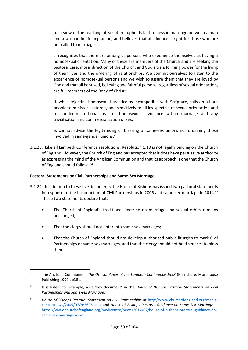b. in view of the teaching of Scripture, upholds faithfulness in marriage between a man and a woman in lifelong union, and believes that abstinence is right for those who are not called to marriage;

c. recognises that there are among us persons who experience themselves as having a homosexual orientation. Many of these are members of the Church and are seeking the pastoral care, moral direction of the Church, and God's transforming power for the living of their lives and the ordering of relationships. We commit ourselves to listen to the experience of homosexual persons and we wish to assure them that they are loved by God and that all baptised, believing and faithful persons, regardless of sexual orientation, are full members of the Body of Christ;

d. while rejecting homosexual practice as incompatible with Scripture, calls on all our people to minister pastorally and sensitively to all irrespective of sexual orientation and to condemn irrational fear of homosexuals, violence within marriage and any trivialisation and commercialisation of sex;

e. cannot advise the legitimising or blessing of same-sex unions nor ordaining those involved in same-gender unions. $41$ 

3.1.23. Like all Lambeth Conference resolutions, Resolution 1.10 is not legally binding on the Church of England. However, the Church of England has accepted that it does have persuasive authority as expressing the mind of the Anglican Communion and that its approach is one that the Church of England should follow. <sup>42</sup>

## **Pastoral Statements on Civil Partnerships and Same-Sex Marriage**

- 3.1.24. In addition to these five documents, the House of Bishops has issued two pastoral statements in response to the introduction of Civil Partnerships in 2005 and same-sex marriage in 2014.<sup>43</sup> These two statements declare that:
	- The Church of England's traditional doctrine on marriage and sexual ethics remains unchanged;
	- That the clergy should not enter into same-sex marriages;
	- That the Church of England should not develop authorised public liturgies to mark Civil Partnerships or same-sex marriages, and that the clergy should not hold services to bless them.

<sup>41</sup> The Anglican Communion, *The Official Paper of the Lambeth Conference 1998* (Harrisburg: Morehouse Publishing 1999), p381.

<sup>42</sup> It is listed, for example, as a 'key document' in the *House of Bishops Pastoral Statements on Civil Partnerships and Same-sex Marriage*.

<sup>43</sup> *House of Bishops Pastoral Statement on Civil Partnerships* at [http://www.churchofengland.org/media](http://www.churchofengland.org/media-%20centre/news/2005/07/pr5605.aspx)[centre/news/2005/07/pr5605.aspx](http://www.churchofengland.org/media-%20centre/news/2005/07/pr5605.aspx) and *House of Bishops Pastoral Guidance on Same-Sex Marriage* at [https://www.churchofengland.org/medicentre/news/2014/02/house-of-bishops-pastoral-guidance-on](https://www.churchofengland.org/medicentre/news/2014/02/house-of-bishops-pastoral-guidance-on-same-sex-marriage.aspx)[same-sex-marriage.aspx](https://www.churchofengland.org/medicentre/news/2014/02/house-of-bishops-pastoral-guidance-on-same-sex-marriage.aspx)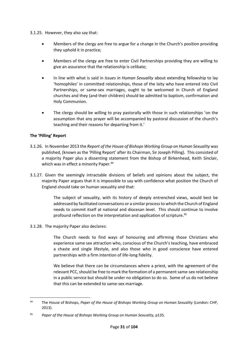#### 3.1.25. However, they also say that:

- Members of the clergy are free to argue for a change in the Church's position providing they uphold it in practice;
- Members of the clergy are free to enter Civil Partnerships providing they are willing to give an assurance that the relationship is celibate;
- In line with what is said in *Issues in Human Sexuality* about extending fellowship to lay 'homophiles' in committed relationships, those of the laity who have entered into Civil Partnerships, or same-sex marriages, ought to be welcomed in Church of England churches and they (and their children) should be admitted to baptism, confirmation and Holy Communion.
- The clergy should be willing to pray pastorally with those in such relationships 'on the assumption that any prayer will be accompanied by pastoral discussion of the church's teaching and their reasons for departing from it.'

# **The 'Pilling' Report**

- 3.1.26. In November 2013 the *Report of the House of Bishops Working Group on Human Sexuality* was published, (known as the 'Pilling Report' after its Chairman, Sir Joseph Pilling). This consisted of a majority Paper plus a dissenting statement from the Bishop of Birkenhead, Keith Sinclair, which was in effect a minority Paper.<sup>44</sup>
- 3.1.27. Given the seemingly intractable divisions of beliefs and opinions about the subject, the majority Paper argues that it is impossible to say with confidence what position the Church of England should take on human sexuality and that:

The subject of sexuality, with its history of deeply entrenched views, would best be addressed by facilitated conversations or a similar process to which the Church of England needs to commit itself at national and diocesan level. This should continue to involve profound reflection on the interpretation and application of scripture.<sup>45</sup>

3.1.28. The majority Paper also declares:

The Church needs to find ways of honouring and affirming those Christians who experience same sex attraction who, conscious of the Church's teaching, have embraced a chaste and single lifestyle, and also those who in good conscience have entered partnerships with a firm intention of life-long fidelity.

We believe that there can be circumstances where a priest, with the agreement of the relevant PCC, should be free to mark the formation of a permanent same-sex relationship in a public service but should be under no obligation to do so. Some of us do not believe that this can be extended to same-sex marriage.

<sup>44</sup> The House of Bishops, *Paper of the House of Bishops Working Group on Human Sexuality* (London: CHP, 2013).

<sup>45</sup> *Paper of the House of Bishops Working Group on Human Sexuality,* p135.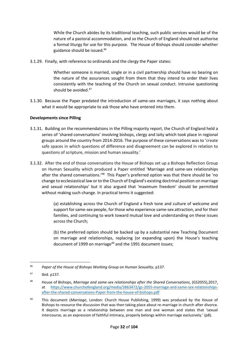While the Church abides by its traditional teaching, such public services would be of the nature of a pastoral accommodation, and so the Church of England should not authorise a formal liturgy for use for this purpose. The House of Bishops should consider whether guidance should be issued.<sup>46</sup>

3.1.29. Finally, with reference to ordinands and the clergy the Paper states:

Whether someone is married, single or in a civil partnership should have no bearing on the nature of the assurances sought from them that they intend to order their lives consistently with the teaching of the Church on sexual conduct. Intrusive questioning should be avoided.<sup>47</sup>

3.1.30. Because the Paper predated the introduction of same-sex marriages, it says nothing about what it would be appropriate to ask those who have entered into them.

# **Developments since Pilling**

- 3.1.31. Building on the recommendations in the Pilling majority report, the Church of England held a series of 'shared conversations' involving bishops, clergy and laity which took place in regional groups around the country from 2014-2016. The purpose of these conversations was to 'create safe spaces in which questions of difference and disagreement can be explored in relation to questions of scripture, mission and human sexuality.'
- 3.1.32. After the end of those conversations the House of Bishops set up a Bishops Reflection Group on Human Sexuality which produced a Paper entitled 'Marriage and same-sex relationships after the shared conversations.<sup>'48</sup> This Paper's preferred option was that there should be 'no change to ecclesiastical law or to the Church of England's existing doctrinal position on marriage and sexual relationships' but it also argued that 'maximum freedom' should be permitted without making such change. In practical terms it suggested:

(a) establishing across the Church of England a fresh tone and culture of welcome and support for same-sex people, for those who experience same-sex attraction, and for their families, and continuing to work toward mutual love and understanding on these issues across the Church;

(b) the preferred option should be backed up by a substantial new Teaching Document on marriage and relationships, replacing (or expanding upon) the House's teaching document of 1999 on marriage<sup>49</sup> and the 1991 document *Issues*;

<sup>46</sup> *Paper of the House of Bishops Working Group on Human Sexuality*, p137.

<sup>47</sup> Ibid. p137.

<sup>48</sup> House of Bishops, *Marriage and same-sex relationships after the Shared Conversations*, (GS2055),2017, at [https://www.churchofengland.org/media/3863472/gs-2055-marriage-and-same-sex-relationships](https://www.churchofengland.org/media/3863472/gs-2055-marriage-and-same-sex-relationships-after-the-shared-conversations-Paper-from-the-house-of-bishops.pdf)[after-the-shared-conversations-Paper-from-the-house-of-bishops.pdf](https://www.churchofengland.org/media/3863472/gs-2055-marriage-and-same-sex-relationships-after-the-shared-conversations-Paper-from-the-house-of-bishops.pdf)

<sup>49</sup> This document (*Marriage*, London: Church House Publishing, 1999) was produced by the House of Bishops to resource the discussion that was then taking place about re-marriage in church after divorce. It depicts marriage as a relationship between one man and one woman and states that 'sexual intercourse, as an expression of faithful intimacy, properly belongs within marriage exclusively.' (p8).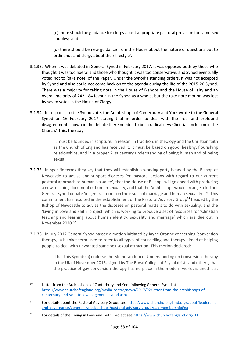(c) there should be guidance for clergy about appropriate pastoral provision for same-sex couples; and

(d) there should be new guidance from the House about the nature of questions put to ordinands and clergy about their lifestyle'.

- 3.1.33. When it was debated in General Synod in February 2017, it was opposed both by those who thought it was too liberal and those who thought it was too conservative, and Synod eventually voted not to 'take note' of the Paper. Under the Synod's standing orders, it was not accepted by Synod and also could not come back on to the agenda during the life of the 2015-20 Synod. There was a majority for taking note in the House of Bishops and the House of Laity and an overall majority of 242-184 favour in the Synod as a whole, but the take note motion was lost by seven votes in the House of Clergy.
- 3.1.34. In response to the Synod vote, the Archbishops of Canterbury and York wrote to the General Synod on 16 February 2017 stating that in order to deal with the 'real and profound disagreement' shown in the debate there needed to be 'a radical new Christian inclusion in the Church.' This, they say:

… must be founded in scripture, in reason, in tradition, in theology and the Christian faith as the Church of England has received it; it must be based on good, healthy, flourishing relationships, and in a proper 21st century understanding of being human and of being sexual.

- 3.1.35. In specific terms they say that they will establish a working party headed by the Bishop of Newcastle to advise and support dioceses 'on pastoral actions with regard to our current pastoral approach to human sexuality', that the House of Bishops will go ahead with producing a new teaching document of human sexuality, and that the Archbishops would arrange a further General Synod debate 'in general terms on the issues of marriage and human sexuality.' *<sup>50</sup>* This commitment has resulted in the establishment of the Pastoral Advisory Group<sup>51</sup> headed by the Bishop of Newcastle to advise the dioceses on pastoral matters to do with sexuality, and the 'Living in Love and Faith' project, which is working to produce a set of resources for 'Christian teaching and learning about human identity, sexuality and marriage' which are due out in November 2020.*<sup>52</sup>*
- 3.1.36. In July 2017 General Synod passed a motion initiated by Jayne Ozanne concerning 'conversion therapy,' a blanket term used to refer to all types of counselling and therapy aimed at helping people to deal with unwanted same-sex sexual attraction. This motion declared:

'That this Synod: (a) endorse the Memorandum of Understanding on Conversion Therapy in the UK of November 2015, signed by The Royal College of Psychiatrists and others, that the practice of gay conversion therapy has no place in the modern world, is unethical,

<sup>&</sup>lt;sup>50</sup> Letter from the Archbishops of Canterbury and York following General Synod at [https://www.churchofengland.org/media-centre/news/2017/02/letter-from-the-archbishops-of](https://www.churchofengland.org/media-centre/news/2017/02/letter-from-the-archbishops-of-canterbury-and-york-following-general-synod.aspx)[canterbury-and-york-following-general-synod.aspx](https://www.churchofengland.org/media-centre/news/2017/02/letter-from-the-archbishops-of-canterbury-and-york-following-general-synod.aspx)

<sup>51</sup> For details about the Pastoral Advisory Group see [https://www.churchofengland.org/about/leadership](https://www.churchofengland.org/about/leadership-and-governance/general-synod/bishops/pastoral-advisory-group/pag-membership#na)[and-governance/general-synod/bishops/pastoral-advisory-group/pag-membership#na](https://www.churchofengland.org/about/leadership-and-governance/general-synod/bishops/pastoral-advisory-group/pag-membership#na)

<sup>52</sup> For details of the 'Living in Love and Faith' project see <https://www.churchofengland.org/LLF>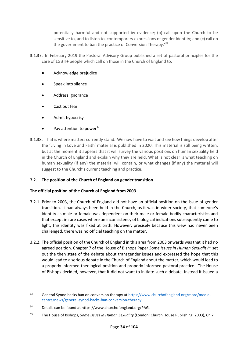potentially harmful and not supported by evidence; (b) call upon the Church to be sensitive to, and to listen to, contemporary expressions of gender identity; and (c) call on the government to ban the practice of Conversion Therapy.'*<sup>53</sup>*

- 3.1.37. In February 2019 the Pastoral Advisory Group published a set of pastoral principles for the care of LGBTI+ people which call on those in the Church of England to:
	- Acknowledge prejudice
	- Speak into silence
	- Address ignorance
	- Cast out fear
	- Admit hypocrisy
	- Pay attention to power<sup>54</sup>
- 3.1.38. That is where matters currently stand. We now have to wait and see how things develop after the 'Living in Love and Faith' material is published in 2020. This material is still being written, but at the moment it appears that it will survey the various positions on human sexuality held in the Church of England and explain why they are held. What is not clear is what teaching on human sexuality (if any) the material will contain, or what changes (if any) the material will suggest to the Church's current teaching and practice.

# 3.2. **The position of the Church of England on gender transition**

# **The official position of the Church of England from 2003**

- 3.2.1. Prior to 2003, the Church of England did not have an official position on the issue of gender transition. It had always been held in the Church, as it was in wider society, that someone's identity as male or female was dependent on their male or female bodily characteristics and that except in rare cases where an inconsistency of biological indications subsequently came to light, this identity was fixed at birth. However, precisely because this view had never been challenged, there was no official teaching on the matter.
- 3.2.2. The official position of the Church of England in this area from 2003 onwards was that it had no agreed position. Chapter 7 of the House of Bishops Paper *Some Issues in Human Sexuality<sup>55</sup>* set out the then state of the debate about transgender issues and expressed the hope that this would lead to a serious debate in the Church of England about the matter, which would lead to a properly informed theological position and properly informed pastoral practice. The House of Bishops decided, however, that it did not want to initiate such a debate. Instead it issued a

<sup>53</sup> General Synod backs ban on conversion therapy at [https://www.churchofengland.org/more/media](https://www.churchofengland.org/more/media-centre/news/general-synod-backs-ban-conversion-therapy)[centre/news/general-synod-backs-ban-conversion-therapy](https://www.churchofengland.org/more/media-centre/news/general-synod-backs-ban-conversion-therapy)

<sup>54</sup> Details can be found at https://www.churchofengland.org/PAG.

<sup>55</sup> The House of Bishops, *Some Issues in Human Sexuality* (London: Church House Publishing, 2003), Ch 7.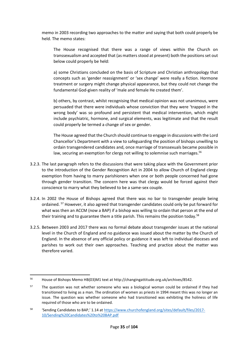memo in 2003 recording two approaches to the matter and saying that both could properly be held. The memo states:

The House recognised that there was a range of views within the Church on transsexualism and accepted that (as matters stood at present) both the positions set out below could properly be held:

a) some Christians concluded on the basis of Scripture and Christian anthropology that concepts such as 'gender reassignment' or 'sex change' were really a fiction. Hormone treatment or surgery might change physical appearance, but they could not change the fundamental God-given reality of 'male and female He created them'.

b) others, by contrast, whilst recognising that medical opinion was not unanimous, were persuaded that there were individuals whose conviction that they were 'trapped in the wrong body' was so profound and persistent that medical intervention, which might include psychiatric, hormone, and surgical elements, was legitimate and that the result could properly be termed a change of sex or gender.

The House agreed that the Church should continue to engage in discussions with the Lord Chancellor's Department with a view to safeguarding the position of bishops unwilling to ordain transgendered candidates and, once marriage of transsexuals became possible in law, securing an exemption for clergy not willing to solemnise such marriages.<sup>56</sup>

- 3.2.3. The last paragraph refers to the discussions that were taking place with the Government prior to the introduction of the Gender Recognition Act in 2004 to allow Church of England clergy exemption from having to marry parishioners when one or both people concerned had gone through gender transition. The concern here was that clergy would be forced against their conscience to marry what they believed to be a same-sex couple.
- 3.2.4. In 2002 the House of Bishops agreed that there was no bar to transgender people being ordained. <sup>57</sup> However, it also agreed that transgender candidates could only be put forward for what was then an ACCM (now a BAP) if a bishop was willing to ordain that person at the end of their training and to guarantee them a title parish. This remains the position today.<sup>58</sup>
- 3.2.5. Between 2003 and 2017 there was no formal debate about transgender issues at the national level in the Church of England and no guidance was issued about the matter by the Church of England. In the absence of any official policy or guidance it was left to individual dioceses and parishes to work out their own approaches. Teaching and practice about the matter was therefore varied.

<sup>56</sup> House of Bishops Memo HB(03)M1 text at http://changingattitude.org.uk/archives/8542.

 $57$  The question was not whether someone who was a biological woman could be ordained if they had transitioned to living as a man. The ordination of women as priests in 1994 meant this was no longer an issue. The question was whether someone who had transitioned was exhibiting the holiness of life required of those who are to be ordained.

<sup>58</sup> 'Sending Candidates to BAP,' 1.14 at [https://www.churchofengland.org/sites/default/files/2017-](https://www.churchofengland.org/sites/default/files/2017-10/Sending%20Candidates%20to%20BAP.pdf) [10/Sending%20Candidates%20to%20BAP.pdf](https://www.churchofengland.org/sites/default/files/2017-10/Sending%20Candidates%20to%20BAP.pdf)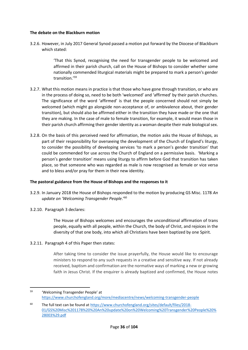#### **The debate on the Blackburn motion**

3.2.6. However, in July 2017 General Synod passed a motion put forward by the Diocese of Blackburn which stated:

> 'That this Synod, recognising the need for transgender people to be welcomed and affirmed in their parish church, call on the House of Bishops to consider whether some nationally commended liturgical materials might be prepared to mark a person's gender transition.'<sup>59</sup>

- 3.2.7. What this motion means in practice is that those who have gone through transition, or who are in the process of doing so, need to be both 'welcomed' and 'affirmed' by their parish churches. The significance of the word 'affirmed' is that the people concerned should not simply be welcomed (which might go alongside non-acceptance of, or ambivalence about, their gender transition), but should also be affirmed either in the transition they have made or the one that they are making. In the case of male to female transition, for example, it would mean those in their parish church affirming their gender identity as a woman despite their male biological sex.
- 3.2.8. On the basis of this perceived need for affirmation, the motion asks the House of Bishops, as part of their responsibility for overseeing the development of the Church of England's liturgy, to consider the possibility of developing services 'to mark a person's gender transition' that could be commended for use across the Church of England on a permissive basis. 'Marking a person's gender transition' means using liturgy to affirm before God that transition has taken place, so that someone who was regarded as male is now recognised as female or vice versa and to bless and/or pray for them in their new identity.

# **The pastoral guidance from the House of Bishops and the responses to it**

- 3.2.9. In January 2018 the House of Bishops responded to the motion by producing GS Misc. 1178 *An update on 'Welcoming Transgender People*.'<sup>60</sup>
- 3.2.10. Paragraph 3 declares:

The House of Bishops welcomes and encourages the unconditional affirmation of trans people, equally with all people, within the Church, the body of Christ, and rejoices in the diversity of that one body, into which all Christians have been baptized by one Spirit.

3.2.11. Paragraph 4 of this Paper then states:

After taking time to consider the issue prayerfully, the House would like to encourage ministers to respond to any such requests in a creative and sensitive way. If not already received, baptism and confirmation are the normative ways of marking a new or growing faith in Jesus Christ. If the enquirer is already baptized and confirmed, the House notes

<sup>59</sup> 'Welcoming Transgender People' at <https://www.churchofengland.org/more/mediacentre/news/welcoming-transgender-people>

<sup>&</sup>lt;sup>60</sup> The full text can be found at [https://www.churchofengland.org/sites/default/files/2018-](https://www.churchofengland.org/sites/default/files/2018-01/GS%20Misc%201178%20%20An%20update%20on%20Welcoming%20Transgender%20People%20%28003%29.pdf) [01/GS%20Misc%201178%20%20An%20update%20on%20Welcoming%20Transgender%20People%20%](https://www.churchofengland.org/sites/default/files/2018-01/GS%20Misc%201178%20%20An%20update%20on%20Welcoming%20Transgender%20People%20%28003%29.pdf) [28003%29.pdf](https://www.churchofengland.org/sites/default/files/2018-01/GS%20Misc%201178%20%20An%20update%20on%20Welcoming%20Transgender%20People%20%28003%29.pdf)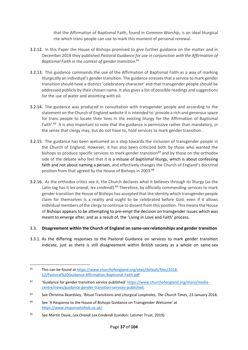that the Affirmation of Baptismal Faith, found in *Common Worship*, is an ideal liturgical rite which trans people can use to mark this moment of personal renewal.

- 3.2.12. In this Paper the House of Bishops promised to give further guidance on the matter and in December 2018 they published *Pastoral Guidance for use in conjunction with the Affirmation of Baptismal Faith in the context of gender transition*. 61
- 3.2.13. This guidance commends the use of the Affirmation of Baptismal Faith as a way of marking liturgically an individual's gender transition. The guidance stresses that a service to mark gender transition should have a distinct 'celebratory character' and that transgender people should be addressed publicly by their chosen name. It also gives a list of possible readings and suggestions for the use of water and anointing with oil.
- 3.2.14. The guidance was produced in consultation with transgender people and according to the statement on the Church of England website it is intended to 'provide a rich and generous space for trans people to locate their lives in the existing liturgy for the Affirmation of Baptismal Faith'.<sup>62</sup> It is also important to note that the guidance is permissive rather than mandatory, in the sense that clergy may, but do not have to, hold services to mark gender transition.
- 3.2.15. The guidance has been welcomed as a step towards the inclusion of transgender people in the Church of England. However, it has also been criticized both by those who wanted the bishops to produce specific services to mark gender transition<sup>63</sup> and by those on the orthodox side of the debate who feel that it is a misuse of baptismal liturgy, which is about confessing faith and not about naming a person, and effectively changes the Church of England's doctrinal position from that agreed by the House of Bishops in 2003.<sup>64</sup>
- 3.2.16. As the orthodox critics see it, the Church declares what it believes through its liturgy (as the Latin tag has it *lex orandi, lex credendi*).<sup>65</sup> Therefore, by officially commending services to mark gender transition the House of Bishops has accepted that the identity which transgender people claim for themselves is a reality and ought to be celebrated before God, even if it allows individual members of the clergy to continue to dissent from this position. This means the House of Bishops appears to be attempting to pre-empt the decision on transgender issues which was meant to emerge after, and as a result of, the 'Living in Love and Faith' process.

#### 3.3. **Disagreement within the Church of England on same-sex relationships and gender transition**

3.3.1. As the differing responses to the Pastoral Guidance on services to mark gender transition indicate, just as there is still disagreement within British society as a whole on same-sex

 $61$  This can be found a[t https://www.churchofengland.org/sites/default/files/2018-](https://www.churchofengland.org/sites/default/files/2018-12/Pastoral%20Guidance-Affirmation-Baptismal-Faith.pdf) [12/Pastoral%20Guidance-Affirmation-Baptismal-Faith.pdf](https://www.churchofengland.org/sites/default/files/2018-12/Pastoral%20Guidance-Affirmation-Baptismal-Faith.pdf)

 $62$  'Guidance for gender transition service published' [https://www.churchofengland.org/more/media](https://www.churchofengland.org/more/media-centre/news/guidance-gender-transition-services-published)[centre/news/guidance-gender-transition-services-published.](https://www.churchofengland.org/more/media-centre/news/guidance-gender-transition-services-published)

<sup>63</sup> See Christina Beardsley, 'Ritual Transitions and Liturgical Loopholes, *The Church Times*, 23 January 2018.

<sup>&</sup>lt;sup>64</sup> See 'A Response to the House of Bishops Guidance on Transgender Welcome' at <https://www.responsetohob.co.uk/>

<sup>65</sup> See Martin Davie, *Lex Orandi Lex Credendi* (London: Latimer Trust, 2019).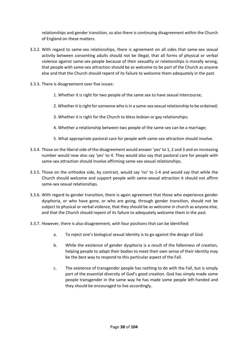relationships and gender transition, so also there is continuing disagreement within the Church of England on these matters.

- 3.3.2. With regard to same-sex relationships, there is agreement on all sides that same-sex sexual activity between consenting adults should not be illegal, that all forms of physical or verbal violence against same-sex people because of their sexuality or relationships is morally wrong, that people with same-sex attraction should be as welcome to be part of the Church as anyone else and that the Church should repent of its failure to welcome them adequately in the past.
- 3.3.3. There is disagreement over five issues:
	- 1. Whether it is right for two people of the same sex to have sexual intercourse;
	- 2. Whether it is right for someone who is in a same-sex sexual relationship to be ordained;
	- 3. Whether it is right for the Church to bless lesbian or gay relationships;
	- 4. Whether a relationship between two people of the same sex can be a marriage;
	- 5. What appropriate pastoral care for people with same-sex attraction should involve.
- 3.3.4. Those on the liberal side of the disagreement would answer 'yes' to 1, 2 and 3 and an increasing number would now also say 'yes' to 4. They would also say that pastoral care for people with same-sex attraction should involve affirming same-sex sexual relationships.
- 3.3.5. Those on the orthodox side, by contrast, would say 'no' to 1-4 and would say that while the Church should welcome and support people with same-sexual attraction it should not affirm same-sex sexual relationships.
- 3.3.6. With regard to gender transition, there is again agreement that those who experience gender dysphoria, or who have gone, or who are going, through gender transition, should not be subject to physical or verbal violence, that they should be as welcome in church as anyone else, and that the Church should repent of its failure to adequately welcome them in the past.
- 3.3.7. However, there is also disagreement, with four positions that can be identified:
	- a. To reject one's biological sexual identity is to go against the design of God.
	- b. While the existence of gender dysphoria is a result of the fallenness of creation, helping people to adapt their bodies to meet their own sense of their identity may be the best way to respond to this particular aspect of the Fall.
	- c. The existence of transgender people has nothing to do with the Fall, but is simply part of the essential diversity of God's good creation. God has simply made some people transgender in the same way he has made some people left-handed and they should be encouraged to live accordingly.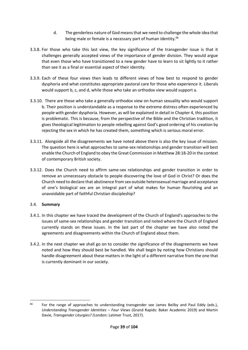- d. The genderless nature of God means that we need to challenge the whole idea that being male or female is a necessary part of human identity.<sup>66</sup>
- 3.3.8. For those who take this last view, the key significance of the transgender issue is that it challenges generally accepted views of the importance of gender division. They would argue that even those who have transitioned to a new gender have to learn to sit lightly to it rather than see it as a final or essential aspect of their identity.
- 3.3.9. Each of these four views then leads to different views of how best to respond to gender dysphoria and what constitutes appropriate pastoral care for those who experience it. Liberals would support b, c, and d, while those who take an orthodox view would support a.
- 3.3.10. There are those who take a generally orthodox view on human sexuality who would support b. Their position is understandable as a response to the extreme distress often experienced by people with gender dysphoria. However, as will be explained in detail in Chapter 4, this position is problematic. This is because, from the perspective of the Bible and the Christian tradition, it gives theological legitimation to people rebelling against God's good ordering of his creation by rejecting the sex in which he has created them, something which is serious moral error.
- 3.3.11. Alongside all the disagreements we have noted above there is also the key issue of mission. The question here is what approaches to same-sex relationships and gender transition will best enable the Church of England to obey the Great Commission in Matthew 28:18-20 in the context of contemporary British society.
- 3.3.12. Does the Church need to affirm same-sex relationships and gender transition in order to remove an unnecessary obstacle to people discovering the love of God in Christ? Or does the Church need to declare that abstinence from sex outside heterosexual marriage and acceptance of one's biological sex are an integral part of what makes for human flourishing and an unavoidable part of faithful Christian discipleship?

#### 3.4. **Summary**

- 3.4.1. In this chapter we have traced the development of the Church of England's approaches to the issues of same-sex relationships and gender transition and noted where the Church of England currently stands on these issues. In the last part of the chapter we have also noted the agreements and disagreements within the Church of England about them.
- 3.4.2. In the next chapter we shall go on to consider the significance of the disagreements we have noted and how they should best be handled. We shall begin by noting how Christians should handle disagreement about these matters in the light of a different narrative from the one that is currently dominant in our society.

<sup>&</sup>lt;sup>66</sup> For the range of approaches to understanding transgender see James Beilby and Paul Eddy (eds.), *Understanding Transgender Identities – Four Views* (Grand Rapids: Baker Academic 2019) and Martin Davie, *Transgender Liturgies? (*London: Latimer Trust, 2017).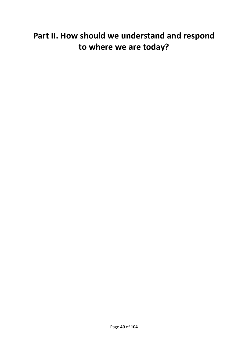# **Part II. How should we understand and respond to where we are today?**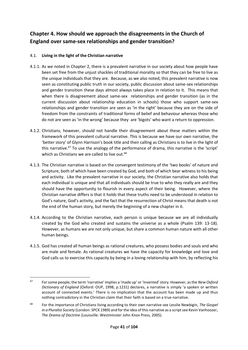# **Chapter 4. How should we approach the disagreements in the Church of England over same-sex relationships and gender transition?**

## 4.1. **Living in the light of the Christian narrative**

- 4.1.1. As we noted in Chapter 2, there is a prevalent narrative in our society about how people have been set free from the unjust shackles of traditional morality so that they can be free to live as the unique individuals that they are. Because, as we also noted, this prevalent narrative is now seen as constituting public truth in our society, public discussion about same-sex relationships and gender transition these days almost always takes place in relation to it. This means that when there is disagreement about same-sex relationships and gender transition (as in the current discussion about relationship education in schools) those who support same-sex relationships and gender transition are seen as 'in the right' because they are on the side of freedom from the constraints of traditional forms of belief and behaviour whereas those who do not are seen as 'in the wrong' because they are 'bigots' who want a return to oppression.
- 4.1.2. Christians, however, should not handle their disagreement about these matters within the framework of this prevalent cultural narrative. This is because we have our own narrative, the 'better story' of Glynn Harrison's book title and their calling as Christians is to live in the light of this narrative.<sup>67</sup> To use the analogy of the performance of drama, this narrative is the 'script' which as Christians we are called to live out.<sup>68</sup>
- 4.1.3. The Christian narrative is based on the convergent testimony of the 'two books' of nature and Scripture, both of which have been created by God, and both of which bear witness to his being and activity. Like the prevalent narrative in our society, the Christian narrative also holds that each individual is unique and that all individuals should be true to who they really are and they should have the opportunity to flourish in every aspect of their being. However, where the Christian narrative differs is that it holds that these truths need to be understood in relation to God's nature, God's activity, and the fact that the resurrection of Christ means that death is not the end of the human story, but merely the beginning of a new chapter in it.
- 4.1.4. According to the Christian narrative, each person is unique because we are all individually created by the God who created and sustains the universe as a whole (Psalm 139: 13-18). However, as humans we are not only unique, but share a common human nature with all other human beings.
- 4.1.5. God has created all human beings as rational creatures, who possess bodies and souls and who are male and female. As rational creatures we have the capacity for knowledge and love and God calls us to exercise this capacity by being in a loving relationship with him, by reflecting his

<sup>67</sup> For some people, the term 'narrative' implies a 'made up' or 'invented' story. However, as the *New Oxford Dictionary of England* (Oxford: OUP, 1998, p.1231) declares, a narrative is simply 'a spoken or written account of connected events.' There is no implication that the account has been made up and thus nothing contradictory in the Christian claim that their faith is based on a true narrative.

<sup>68</sup> For the importance of Christians living according to their own narrative see Lesslie Newbigin, *The Gospel in a Pluralist Society* (London: SPCK 1989) and for the idea of this narrative as a script see Kevin Vanhoozer, *The Drama of Doctrine* (Louisville: Westminster John Knox Press, 2005).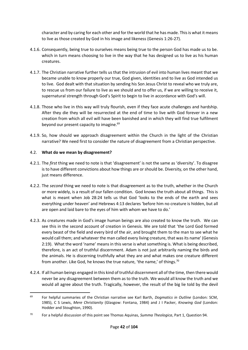character and by caring for each other and for the world that he has made. This is what it means to live as those created by God in his image and likeness (Genesis 1:26-27).

- 4.1.6. Consequently, being true to ourselves means being true to the person God has made us to be. which in turn means choosing to live in the way that he has designed us to live as his human creatures.
- 4.1.7. The Christian narrative further tells us that the intrusion of evil into human lives meant that we became unable to know properly our true, God given, identities and to live as God intended us to live. God dealt with that situation by sending his Son Jesus Christ to reveal who we truly are, to rescue us from our failure to live as we should and to offer us, if we are willing to receive it, supernatural strength through God's Spirit to begin to live in accordance with God's will.
- 4.1.8. Those who live in this way will truly flourish, even if they face acute challenges and hardship. After they die they will be resurrected at the end of time to live with God forever in a new creation from which all evil will have been banished and in which they will find true fulfilment beyond our present capacity to imagine.<sup>69</sup>
- 4.1.9. So, how should we approach disagreement within the Church in the light of the Christian narrative? We need first to consider the nature of disagreement from a Christian perspective.

#### 4.2. **What do we mean by disagreement?**

- 4.2.1. The *first* thing we need to note is that 'disagreement' is not the same as 'diversity'. To disagree is to have different convictions about how things are or should be. Diversity, on the other hand, just means difference.
- 4.2.2. The *second* thing we need to note is that disagreement as to the truth, whether in the Church or more widely, is a result of our fallen condition. God knows the truth about all things. This is what is meant when Job 28:24 tells us that God 'looks to the ends of the earth and sees everything under heaven' and Hebrews 4:13 declares 'before him no creature is hidden, but all are open and laid bare to the eyes of him with whom we have to do.'
- 4.2.3. As creatures made in God's image human beings are also created to know the truth. We can see this in the second account of creation in Genesis. We are told that 'the Lord God formed every beast of the field and every bird of the air, and brought them to the man to see what he would call them; and whatever the man called every living creature, that was its name' (Genesis 2:19). What the word 'name' means in this verse is what something is. What is being described, therefore, is an act of truthful discernment. Adam is not just arbitrarily naming the birds and the animals. He is discerning truthfully what they are and what makes one creature different from another. Like God, he knows the true nature, 'the name,' of things.<sup>70</sup>
- 4.2.4. If all human beings engaged in this kind of truthful discernment all of the time, then there would never be any disagreement between them as to the truth. We would all know the truth and we would all agree about the truth. Tragically, however, the result of the big lie told by the devil

<sup>69</sup> For helpful summaries of the Christian narrative see Karl Barth, *Dogmatics in Outline* (London: SCM, 1985), C S Lewis, *Mere Christianity* (Glasgow: Fontana, 1984) and J I Packer, *Knowing God* (London: Hodder and Stoughton, 1990).

<sup>70</sup> For a helpful discussion of this point see Thomas Aquinas, *Summa Theologica*, Part 1, Question 94.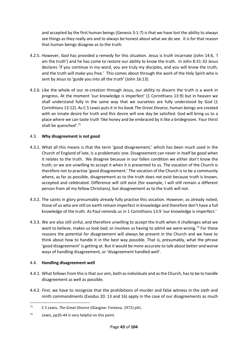and accepted by the first human beings (Genesis 3:1-7) is that we have lost the ability to always see things as they really are and to always be honest about what we do see. It is for that reason that human beings disagree as to the truth.

- 4.2.5. However, God has provided a remedy for this situation. Jesus is truth incarnate (John 14:6, 'I am the truth') and he has come to restore our ability to know the truth. In John 8:31-32 Jesus declares 'if you continue in my word, you are truly my disciples, and you will know the truth, and the truth will make you free.' This comes about through the work of the Holy Spirit who is sent by Jesus to 'guide you into all the truth' (John 16:13).
- 4.2.6. Like the whole of our re-creation through Jesus, our ability to discern the truth is a work in progress. At the moment 'our knowledge is imperfect' (1 Corinthians 13:9) but in heaven we shall understand fully in the same way that we ourselves are fully understood by God (1 Corinthians 13:12). As C S Lewis puts it in his book *The Great Divorce*, human beings are created with an innate desire for truth and this desire will one day be satisfied. God will bring us to a place where we can taste truth 'like honey and be embraced by it like a bridegroom. Your thirst shall be quenched'. 71

## 4.3. **Why disagreement is not good**

- 4.3.1. What all this means is that the term 'good disagreement,' which has been much used in the Church of England of late, is a problematic one. Disagreement can never in itself be good when it relates to the truth. We disagree because in our fallen condition we either don't know the truth; or we are unwilling to accept it when it is presented to us. The vocation of the Church is therefore not to practise 'good disagreement.' The vocation of the Church is to be a community where, as far as possible, disagreement as to the truth does not exist because truth is known, accepted and celebrated. Difference will still exist (for example, I will still remain a different person from all my fellow Christians), but disagreement as to the truth will not.
- 4.3.2. The saints in glory presumably already fully practise this vocation. However, as already noted, those of us who are still on earth remain imperfect in knowledge and therefore don't have a full knowledge of the truth. As Paul reminds us in 1 Corinthians 13:9 'our knowledge is imperfect.'
- 4.3.3. We are also still sinful, and therefore unwilling to accept the truth when it challenges what we want to believe, makes us look bad, or involves us having to admit we were wrong.<sup>72</sup> For these reasons the potential for disagreement will always be present in the Church and we have to think about how to handle it in the best way possible. That is, presumably, what the phrase 'good disagreement' is getting at. But it would be more accurate to talk about better and worse ways of handling disagreement, or 'disagreement handled well'.

#### 4.4. **Handling disagreement well**

- 4.4.1. What follows from this is that our aim, both as individuals and as the Church, has to be to handle disagreement as well as possible.
- 4.4.2. *First*, we have to recognize that the prohibitions of murder and false witness in the sixth and ninth commandments (Exodus 20: 13 and 16) apply in the case of our disagreements as much

<sup>71</sup> C S Lewis, *The Great Divorce* (Glasgow: Fontana, 1972) p41.

 $72$  Lewis, pp35-44 is very helpful on this point.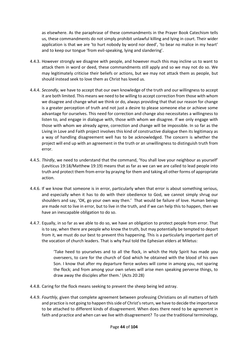as elsewhere. As the paraphrase of these commandments in the Prayer Book Catechism tells us, these commandments do not simply prohibit unlawful killing and lying in court. Their wider application is that we are 'to hurt nobody by word nor deed', 'to bear no malice in my heart' and to keep our tongue 'from evil-speaking, lying and slandering'.

- 4.4.3. However strongly we disagree with people, and however much this may incline us to want to attack them in word or deed, these commandments still apply and so we may not do so. We may legitimately criticise their beliefs or actions, but we may not attack them as people, but should instead seek to love them as Christ has loved us.
- 4.4.4. *Secondly*, we have to accept that our own knowledge of the truth and our willingness to accept it are both limited. This means we need to be willing to accept correction from those with whom we disagree and change what we think or do, always providing that that our reason for change is a greater perception of truth and not just a desire to please someone else or achieve some advantage for ourselves. This need for correction and change also necessitates a willingness to listen to, and engage in dialogue with, those with whom we disagree. If we only engage with those with whom we already agree, correction and change will be impossible. In so far as the Living in Love and Faith project involves this kind of constructive dialogue then its legitimacy as a way of handling disagreement well has to be acknowledged. The concern is whether the project will end up with an agreement in the truth or an unwillingness to distinguish truth from error.
- 4.4.5. *Thirdly*, we need to understand that the command, 'You shall love your neighbour as yourself' (Leviticus 19:18/Matthew 19:19) means that as far as we can we are called to lead people into truth and protect them from error by praying for them and taking all other forms of appropriate action.
- 4.4.6. If we know that someone is in error, particularly when that error is about something serious, and especially when it has to do with their obedience to God, we cannot simply shrug our shoulders and say, 'OK, go your own way then.' That would be failure of love. Human beings are made not to live in error, but to live in the truth, and if we can help this to happen, then we have an inescapable obligation to do so.
- 4.4.7. Equally, in so far as we able to do so, we have an obligation to protect people from error. That is to say, when there are people who know the truth, but may potentially be tempted to depart from it, we must do our best to prevent this happening. This is a particularly important part of the vocation of church leaders. That is why Paul told the Ephesian elders at Miletus:

'Take heed to yourselves and to all the flock, in which the Holy Spirit has made you overseers, to care for the church of God which he obtained with the blood of his own Son. I know that after my departure fierce wolves will come in among you, not sparing the flock; and from among your own selves will arise men speaking perverse things, to draw away the disciples after them.' (Acts 20:28)

- 4.4.8. Caring for the flock means seeking to prevent the sheep being led astray.
- 4.4.9. *Fourthly*, given that complete agreement between professing Christians on all matters of faith and practice is not going to happen this side of Christ's return, we have to decide the importance to be attached to different kinds of disagreement. When does there need to be agreement in faith and practice and when can we live with disagreement? To use the traditional terminology,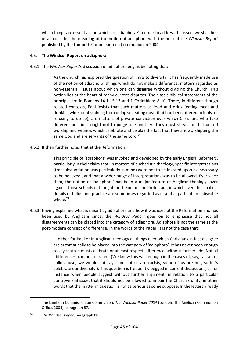which things are essential and which are adiaphora*?* In order to address this issue, we shall first of all consider the meaning of the notion of adiaphora with the help of the *Windsor Report*  published by the Lambeth Commission on Communion in 2004.

#### 4.5. **The Windsor Report on adiaphora**

4.5.1. The *Windsor Report's* discussion of adiaphora begins by noting that:

As the Church has explored the question of limits to diversity, it has frequently made use of the notion of adiaphora: things which do not make a difference, matters regarded as non-essential, issues about which one can disagree without dividing the Church. This notion lies at the heart of many current disputes. The classic biblical statements of the principle are in Romans 14.1-15.13 and 1 Corinthians 8-10. There, in different though related contexts, Paul insists that such matters as food and drink (eating meat and drinking wine, or abstaining from doing so; eating meat that had been offered to idols, or refusing to do so), are matters of private conviction over which Christians who take different positions ought not to judge one another. They must strive for that united worship and witness which celebrate and display the fact that they are worshipping the same God and are servants of the same Lord.<sup>73</sup>

4.5.2. It then further notes that at the Reformation:

This principle of 'adiaphora' was invoked and developed by the early English Reformers, particularly in their claim that, in matters of eucharistic theology, specific interpretations (transubstantiation was particularly in mind) were not to be insisted upon as 'necessary to be believed', and that a wider range of interpretations was to be allowed. Ever since then, the notion of 'adiaphora' has been a major feature of Anglican theology, over against those schools of thought, both Roman and Protestant, in which even the smallest details of belief and practice are sometimes regarded as essential parts of an indivisible whole.<sup>74</sup>

4.5.3. Having explained what is meant by adiaphora and how it was used at the Reformation and has been used by Anglicans since, the *Windsor Report* goes on to emphasise that not all disagreements can be placed into the category of adiaphora. Adiaphora is not the same as the post-modern concept of difference. In the words of the Paper, it is not the case that:

> … either for Paul or in Anglican theology all things over which Christians in fact disagree are automatically to be placed into the category of 'adiaphora'. It has never been enough to say that we must celebrate or at least respect 'difference' without further ado. Not all 'differences' can be tolerated. (We know this well enough in the cases of, say, racism or child abuse; we would not say 'some of us are racists, some of us are not, so let's celebrate our diversity'). This question is frequently begged in current discussions, as for instance when people suggest without further argument, in relation to a particular controversial issue, that it should not be allowed to impair the Church's unity, in other words that the matter in question is not as serious as some suppose. In the letters already

<sup>73</sup> The Lambeth Commission on Communion, *The Windsor Paper 2004* (London: The Anglican Communion Office, 2004), paragraph 87.

<sup>74</sup> *The Windsor Paper*, paragraph 88.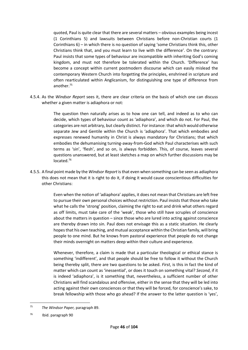quoted, Paul is quite clear that there are several matters – obvious examples being incest (1 Corinthians 5) and lawsuits between Christians before non-Christian courts (1 Corinthians 6) – in which there is no question of saying 'some Christians think this, other Christians think that, and you must learn to live with the difference'. On the contrary: Paul insists that some types of behaviour are incompatible with inheriting God's coming kingdom, and must not therefore be tolerated within the Church. 'Difference' has become a concept within current postmodern discourse which can easily mislead the contemporary Western Church into forgetting the principles, enshrined in scripture and often rearticulated within Anglicanism, for distinguishing one type of difference from another.<sup>75</sup>

4.5.4. As the *Windsor Report* sees it, there are clear criteria on the basis of which one can discuss whether a given matter is adiaphora or not:

> The question then naturally arises as to how one can tell, and indeed as to who can decide, which types of behaviour count as 'adiaphora', and which do not. For Paul, the categories are not arbitrary, but clearly distinct. For instance: that which would otherwise separate Jew and Gentile within the Church is 'adiaphora'. That which embodies and expresses renewed humanity in Christ is always mandatory for Christians; that which embodies the dehumanising turning-away-from-God which Paul characterises with such terms as 'sin', 'flesh', and so on, is always forbidden. This, of course, leaves several questions unanswered, but at least sketches a map on which further discussions may be located.<sup>76</sup>

4.5.5. A final point made by the *Windsor Report* is that even when something can be seen as adiaphora this does not mean that it is right to do it, if doing it would cause conscientious difficulties for other Christians:

> Even when the notion of 'adiaphora' applies, it does not mean that Christians are left free to pursue their own personal choices without restriction. Paul insists that those who take what he calls the 'strong' position, claiming the right to eat and drink what others regard as off limits, must take care of the 'weak', those who still have scruples of conscience about the matters in question – since those who are lured into acting against conscience are thereby drawn into sin. Paul does not envisage this as a static situation. He clearly hopes that his own teaching, and mutual acceptance within the Christian family, will bring people to one mind. But he knows from pastoral experience that people do not change their minds overnight on matters deep within their culture and experience.

> Whenever, therefore, a claim is made that a particular theological or ethical stance is something 'indifferent', and that people should be free to follow it without the Church being thereby split, there are two questions to be asked. *First*, is this in fact the kind of matter which can count as 'inessential', or does it touch on something vital? *Second*, if it is indeed 'adiaphora', is it something that, nevertheless, a sufficient number of other Christians will find scandalous and offensive, either in the sense that they will be led into acting against their own consciences or that they will be forced, for conscience's sake, to break fellowship with those who go ahead? If the answer to the latter question is 'yes',

<sup>75</sup> *The Windsor Paper,* paragraph 89.

<sup>76</sup> Ibid. paragraph 90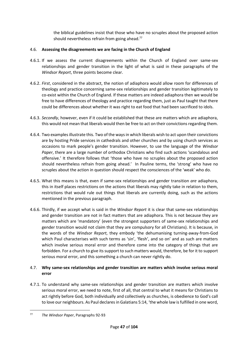the biblical guidelines insist that those who have no scruples about the proposed action should nevertheless refrain from going ahead.<sup>77</sup> 

# 4.6. **Assessing the disagreements we are facing in the Church of England**

- 4.6.1. If we assess the current disagreements within the Church of England over same-sex relationships and gender transition in the light of what is said in these paragraphs of the *Windsor Report*, three points become clear.
- 4.6.2. *First*, considered in the abstract, the notion of adiaphora would allow room for differences of theology and practice concerning same-sex relationships and gender transition legitimately to co-exist within the Church of England. If these matters are indeed adiaphora then we would be free to have differences of theology and practice regarding them, just as Paul taught that there could be differences about whether it was right to eat food that had been sacrificed to idols.
- 4.6.3. *Secondly*, however, even if it could be established that these are matters which are adiaphora, this would not mean that liberals would then be free to act on their convictions regarding them.
- 4.6.4. Two examples illustrate this. Two of the ways in which liberals wish to act upon their convictions are by hosting Pride services in cathedrals and other churches and by using church services as occasions to mark people's gender transition. However, to use the language of the *Windsor Paper*, there are a large number of orthodox Christians who find such actions 'scandalous and offensive.' It therefore follows that 'those who have no scruples about the proposed action should nevertheless refrain from going ahead.' In Pauline terms, the 'strong' who have no scruples about the action in question should respect the consciences of the 'weak' who do.
- 4.6.5. What this means is that, even if same-sex relationships and gender transition *are* adiaphora, this in itself places restrictions on the actions that liberals may rightly take in relation to them, restrictions that would rule out things that liberals are currently doing, such as the actions mentioned in the previous paragraph.
- 4.6.6. Thirdly, if we accept what is said in the *Windsor Report* it is clear that same-sex relationships and gender transition are not in fact matters that are adiaphora. This is not because they are matters which are 'mandatory' (even the strongest supporters of same-sex relationships and gender transition would not claim that they are compulsory for all Christians). It is because, in the words of the *Windsor Report*, they embody 'the dehumanising turning-away-from-God which Paul characterises with such terms as 'sin', 'flesh', and so on' and as such are matters which involve serious moral error and therefore come into the category of things that are forbidden. For a church to give its support to such matters would, therefore, be for it to support serious moral error, and this something a church can never rightly do.

## 4.7. **Why same-sex relationships and gender transition are matters which involve serious moral error**

4.7.1. To understand why same-sex relationships and gender transition are matters which involve serious moral error, we need to note, first of all, that central to what it means for Christians to act rightly before God, both individually and collectively as churches, is obedience to God's call to love our neighbours. As Paul declares in Galatians 5:14, 'the whole law is fulfilled in one word,

<sup>77</sup> *The Windsor Paper*, Paragraphs 92-93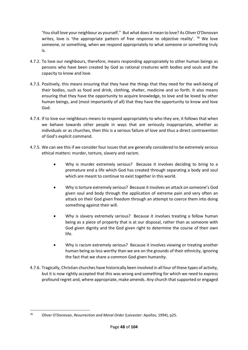'You shall love your neighbour as yourself.'' But what does it mean to love? As Oliver O'Donovan writes, love is 'the appropriate pattern of free response to objective reality'.<sup>78</sup> We love someone, or something, when we respond appropriately to what someone or something truly is.

- 4.7.2. To love our neighbours, therefore, means responding appropriately to other human beings as persons who have been created by God as rational creatures with bodies and souls and the capacity to know and love.
- 4.7.3. Positively, this means ensuring that they have the things that they need for the well-being of their bodies, such as food and drink, clothing, shelter, medicine and so forth. It also means ensuring that they have the opportunity to acquire knowledge, to love and be loved by other human beings, and (most importantly of all) that they have the opportunity to know and love God.
- 4.7.4. If to love our neighbours means to respond appropriately to who they are, it follows that when we behave towards other people in ways that are seriously inappropriate, whether as individuals or as churches, then this is a serious failure of love and thus a direct contravention of God's explicit command.
- 4.7.5. We can see this if we consider four issues that are generally considered to be extremely serious ethical matters: murder, torture, slavery and racism.
	- Why is murder extremely serious? Because it involves deciding to bring to a premature end a life which God has created through separating a body and soul which are meant to continue to exist together in this world.
	- Why is torture extremely serious? Because it involves an attack on someone's God given soul and body through the application of extreme pain and very often an attack on their God given freedom through an attempt to coerce them into doing something against their will.
	- Why is slavery extremely serious? Because it involves treating a fellow human being as a piece of property that is at our disposal, rather than as someone with God given dignity and the God given right to determine the course of their own life.
	- Why is racism extremely serious? Because it involves viewing or treating another human being as less worthy than we are on the grounds of their ethnicity, ignoring the fact that we share a common God given humanity.
- 4.7.6. Tragically, Christian churches have historically been involved in all four of these types of activity, but it is now rightly accepted that this was wrong and something for which we need to express profound regret and, where appropriate, make amends. Any church that supported or engaged

<sup>78</sup> Oliver O'Donovan, *Resurrection and Moral Order* (Leicester: Apollos, 1994), p25.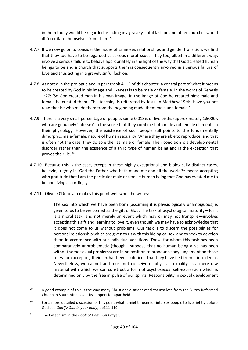in them today would be regarded as acting in a gravely sinful fashion and other churches would differentiate themselves from them.<sup>79</sup>

- 4.7.7. If we now go on to consider the issues of same-sex relationships and gender transition, we find that they too have to be regarded as serious moral issues. They too, albeit in a different way, involve a serious failure to behave appropriately in the light of the way that God created human beings to be and a church that supports them is consequently involved in a serious failure of love and thus acting in a gravely sinful fashion.
- 4.7.8. As noted in the prologue and in paragraph 4.1.5 of this chapter, a central part of what it means to be created by God in his image and likeness is to be male or female. In the words of Genesis 1:27: 'So God created man in his own image, in the image of God he created him; male and female he created them.' This teaching is reiterated by Jesus in Matthew 19:4: 'Have you not read that he who made them from the beginning made them male and female.'
- 4.7.9. There is a very small percentage of people, some 0.018% of live births (approximately 1:5000), who are genuinely 'intersex' in the sense that they combine both male and female elements in their physiology. However, the existence of such people still points to the fundamentally dimorphic, male-female, nature of human sexuality. Where they are able to reproduce, and that is often not the case, they do so either as male or female. Their condition is a developmental disorder rather than the existence of a third type of human being and is the exception that proves the rule. <sup>80</sup>
- 4.7.10. Because this is the case, except in these highly exceptional and biologically distinct cases, believing rightly in 'God the Father who hath made me and all the world'<sup>81</sup> means accepting with gratitude that I am the particular male or female human being that God has created me to be and living accordingly.
- 4.7.11. Oliver O'Donovan makes this point well when he writes:

The sex into which we have been born (assuming it is physiologically unambiguous) is given to us to be welcomed as the gift of God. The task of psychological maturity—for it is a moral task, and not merely an event which may or may not transpire—involves accepting this gift and learning to love it, even though we may have to acknowledge that it does not come to us without problems. Our task is to discern the possibilities for personal relationship which are given to us with this biological sex, and to seek to develop them in accordance with our individual vocations. Those for whom this task has been comparatively unproblematic (though I suppose that no human being alive has been without some sexual problems) are in no position to pronounce any judgement on those for whom accepting their sex has been so difficult that they have fled from it into denial. Nevertheless, we cannot and must not conceive of physical sexuality as a mere raw material with which we can construct a form of psychosexual self-expression which is determined only by the free impulse of our spirits. Responsibility in sexual development

 $79$  A good example of this is the way many Christians disassociated themselves from the Dutch Reformed Church in South Africa over its support for apartheid.

<sup>&</sup>lt;sup>80</sup> For a more detailed discussion of this point what it might mean for intersex people to live rightly before God see *Glorify God in your body*, pp111-119.

<sup>81</sup> The Catechism in the *Book of Common Prayer*.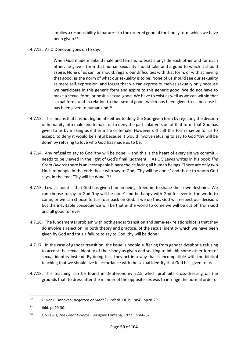implies a responsibility to nature—to the ordered good of the bodily form which we have been given.<sup>82</sup>

4.7.12. As O'Donovan goes on to say:

When God made mankind male and female, to exist alongside each other and for each other, he gave a form that human sexuality should take and a good to which it should aspire. None of us can, or should, regard our difficulties with that form, or with achieving that good, as the norm of what our sexuality is to be. None of us should see our sexuality as mere self-expression, and forget that we can express ourselves sexually only because we participate in this generic form and aspire to this generic good. We do not have to make a sexual form, or posit a sexual good. We have to exist as well as we can within that sexual form, and in relation to that sexual good, which has been given to us because it has been given to humankind.<sup>83</sup>

- 4.7.13. This means that it is not legitimate either to deny the God-given form by rejecting the division of humanity into male and female, or to deny the particular version of that form that God has given to us by making us either male or female. However difficult this form may be for us to accept, to deny it would be sinful because it would involve refusing to say to God 'thy will be done' by refusing to love who God has made us to be.
- 4.7.14. Any refusal to say to God 'thy will be done' and this is the heart of every sin we commit needs to be viewed in the light of God's final judgment. As C S Lewis writes in his book *The Great Divorce* there is an inescapable binary choice facing all human beings. 'There are only two kinds of people in the end: those who say to God, 'Thy will be done,' and those to whom God says, in the end, 'Thy will be done."84
- 4.7.15. Lewis's point is that God has given human beings freedom to shape their own destinies. We can choose to say to God 'thy will be done' and be happy with God for ever in the world to come, or we can choose to turn our back on God. If we do this, God will respect our decision, but the inevitable consequence will be that in the world to come we will be cut off from God and all good for ever.
- 4.7.16. The fundamental problem with both gender transition and same-sex relationships is that they do involve a rejection, in both theory and practice, of the sexual identity which we have been given by God and thus a failure to say to God 'thy will be done.'
- 4.7.17. In the case of gender transition, the issue is people suffering from gender dysphoria refusing to accept the sexual identity of their body as given and seeking to inhabit some other form of sexual identity instead. By doing this, they act in a way that is incompatible with the biblical teaching that we should live in accordance with the sexual identity that God has given to us.
- 4.7.18. This teaching can be found in Deuteronomy 22:5 which prohibits cross-dressing on the grounds that 'to dress after the manner of the opposite sex was to infringe the normal order of

<sup>82</sup> Oliver O'Donovan, *Begotten or Made?* (Oxford: OUP, 1984), pp28-29.

<sup>83</sup> Ibid. pp29-30.

<sup>84</sup> C S Lewis, *The Great Divorce* (Glasgow: Fontana, 1972), pp66-67.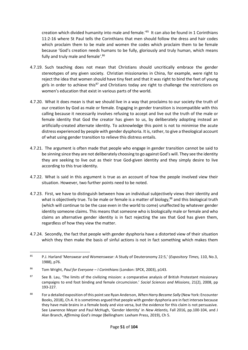creation which divided humanity into male and female.'<sup>85</sup> It can also be found in 1 Corinthians 11:2-16 where St Paul tells the Corinthians that men should follow the dress and hair codes which proclaim them to be male and women the codes which proclaim them to be female because 'God's creation needs humans to be fully, gloriously and truly human, which means fully and truly male and female'. 86

- 4.7.19. Such teaching does not mean that Christians should uncritically embrace the gender stereotypes of any given society. Christian missionaries in China, for example, were right to reject the idea that women should have tiny feet and that it was right to bind the feet of young girls in order to achieve this $87$  and Christians today are right to challenge the restrictions on women's education that exist in various parts of the world.
- 4.7.20. What it does mean is that we should live in a way that proclaims to our society the truth of our creation by God as male or female. Engaging in gender transition is incompatible with this calling because it necessarily involves refusing to accept and live out the truth of the male or female identity that God the creator has given to us, by deliberately adopting instead an artificially-created alternate identity. To acknowledge this point is not to minimise the acute distress experienced by people with gender dysphoria. It is, rather, to give a theological account of what using gender transition to relieve this distress entails.
- 4.7.21. The argument is often made that people who engage in gender transition cannot be said to be sinning since they are not deliberately choosing to go against God's will. They see the identity they are seeking to live out as their true God-given identity and they simply desire to live according to this true identity.
- 4.7.22. What is said in this argument is true as an account of how the people involved view their situation. However, two further points need to be noted.
- 4.7.23. First, we have to distinguish between how an individual subjectively views their identity and what is objectively true. To be male or female is a matter of biology,<sup>88</sup> and this biological truth (which will continue to be the case even in the world to come) unaffected by whatever gender identity someone claims. This means that someone who is biologically male or female and who claims an alternative gender identity is in fact rejecting the sex that God has given them, regardless of how they view the matter.
- 4.7.24. Secondly, the fact that people with gender dysphoria have a distorted view of their situation which they then make the basis of sinful actions is not in fact something which makes them

<sup>85</sup> P.J. Harland 'Menswear and Womenswear: A Study of Deuteronomy 22:5,' (*Expository Times,* 110, No.3, 1988), p76.

<sup>86</sup> Tom Wright, *Paul for Everyone – I Corinthians* (London: SPCK, 2003), p143.

<sup>&</sup>lt;sup>87</sup> See B. Lau, 'The limits of the civilizing mission: a comparative analysis of British Protestant missionary campaigns to end foot binding and female circumcision.' *Social Sciences and Missions*, 21(2), 2008, pp 193-227.

<sup>88</sup> For a detailed exposition of this point see Ryan Anderson, *When Harry Became Sally* (New York: Encounter Books, 2018), Ch.4. It is sometimes argued that people with gender dysphoria are in fact intersex because they have male brains in a female body and vice versa, but the evidence for this claim is not persuasive. See Lawrence Meyer and Paul McHugh, 'Gender Identity' in *New Atlantis,* Fall 2016, pp.100-104, and J Alan Branch, *Affirming God's Image* (Bellingham: Lexham Press, 2019), Ch 5.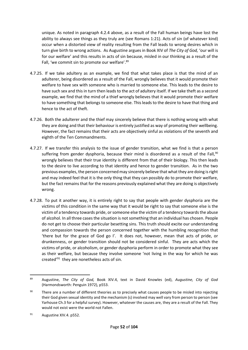unique. As noted in paragraph 4.2.4 above, as a result of the Fall human beings have lost the ability to always see things as they truly are (see Romans 1:21). Acts of sin (of whatever kind) occur when a distorted view of reality resulting from the Fall leads to wrong desires which in turn give birth to wrong actions. As Augustine argues in Book XIV of *The City of God,* 'our will is for our welfare' and this results in acts of sin because, misled in our thinking as a result of the Fall, 'we commit sin to promote our welfare'. 89

- 4.7.25. If we take adultery as an example, we find that what takes place is that the mind of an adulterer, being disordered as a result of the Fall, wrongly believes that it would promote their welfare to have sex with someone who is married to someone else. This leads to the desire to have such sex and this in turn then leads to the act of adultery itself. If we take theft as a second example, we find that the mind of a thief wrongly believes that it would promote their welfare to have something that belongs to someone else. This leads to the desire to have that thing and hence to the act of theft.
- 4.7.26. Both the adulterer and the thief may sincerely believe that there is nothing wrong with what they are doing and that their behaviour is entirely justified as way of promoting their wellbeing. However, the fact remains that their acts are objectively sinful as violations of the seventh and eighth of the Ten Commandments.
- 4.7.27. If we transfer this analysis to the issue of gender transition, what we find is that a person suffering from gender dysphoria, because their mind is disordered as a result of the Fall, $90$ wrongly believes that their true identity is different from that of their biology. This then leads to the desire to live according to that identity and hence to gender transition. As in the two previous examples, the person concerned may sincerely believe that what they are doing is right and may indeed feel that it is the only thing that they can possibly do to promote their welfare, but the fact remains that for the reasons previously explained what they are doing is objectively wrong.
- 4.7.28. To put it another way, it is entirely right to say that people with gender dysphoria are the victims of this condition in the same way that it would be right to say that someone else is the victim of a tendency towards pride, or someone else the victim of a tendency towards the abuse of alcohol. In all three cases the situation is not something that an individual has chosen. People do not get to choose their particular besetting sins. This truth should excite our understanding and compassion towards the person concerned together with the humbling recognition that 'there but for the grace of God go I'. It does not, however, mean that acts of pride, or drunkenness, or gender transition should not be considered sinful. They are acts which the victims of pride, or alcoholism, or gender dysphoria perform in order to promote what they see as their welfare, but because they involve someone 'not living in the way for which he was created<sup>'91</sup> they are nonetheless acts of sin.

<sup>89</sup> Augustine, *The City of God,* Book XIV.4, text in David Knowles (ed), *Augustine, City of God* (Harmondsworth: Penguin 1972), p553.

<sup>&</sup>lt;sup>90</sup> There are a number of different theories as to precisely what causes people to be misled into rejecting their God given sexual identity and the mechanism (s) involved may well vary from person to person (see Yarhouse Ch.3 for a helpful survey). However, whatever the causes are, they are a result of the Fall. They would not exist were the world not Fallen.

<sup>91</sup> Augustine XIV.4. p552.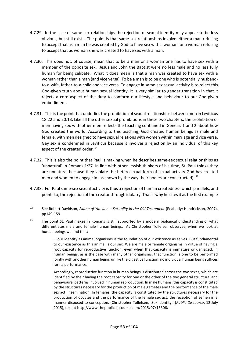- 4.7.29. In the case of same-sex relationships the rejection of sexual identity may appear to be less obvious, but still exists. The point is that same-sex relationships involve either a man refusing to accept that as a man he was created by God to have sex with a woman: or a woman refusing to accept that as woman she was created to have sex with a man.
- 4.7.30. This does not, of course, mean that to be a man or a woman one has to have sex with a member of the opposite sex. Jesus and John the Baptist were no less male and no less fully human for being celibate. What it does mean is that a man was created to have sex with a woman rather than a man (and vice versa). To be a man is to be one who is potentially husbandto-a-wife, father-to-a-child and vice versa. To engage in same-sex sexual activity is to reject this God-given truth about human sexual identity. It is very similar to gender transition in that it rejects a core aspect of the duty to conform our lifestyle and behaviour to our God-given embodiment.
- 4.7.31. This is the point that underlies the prohibition of sexual relationships between men in Leviticus 18:22 and 20:13. Like all the other sexual prohibitions in these two chapters, the prohibition of men having sex with other men reflects the teaching contained in Genesis 1 and 2 about how God created the world. According to this teaching, God created human beings as male and female, with men designed to have sexual relations with women within marriage and vice versa. Gay sex is condemned in Leviticus because it involves a rejection by an individual of this key aspect of the created order.<sup>92</sup>
- 4.7.32. This is also the point that Paul is making when he describes same-sex sexual relationships as 'unnatural' in Romans 1:27. In line with other Jewish thinkers of his time, St. Paul thinks they are unnatural because they violate the heterosexual form of sexual activity God has created men and women to engage in (as shown by the way their bodies are constructed). <sup>93</sup>
- 4.7.33. For Paul same-sex sexual activity is thus a rejection of human createdness which parallels, and points to, the rejection of the creator through idolatry. That is why he cites it as the first example

 $93$  The point St. Paul makes in Romans is still supported by a modern biological understanding of what differentiates male and female human beings. As Christopher Tollefsen observes, when we look at human beings we find that:

> … our identity as animal organisms is the foundation of our existence as selves. But fundamental to our existence as this animal is our sex. We are male or female organisms in virtue of having a root capacity for reproductive function, even when that capacity is immature or damaged. In human beings, as is the case with many other organisms, that function is one to be performed jointly with another human being; unlike the digestive function, no individual human being suffices for its performance.

> Accordingly, reproductive function in human beings is distributed across the two sexes, which are identified by their having the root capacity for one or the other of the two general structural and behavioural patterns involved in human reproduction. In male humans, this capacity is constituted by the structures necessary for the production of male gametes and the performance of the male sex act, insemination. In females, the capacity is constituted by the structures necessary for the production of oocytes and the performance of the female sex act, the reception of semen in a manner disposed to conception. (Christopher Tollefsen, 'Sex identity,' (*Public Discourse*, 12 July 2015), text at http://www.thepublicdiscourse.com/2015/07/15306/

<sup>92</sup> See Robert Davidson, *Flame of Yahweh – Sexuality in the Old Testament* (Peabody: Hendrickson, 2007). pp149-159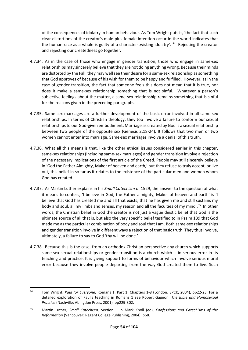of the consequences of idolatry in human behaviour. As Tom Wright puts it, 'the fact that such clear distortions of the creator's male-plus-female intention occur in the world indicates that the human race as a whole is guilty of a character-twisting idolatry'. <sup>94</sup> Rejecting the creator and rejecting our createdness go together.

- 4.7.34. As in the case of those who engage in gender transition, those who engage in same-sex relationships may sincerely believe that they are not doing anything wrong. Because their minds are distorted by the Fall, they may well see their desire for a same-sex relationship as something that God approves of because of his wish for them to be happy and fulfilled. However, as in the case of gender transition, the fact that someone feels this does not mean that it is true, nor does it make a same-sex relationship something that is not sinful. Whatever a person's subjective feelings about the matter, a same-sex relationship remains something that is sinful for the reasons given in the preceding paragraphs.
- 4.7.35. Same-sex marriages are a further development of the basic error involved in all same-sex relationships. In terms of Christian theology, they too involve a failure to conform our sexual relationships to our God-given embodiment. Marriage as created by God is a sexual relationship between two people of the opposite sex (Genesis 2:18-24). It follows that two men or two women cannot enter into marriage. Same-sex marriages involve a denial of this truth.
- 4.7.36. What all this means is that, like the other ethical issues considered earlier in this chapter, same-sex relationships (including same-sex marriages) and gender transition involve a rejection of the necessary implications of the first article of the Creed. People may still sincerely believe in 'God the Father Almighty, Maker of heaven and earth,' but they refuse to truly accept, or live out, this belief in so far as it relates to the existence of the particular men and women whom God has created.
- 4.7.37. As Martin Luther explains in his *Small Catechism* of 1529, the answer to the question of what it means to confess, 'I believe in God, the Father almighty, Maker of heaven and earth' is 'I believe that God has created me and all that exists; that he has given me and still sustains my body and soul, all my limbs and senses, my reason and all the faculties of my mind'.<sup>95</sup> In other words, the Christian belief in God the creator is not just a vague deistic belief that God is the ultimate source of all that is, but also the very specific belief testified to in Psalm 139 that God made me as the particular combination of body and soul that I am. Both same-sex relationships and gender transition involve in different ways a rejection of that basic truth. They thus involve, ultimately, a failure to say to God 'thy will be done.'
- 4.7.38. Because this is the case, from an orthodox Christian perspective any church which supports same-sex sexual relationships or gender transition is a church which is in serious error in its teaching and practice. It is giving support to forms of behaviour which involve serious moral error because they involve people departing from the way God created them to live. Such

<sup>94</sup> Tom Wright, *Paul for Everyone*, Romans 1, Part 1: Chapters 1-8 (London: SPCK, 2004), pp22-23. For a detailed exploration of Paul's teaching in Romans 1 see Robert Gagnon, *The Bible and Homosexual Practice* (Nashville: Abingdon Press, 2001), pp229-302.

<sup>95</sup> Martin Luther, *Small Catechism,* Section I, in Mark Knoll (ed), *Confessions and Catechisms of the Reformation* (Vancouver: Regent College Publishing, 2004), p68.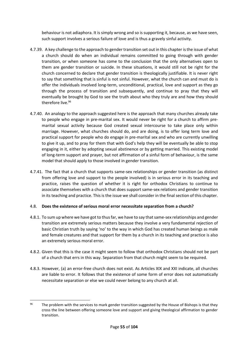behaviour is not adiaphora. It is simply wrong and so is supporting it, because, as we have seen, such support involves a serious failure of love and is thus a gravely sinful activity.

- 4.7.39. A key challenge to the approach to gender transition set out in this chapter is the issue of what a church should do when an individual remains committed to going through with gender transition, or when someone has come to the conclusion that the only alternatives open to them are gender transition or suicide. In these situations, it would still not be right for the church concerned to declare that gender transition is theologically justifiable. It is never right to say that something that is sinful is not sinful. However, what the church can and must do is offer the individuals involved long-term, unconditional, practical, love and support as they go through the process of transition and subsequently, and continue to pray that they will eventually be brought by God to see the truth about who they truly are and how they should therefore live.<sup>96</sup>
- 4.7.40. An analogy to the approach suggested here is the approach that many churches already take to people who engage in pre-marital sex. It would never be right for a church to affirm premarital sexual activity because God created sexual intercourse to take place only within marriage. However, what churches should do, and are doing, is to offer long term love and practical support for people who do engage in pre-marital sex and who are currently unwilling to give it up, and to pray for them that with God's help they will be eventually be able to stop engaging in it, either by adopting sexual abstinence or by getting married. This existing model of long-term support and prayer, but not affirmation of a sinful form of behaviour, is the same model that should apply to those involved in gender transition.
- 4.7.41. The fact that a church that supports same-sex relationships or gender transition (as distinct from offering love and support to the people involved) is in serious error in its teaching and practice, raises the question of whether it is right for orthodox Christians to continue to associate themselves with a church that does support same-sex relations and gender transition in its teaching and practice. This is the issue we shall consider in the final section of this chapter.

#### 4.8. **Does the existence of serious moral error necessitate separation from a church?**

- 4.8.1. To sum up where we have got to thus far, we have to say that same-sex relationships and gender transition are extremely serious matters because they involve a very fundamental rejection of basic Christian truth by saying 'no' to the way in which God has created human beings as male and female creatures and that support for them by a church in its teaching and practice is also an extremely serious moral error.
- 4.8.2. Given that this is the case it might seem to follow that orthodox Christians should not be part of a church that errs in this way. Separation from that church might seem to be required.
- 4.8.3. However, (a) an error-free church does not exist. As Articles XIX and XXI indicate, all churches are liable to error. It follows that the existence of some form of error does not automatically necessitate separation or else we could never belong to any church at all.

<sup>&</sup>lt;sup>96</sup> The problem with the services to mark gender transition suggested by the House of Bishops is that they cross the line between offering someone love and support and giving theological affirmation to gender transition.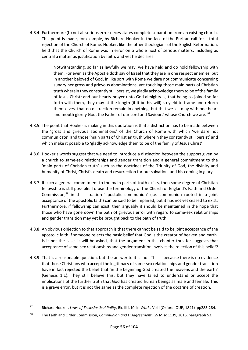4.8.4. Furthermore (b) not all serious error necessitates complete separation from an existing church. This point is made, for example, by Richard Hooker in the face of the Puritan call for a total rejection of the Church of Rome. Hooker, like the other theologians of the English Reformation, held that the Church of Rome was in error on a whole host of serious matters, including as central a matter as justification by faith, and yet he declares:

> Notwithstanding, so far as lawfully we may, we have held and do hold fellowship with them. For even as the Apostle doth say of Israel that they are in one respect enemies, but in another beloved of God, in like sort with Rome we dare not communicate concerning sundry her gross and grievous abominations, yet touching those main parts of Christian truth wherein they constantly still persist, we gladly acknowledge them to be of the family of Jesus Christ; and our hearty prayer unto God almighty is, that being co-joined so far forth with them, they may at the length (if it be his will) so yield to frame and reform themselves, that no distraction remain in anything, but that we 'all may with one heart and mouth glorify God, the Father of our Lord and Saviour,' whose Church we are. <sup>97</sup>

- 4.8.5. The point that Hooker is making in this quotation is that a distinction has to be made between the 'gross and grievous abominations' of the Church of Rome with which 'we dare not communicate' and those 'main parts of Christian truth wherein they constantly still persist' and which make it possible to 'gladly acknowledge them to be of the family of Jesus Christ'
- 4.8.6. Hooker's words suggest that we need to introduce a distinction between the support given by a church to same-sex relationships and gender transition and a general commitment to the 'main parts of Christian truth' such as the doctrines of the Triunity of God, the divinity and humanity of Christ, Christ's death and resurrection for our salvation, and his coming in glory.
- 4.8.7. If such a general commitment to the main parts of truth exists, then some degree of Christian fellowship is still possible. To use the terminology of the Church of England's Faith and Order Commission,<sup>98</sup> in this situation 'apostolic communion' (i.e. communion rooted in a joint acceptance of the apostolic faith) can be said to be impaired, but it has not yet ceased to exist. Furthermore, if fellowship can exist, then arguably it should be maintained in the hope that those who have gone down the path of grievous error with regard to same-sex relationships and gender transition may yet be brought back to the path of truth.
- 4.8.8. An obvious objection to that approach is that there cannot be said to be joint acceptance of the apostolic faith if someone rejects the basic belief that God is the creator of heaven and earth. Is it not the case, it will be asked, that the argument in this chapter thus far suggests that acceptance of same-sex relationships and gender transition involves the rejection of this belief?
- 4.8.9. That is a reasonable question, but the answer to it is 'no.' This is because there is no evidence that those Christians who accept the legitimacy of same-sex relationships and gender transition have in fact rejected the belief that 'in the beginning God created the heavens and the earth' (Genesis 1:1). They still believe this, but they have failed to understand or accept the implications of the further truth that God has created human beings as male and female. This is a grave error, but it is not the same as the complete rejection of the doctrine of creation.

<sup>97</sup> Richard Hooker, *Laws of Ecclesiastical Polity*, Bk. III i.10 in *Works* Vol I (Oxford: OUP, 1841) pp283-284.

<sup>98</sup> The Faith and Order Commission, *Communion and Disagreement*, GS Misc 1139, 2016, paragraph 53.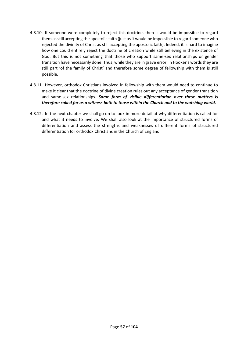- 4.8.10. If someone were completely to reject this doctrine, then it would be impossible to regard them as still accepting the apostolic faith (just as it would be impossible to regard someone who rejected the divinity of Christ as still accepting the apostolic faith). Indeed, it is hard to imagine how one could entirely reject the doctrine of creation while still believing in the existence of God. But this is not something that those who support same-sex relationships or gender transition have necessarily done. Thus, while they are in grave error, in Hooker's words they are still part 'of the family of Christ' and therefore some degree of fellowship with them is still possible.
- 4.8.11. However, orthodox Christians involved in fellowship with them would need to continue to make it clear that the doctrine of divine creation rules out any acceptance of gender transition and same-sex relationships. *Some form of visible differentiation over these matters is therefore called for as a witness both to those within the Church and to the watching world.*
- 4.8.12. In the next chapter we shall go on to look in more detail at why differentiation is called for and what it needs to involve. We shall also look at the importance of structured forms of differentiation and assess the strengths and weaknesses of different forms of structured differentiation for orthodox Christians in the Church of England.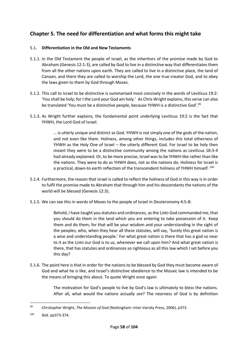# **Chapter 5. The need for differentiation and what forms this might take**

#### 5.1. **Differentiation in the Old and New Testaments**

- 5.1.1. In the Old Testament the people of Israel, as the inheritors of the promise made by God to Abraham (Genesis 12:1-3), are called by God to live in a distinctive way that differentiates them from all the other nations upon earth. They are called to live in a distinctive place, the land of Canaan, and there they are called to worship the Lord, the one true creator God, and to obey the laws given to them by God through Moses.
- 5.1.2. This call to Israel to be distinctive is summarised most concisely in the words of Leviticus 19:2: 'You shall be holy; for I the Lord your God am holy.' As Chris Wright explains, this verse can also be translated 'You must be a distinctive people, because YHWH is a distinctive God'.<sup>99</sup>
- 5.1.3. As Wright further explains, the fundamental point underlying Leviticus 19:2 is the fact that YHWH, the Lord God of Israel:

… is utterly unique and distinct as God. YHWH is not simply one of the gods of the nation, and not even like them. Holiness, among other things, includes this total otherness of YHWH as the Holy One of Israel – the utterly different God. For Israel to be holy then meant they were to be a distinctive community among the nations as Leviticus 18:3-4 had already explained. Or, to be more precise, Israel was to be YHWH-like rather than like the nations. They were to do as YHWH does, not as the nations do. Holiness for Israel is a practical, down-to earth reflection of the transcendent holiness of YHWH himself.<sup>100</sup>

- 5.1.4. Furthermore, the reason that Israel is called to reflect the holiness of God in this way is in order to fulfil the promise made to Abraham that through him and his descendants the nations of the world will be blessed (Genesis 12:3).
- 5.1.5. We can see this in words of Moses to the people of Israel in Deuteronomy 4:5-8:

Behold, I have taught you statutes and ordinances, as the LORD God commanded me, that you should do them in the land which you are entering to take possession of it. Keep them and do them; for that will be your wisdom and your understanding in the sight of the peoples, who, when they hear all these statutes, will say, 'Surely this great nation is a wise and understanding people.' For what great nation is there that has a god so near to it as the LORD our God is to us, whenever we call upon him? And what great nation is there, that has statutes and ordinances so righteous as all this law which I set before you this day?

5.1.6. The point here is that in order for the nations to be blessed by God they must become aware of God and what he is like, and Israel's distinctive obedience to the Mosaic law is intended to be the means of bringing this about. To quote Wright once again:

> The motivation for God's people to live by God's law is ultimately to bless the nations. After all, what would the nations actually *see*? The nearness of God is by definition

<sup>99</sup> Christopher Wright, *The Mission of God* (Nottingham: Inter-Varsity Press, 2006), p373.

<sup>100</sup> Ibid. pp373-374.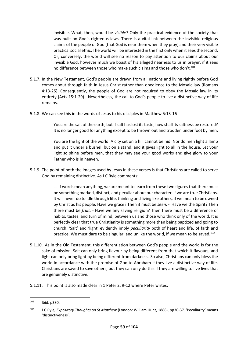invisible. What, then, would be *visible*? Only the practical evidence of the society that was built on God's righteous laws. There is a vital link between the invisible religious claims of the people of God (that God is near them when they pray) and their very visible practical social ethic. The world will be interested in the first only when it sees the second. Or, conversely, the world will see no reason to pay attention to our claims about our invisible God, however much we boast of his alleged nearness to us in prayer, if it sees no difference between those who make such claims and those who don't.<sup>101</sup>

- 5.1.7. In the New Testament, God's people are drawn from all nations and living rightly before God comes about through faith in Jesus Christ rather than obedience to the Mosaic law (Romans 4:13-25). Consequently, the people of God are not required to obey the Mosaic law in its entirety (Acts 15:1-29). Nevertheless, the call to God's people to live a distinctive way of life remains.
- 5.1.8. We can see this in the words of Jesus to his disciples in Matthew 5:13-16

You are the salt of the earth; but if salt has lost its taste, how shall its saltness be restored? It is no longer good for anything except to be thrown out and trodden under foot by men.

You are the light of the world. A city set on a hill cannot be hid. Nor do men light a lamp and put it under a bushel, but on a stand, and it gives light to all in the house. Let your light so shine before men, that they may see your good works and give glory to your Father who is in heaven.

5.1.9. The point of both the images used by Jesus in these verses is that Christians are called to serve God by remaining distinctive. As J C Ryle comments:

> … if words mean anything, we are meant to learn from these two figures that there must be something marked, distinct, and peculiar about our character, if we are true Christians. It will never do to Idle through life, thinking and living like others, if we mean to be owned by Christ as his people. Have we grace? Then it must be *seen*. - Have we the Spirit? Then there must be *fruit.* - Have we any saving religion? Then there must be a difference of habits, tastes, and turn of mind, between us and those who think only of the world. It is perfectly clear that true Christianity is something more than being baptized and going to church. 'Salt' and 'light' evidently imply *peculiarity* both of heart and life, of faith and practice. We must dare to be singular, and unlike the world, if we mean to be saved.<sup>102</sup>

- 5.1.10. As in the Old Testament, this differentiation between God's people and the world is for the sake of mission. Salt can only bring flavour by being different from that which it flavours, and light can only bring light by being different from darkness. So also, Christians can only bless the world in accordance with the promise of God to Abraham if they live a distinctive way of life. Christians are saved to save others, but they can only do this if they are willing to live lives that are genuinely distinctive.
- 5.1.11. This point is also made clear in 1 Peter 2: 9-12 where Peter writes:

<sup>101</sup> Ibid. p380.

<sup>102</sup> J C Ryle, *Expository Thoughts on St Matthew* (London: William Hunt, 1888), pp36-37. 'Peculiarity' means 'distinctiveness'.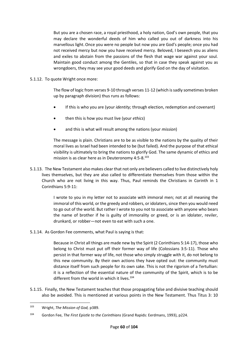But you are a chosen race, a royal priesthood, a holy nation, God's own people, that you may declare the wonderful deeds of him who called you out of darkness into his marvellous light.Once you were no people but now you are God's people; once you had not received mercy but now you have received mercy. Beloved, I beseech you as aliens and exiles to abstain from the passions of the flesh that wage war against your soul. Maintain good conduct among the Gentiles, so that in case they speak against you as wrongdoers, they may see your good deeds and glorify God on the day of visitation.

#### 5.1.12. To quote Wright once more:

The flow of logic from verses 9-10 through verses 11-12 (which is sadly sometimes broken up by paragraph division) thus runs as follows:

- If this is who you are (your *identity;* through election, redemption and covenant)
- then this is how you must live (your *ethics*)
- and this is what will result among the nations (your *mission*)

The message is plain. Christians are to be as visible to the nations by the quality of their moral lives as Israel had been intended to be (but failed). And the purpose of that ethical visibility is ultimately to bring the nations to glorify God. The same dynamic of ethics and mission is as clear here as in Deuteronomy 4:5-8.<sup>103</sup>

5.1.13. The New Testament also makes clear that not only are believers called to live distinctively holy lives themselves, but they are also called to differentiate themselves from those within the Church who are not living in this way. Thus, Paul reminds the Christians in Corinth in 1 Corinthians 5:9-11:

> I wrote to you in my letter not to associate with immoral men; not at all meaning the immoral of this world, or the greedy and robbers, or idolaters, since then you would need to go out of the world. But rather I wrote to you not to associate with anyone who bears the name of brother if he is guilty of immorality or greed, or is an idolater, reviler, drunkard, or robber—not even to eat with such a one.

5.1.14. As Gordon Fee comments, what Paul is saying is that:

Because in Christ all things are made new by the Spirit (2 Corinthians 5:14-17), those who belong to Christ must put off their former way of life (Colossians 3:5-11). Those who persist in that former way of life, not those who simply struggle with it, do not belong to this new community. By their own actions they have opted out: the community must distance itself from such people for its own sake. This is not the rigorism of a Tertullian: it is a reflection of the essential nature of the community of the Spirit, which is to be different from the world in which it lives.<sup>104</sup>

5.1.15. Finally, the New Testament teaches that those propagating false and divisive teaching should also be avoided. This is mentioned at various points in the New Testament. Thus Titus 3: 10

<sup>103</sup> Wright, *The Mission of God,* p389.

<sup>104</sup> Gordon Fee, *The First Epistle to the Corinthians* (Grand Rapids: Eerdmans, 1993), p224.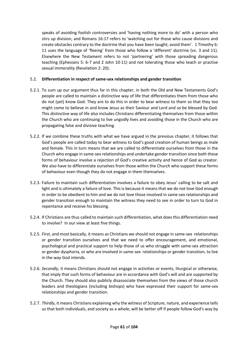speaks of avoiding foolish controversies and 'having nothing more to do' with a person who stirs up division; and Romans 16:17 refers to 'watching out for those who cause divisions and create obstacles contrary to the doctrine that you have been taught; avoid them'. 1 Timothy 6: 11 uses the language of 'fleeing' from those who follow a 'different' doctrine (vv. 3 and 11). Elsewhere the New Testament refers to not 'partnering' with those spreading dangerous teaching (Ephesians 5: 6-7 and 2 John 10-11) and not tolerating those who teach or practise sexual immorality (Revelation 2: 20).

#### 5.2. **Differentiation in respect of same-sex relationships and gender transition**

- 5.2.1. To sum up our argument thus far in this chapter, in both the Old and New Testaments God's people are called to maintain a distinctive way of life that differentiates them from those who do not (yet) know God. They are to do this in order to bear witness to them so that they too might come to believe in and know Jesus as their Saviour and Lord and so be blessed by God. This distinctive way of life also includes Christians differentiating themselves from those within the Church who are continuing to live ungodly lives and avoiding those in the Church who are propagating false and divisive teaching.
- 5.2.2. If we combine these truths with what we have argued in the previous chapter, it follows that God's people are called today to bear witness to God's good creation of human beings as male and female. This in turn means that we are called to differentiate ourselves from those in the Church who engage in same-sex relationships and undertake gender transition since both these forms of behaviour involve a rejection of God's creative activity and hence of God as creator. We also have to differentiate ourselves from those within the Church who support these forms of behaviour even though they do not engage in them themselves.
- 5.2.3. Failure to maintain such differentiation involves a failure to obey Jesus' calling to be salt and light and is ultimately a failure of love. This is because it means that we do not love God enough in order to be obedient to him and we do not love those involved in same-sex relationships and gender transition enough to maintain the witness they need to see in order to turn to God in repentance and receive his blessing.
- 5.2.4. If Christians are thus called to maintain such differentiation, what does this differentiation need to involve? In our view at least five things.
- 5.2.5. *First*, and most basically, it means as Christians we should not engage in same-sex relationships or gender transition ourselves and that we need to offer encouragement, and emotional, psychological and practical support to help those of us who struggle with same-sex attraction or gender dysphoria, or who are involved in same-sex relationships or gender transition, to live in the way God intends.
- 5.2.6. *Secondly*, it means Christians should not engage in activities or events, liturgical or otherwise, that imply that such forms of behaviour are in accordance with God's will and are supported by the Church. They should also publicly disassociate themselves from the views of those church leaders and theologians (including bishops) who have expressed their support for same-sex relationships and gender transition.
- 5.2.7. *Thirdly*, it means Christians explaining why the witness of Scripture, nature, and experience tells us that both individuals, and society as a whole, will be better off if people follow God's way by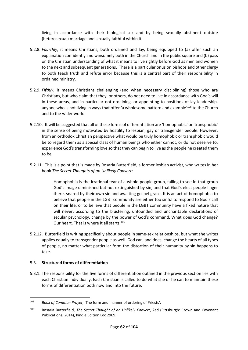living in accordance with their biological sex and by being sexually abstinent outside (heterosexual) marriage and sexually faithful within it.

- 5.2.8. *Fourthly*, it means Christians, both ordained and lay, being equipped to (a) offer such an explanation confidently and winsomely both in the Church and in the public square and (b) pass on the Christian understanding of what it means to live rightly before God as men and women to the next and subsequent generations. There is a particular onus on bishops and other clergy to both teach truth and refute error because this is a central part of their responsibility in ordained ministry.
- 5.2.9. *Fifthly*, it means Christians challenging (and when necessary disciplining) those who are Christians, but who claim that they, or others, do not need to live in accordance with God's will in these areas, and in particular not ordaining, or appointing to positions of lay leadership, anyone who is not living in ways that offer 'a wholesome pattern and example<sup>'105</sup> to the Church and to the wider world.
- 5.2.10. It will be suggested that all of these forms of differentiation are 'homophobic' or 'transphobic' in the sense of being motivated by hostility to lesbian, gay or transgender people. However, from an orthodox Christian perspective what would be truly homophobic or transphobic would be to regard them as a special class of human beings who either cannot, or do not deserve to, experience God's transforming love so that they can begin to live as the people he created them to be.
- 5.2.11. This is a point that is made by Rosaria Butterfield, a former lesbian activist, who writes in her book *The Secret Thoughts of an Unlikely Convert*:

Homophobia is the irrational fear of a whole people group, failing to see in that group God's image diminished but not extinguished by sin, and that God's elect people linger there, snared by their own sin and awaiting gospel grace. It is an act of homophobia to believe that people in the LGBT community are either too sinful to respond to God's call on their life, or to believe that people in the LGBT community have a fixed nature that will never, according to the blustering, unfounded and uncharitable declarations of secular psychology, change by the power of God's command. What does God change? Our heart. That is where it all starts.<sup>106</sup>

5.2.12. Butterfield is writing specifically about people in same-sex relationships, but what she writes applies equally to transgender people as well. God can, and does, change the hearts of all types of people, no matter what particular form the distortion of their humanity by sin happens to take.

#### 5.3. **Structured forms of differentiation**

5.3.1. The responsibility for the five forms of differentiation outlined in the previous section lies with each Christian individually. Each Christian is called to do what she or he can to maintain these forms of differentiation both now and into the future.

<sup>105</sup> *Book of Common Prayer,* 'The form and manner of ordering of Priests'.

<sup>106</sup> Rosaria Butterfield, *The Secret Thought of an Unlikely Convert*, 2ed (Pittsburgh: Crown and Covenant Publications, 2014), Kindle Edition Loc 2969.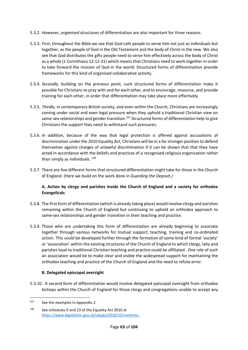- 5.3.2. However, *organised* structures of differentiation are also important for three reasons.
- 5.3.3. *First*, throughout the Bible we see that God calls people to serve him not just as individuals but together, as the people of God in the Old Testament and the body of Christ in the new. We also see that God distributes the gifts people need to serve him effectively across the body of Christ as a whole (1 Corinthians 12:12-31) which means that Christians need to work together in order to take forward the mission of God in the world. Structured forms of differentiation provide frameworks for this kind of organised collaborative activity.
- 5.3.4. *Secondly*, building on the previous point, such structured forms of differentiation make it possible for Christians to pray with and for each other, and to encourage, resource, and provide training for each other, in order that differentiation may take place more effectively.
- 5.3.5. *Thirdly*, in contemporary British society, and even within the Church, Christians are increasingly coming under social and even legal pressure when they uphold a traditional Christian view on same-sex relationships and gender transition.<sup>107</sup> Structured forms of differentiation help to give Christians the support they need to withstand such pressures.
- 5.3.6. *In addition*, because of the way that legal protection is offered against accusations of discrimination under the 2010 Equality Act, Christians will be in a far stronger position to defend themselves against charges of unlawful discrimination if it can be shown that that they have acted in accordance with the beliefs and practices of a recognised religious organisation rather than simply as individuals.  $108$
- 5.3.7. There are five different forms that structured differentiation might take for those in the Church of England. (Here we build on the work done in *Guarding the Deposit.)*

## **A. Action by clergy and parishes inside the Church of England and a society for orthodox Evangelicals**

- 5.3.8. The first form of differentiation (which is already taking place) would involve clergy and parishes remaining within the Church of England but continuing to uphold an orthodox approach to same-sex relationships and gender transition in their teaching and practice.
- 5.3.9. Those who are undertaking this form of differentiation are already beginning to associate together through various networks for mutual support, teaching, training and co-ordinated action. This could be developed further through the formation of some kind of formal 'society' or 'association' within the existing structures of the Church of England to which clergy, laity and parishes loyal to traditional Christian teaching and practice could be affiliated. One role of such an association would be to make clear and visible the widespread support for maintaining the orthodox teaching and practice of the Church of England and the need to refute error.

#### **B. Delegated episcopal oversight**

5.3.10. A second form of differentiation would involve delegated episcopal oversight from orthodox bishops within the Church of England for those clergy and congregations unable to accept any

<sup>&</sup>lt;sup>107</sup> See the examples in Appendix 2.

<sup>108</sup> See schedules 9 and 23 of the Equality Act 2010 at [https://www.legislation.gov.uk/ukpga/2010/15/contents.](https://www.legislation.gov.uk/ukpga/2010/15/contents)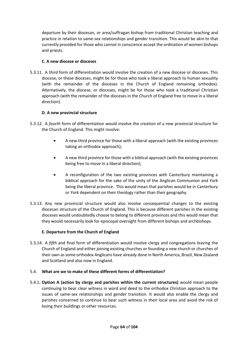departure by their diocesan, or area/suffragan bishop from traditional Christian teaching and practice in relation to same-sex relationships and gender transition. This would be akin to that currently provided for those who cannot in conscience accept the ordination of women bishops and priests.

### **C. A new diocese or dioceses**

5.3.11. A *third* form of differentiation would involve the creation of a new diocese or dioceses. This diocese, or these dioceses, might be for those who took a liberal approach to human sexuality (with the remainder of the dioceses in the Church of England remaining orthodox). Alternatively, the diocese, or dioceses, might be for those who took a traditional Christian approach (with the remainder of the dioceses in the Church of England free to move in a liberal direction).

#### **D. A new provincial structure**

- 5.3.12. A *fourth* form of differentiation would involve the creation of a new provincial structure for the Church of England. This might involve:
	- A new third province for those with a liberal approach (with the existing provinces taking an orthodox approach);
	- A new third province for those with a biblical approach (with the existing provinces being free to move in a liberal direction);
	- A reconfiguration of the two existing provinces with Canterbury maintaining a biblical approach for the sake of the unity of the Anglican Communion and York being the liberal province. This would mean that parishes would be in Canterbury or York dependent on their theology rather than their geography.
- 5.3.13. Any new provincial structure would also involve consequential changes to the existing diocesan structure of the Church of England. This is because different parishes in the existing dioceses would undoubtedly choose to belong to different provinces and this would mean that they would necessarily look for episcopal oversight from different bishops and archbishops.

#### **E. Departure from the Church of England**

5.3.14. A *fifth* and final form of differentiation would involve clergy and congregations leaving the Church of England and either joining existing churches or founding a new church or churches of their own as some orthodox Anglicans have already done in North America, Brazil, New Zealand and Scotland and also now in England.

#### 5.4. **What are we to make of these different forms of differentiation?**

5.4.1. **Option A (action by clergy and parishes within the current structures)** would mean people continuing to bear clear witness in word and deed to the orthodox Christian approach to the issues of same-sex relationships and gender transition. It would also enable the clergy and parishes concerned to continue to bear such witness in their local area and avoid the risk of losing their buildings or other resources.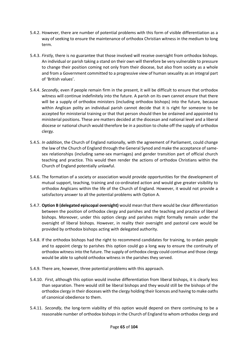- 5.4.2. However, there are number of potential problems with this form of visible differentiation as a way of seeking to ensure the maintenance of orthodox Christian witness in the medium to long term.
- 5.4.3. *Firstly,* there is no guarantee that those involved will receive oversight from orthodox bishops. An individual or parish taking a stand on their own will therefore be very vulnerable to pressure to change their position coming not only from their diocese, but also from society as a whole and from a Government committed to a progressive view of human sexuality as an integral part of 'British values'.
- 5.4.4. *Secondly*, even if people remain firm in the present, it will be difficult to ensure that orthodox witness will continue indefinitely into the future. A parish on its own cannot ensure that there will be a supply of orthodox ministers (including orthodox bishops) into the future, because within Anglican polity an individual parish cannot decide that it is right for someone to be accepted for ministerial training or that that person should then be ordained and appointed to ministerial positions. These are matters decided at the diocesan and national level and a liberal diocese or national church would therefore be in a position to choke off the supply of orthodox clergy.
- 5.4.5. *In addition*, the Church of England nationally, with the agreement of Parliament, could change the law of the Church of England through the General Synod and make the acceptance of samesex relationships (including same-sex marriages) and gender transition part of official church teaching and practice. This would then render the actions of orthodox Christians within the Church of England potentially unlawful.
- 5.4.6. The formation of a society or association would provide opportunities for the development of mutual support, teaching, training and co-ordinated action and would give greater visibility to orthodox Anglicans within the life of the Church of England. However, it would not provide a satisfactory answer to all the potential problems with Option A.
- 5.4.7. **Option B (delegated episcopal oversight)** would mean that there would be clear differentiation between the position of orthodox clergy and parishes and the teaching and practice of liberal bishops. Moreover, under this option clergy and parishes might formally remain under the oversight of liberal bishops. However, in reality their oversight and pastoral care would be provided by orthodox bishops acting with delegated authority.
- 5.4.8. If the orthodox bishops had the right to recommend candidates for training, to ordain people and to appoint clergy to parishes this option could go a long way to ensure the continuity of orthodox witness into the future. The supply of orthodox clergy could continue and those clergy would be able to uphold orthodox witness in the parishes they served.
- 5.4.9. There are, however, three potential problems with this approach.
- 5.4.10. *First*, although this option would involve differentiation from liberal bishops, it is clearly less than separation. There would still be liberal bishops and they would still be the bishops of the orthodox clergy in their dioceses with the clergy holding their licences and having to make oaths of canonical obedience to them.
- 5.4.11. *Secondly*, the long-term viability of this option would depend on there continuing to be a reasonable number of orthodox bishops in the Church of England to whom orthodox clergy and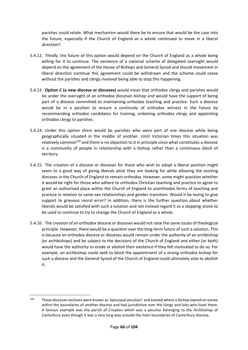parishes could relate. What mechanism would there be to ensure that would be the case into the future, especially if the Church of England as a whole continued to move in a liberal direction?

- 5.4.12. *Thirdly*, the future of this option would depend on the Church of England as a whole being willing for it to continue. The existence of a national scheme of delegated oversight would depend on the agreement of the House of Bishops and General Synod and should movement in liberal direction continue this agreement could be withdrawn and the scheme could cease without the parishes and clergy involved being able to stop this happening.
- 5.4.13. **Option C (a new diocese or dioceses)** would mean that orthodox clergy and parishes would be under the oversight of an orthodox diocesan bishop and would have the support of being part of a diocese committed to maintaining orthodox teaching and practice. Such a diocese would be in a position to ensure a continuity of orthodox witness in the future by recommending orthodox candidates for training, ordaining orthodox clergy and appointing orthodox clergy to parishes.
- 5.4.14. Under this option there would be parishes who were part of one diocese while being geographically situated in the middle of another. Until Victorian times this situation was relatively common<sup>109</sup> and there is no objection to it in principle since what constitutes a diocese is a community of people in relationship with a bishop rather than a continuous block of territory.
- 5.4.15. The creation of a diocese or dioceses for those who wish to adopt a liberal position might seem to a good way of giving liberals what they are looking for while allowing the existing dioceses in the Church of England to remain orthodox. However, some might question whether it would be right for those who adhere to orthodox Christian teaching and practice to agree to grant an authorised place within the Church of England to unorthodox forms of teaching and practice in relation to same-sex relationships and gender transition. Would it be loving to give support to grievous moral error? In addition, there is the further question about whether liberals would be satisfied with such a solution and not instead regard it as a stepping-stone to be used to continue to try to change the Church of England as a whole.
- 5.4.16. The creation of an orthodox diocese or dioceses would not raise the same issues of theological principle. However, there would be a question over the long-term future of such a solution. This is because an orthodox diocese or dioceses would remain under the authority of an archbishop (or archbishops) and be subject to the decisions of the Church of England and either (or both) would have the authority to erode or abolish their existence if they felt motivated to do so. For example, an archbishop could seek to block the appointment of a strong orthodox bishop for such a diocese and the General Synod of the Church of England could ultimately vote to abolish it.

<sup>&</sup>lt;sup>109</sup> These diocesan exclaves were known as 'episcopal peculiars' and existed where a bishop owned an estate within the boundaries of another diocese and had jurisdiction over the clergy and laity who lived there. A famous example was the parish of Croydon which was a peculiar belonging to the Archbishop of Canterbury even though it was a very long way outside the main boundaries of Canterbury diocese.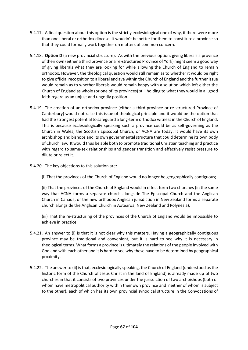- 5.4.17. A final question about this option is the strictly ecclesiological one of why, if there were more than one liberal or orthodox diocese, it wouldn't be better for them to constitute a province so that they could formally work together on matters of common concern.
- 5.4.18. **Option D** (a new provincial structure). As with the previous option, giving liberals a province of their own (either a third province or a re-structured Province of York) might seem a good way of giving liberals what they are looking for while allowing the Church of England to remain orthodox. However, the theological question would still remain as to whether it would be right to give official recognition to a liberal enclave within the Church of England and the further issue would remain as to whether liberals would remain happy with a solution which left either the Church of England as whole (or one of its provinces) still holding to what they would in all good faith regard as an unjust and ungodly position.
- 5.4.19. The creation of an orthodox province (either a third province or re-structured Province of Canterbury) would not raise this issue of theological principle and it would be the option that had the strongest potential to safeguard a long-term orthodox witness in the Church of England. This is because ecclesiologically speaking such a province could be as self-governing as the Church in Wales, the Scottish Episcopal Church, or ACNA are today. It would have its own archbishop and bishops and its own governmental structure that could determine its own body of Church law. It would thus be able both to promote traditional Christian teaching and practice with regard to same-sex relationships and gender transition and effectively resist pressure to dilute or reject it.
- 5.4.20. The key objections to this solution are:

(i) That the provinces of the Church of England would no longer be geographically contiguous;

(ii) That the provinces of the Church of England would in effect form two churches (in the same way that ACNA forms a separate church alongside The Episcopal Church and the Anglican Church in Canada, or the new orthodox Anglican jurisdiction in New Zealand forms a separate church alongside the Anglican Church in Aotearoa, New Zealand and Polynesia);

(iii) That the re-structuring of the provinces of the Church of England would be impossible to achieve in practice.

- 5.4.21. An answer to (i) is that it is not clear why this matters. Having a geographically contiguous province may be traditional and convenient, but it is hard to see why it is necessary in theological terms. What forms a province is ultimately the relations of the people involved with God and with each other and it is hard to see why these have to be determined by geographical proximity.
- 5.4.22. The answer to (ii) is that, ecclesiologically speaking, the Church of England (understood as the historic form of the Church of Jesus Christ in the land of England) is already made up of two churches in that it consists of two provinces under the jurisdiction of two archbishops (both of whom have metropolitical authority within their own province and neither of whom is subject to the other), each of which has its own provincial synodical structure in the Convocations of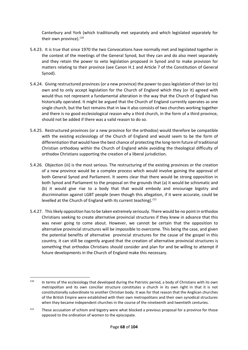Canterbury and York (which traditionally met separately and which legislated separately for their own province).<sup>110</sup>

- 5.4.23. It is true that since 1970 the two Convocations have normally met and legislated together in the context of the meetings of the General Synod, but they can and do also meet separately and they retain the power to veto legislation proposed in Synod and to make provision for matters relating to their province (see Canon H.1 and Article 7 of the Constitution of General Synod).
- 5.4.24. Giving restructured provinces (or a new province) the power to pass legislation of their (or its) own and to only accept legislation for the Church of England which they (or it) agreed with would thus not represent a fundamental alteration in the way that the Church of England has historically operated. It might be argued that the Church of England currently operates as one single church, but the fact remains that in law it also consists of two churches working together and there is no good ecclesiological reason why a third church, in the form of a third province, should not be added if there was a valid reason to do so.
- 5.4.25. Restructured provinces (or a new province for the orthodox) would therefore be compatible with the existing ecclesiology of the Church of England and would seem to be the form of differentiation that would have the best chance of protecting the long-term future of traditional Christian orthodoxy within the Church of England while avoiding the theological difficulty of orthodox Christians supporting the creation of a liberal jurisdiction.
- 5.4.26. Objection (iii) is the most serious. The restructuring of the existing provinces or the creation of a new province would be a complex process which would involve gaining the approval of both General Synod and Parliament. It seems clear that there would be strong opposition in both Synod and Parliament to the proposal on the grounds that (a) it would be schismatic and (b) it would give rise to a body that that would embody and encourage bigotry and discrimination against LGBT people (even though this allegation, if it were accurate, could be levelled at the Church of England with its current teaching).<sup>111</sup>
- 5.4.27. This likely opposition has to be taken extremely seriously. There would be no point in orthodox Christians seeking to create alternative provincial structures if they knew in advance that this was never going to come about. However, we cannot be certain that the opposition to alternative provincial structures will be impossible to overcome. This being the case, and given the potential benefits of alternative provincial structures for the cause of the gospel in this country, it can still be cogently argued that the creation of alternative provincial structures is something that orthodox Christians should consider and plan for and be willing to attempt if future developments in the Church of England make this necessary.

<sup>&</sup>lt;sup>110</sup> In terms of the ecclesiology that developed during the Patristic period, a body of Christians with its own metropolitan and its own conciliar structure constitutes a church in its own right in that it is not constitutionally subordinate to another Christian body. It was for that reason that the Anglican churches of the British Empire were established with their own metropolitans and their own synodical structures when they became independent churches in the course of the nineteenth and twentieth centuries.

<sup>&</sup>lt;sup>111</sup> These accusation of schism and bigotry were what blocked a previous proposal for a province for those opposed to the ordination of women to the episcopate.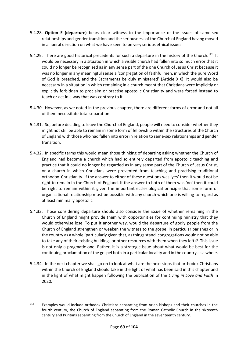- 5.4.28. **Option E (departure)** bears clear witness to the importance of the issues of same-sex relationships and gender transition and the seriousness of the Church of England having moved in a liberal direction on what we have seen to be very serious ethical issues.
- 5.4.29. There are good historical precedents for such a departure in the history of the Church.<sup>112</sup> It would be necessary in a situation in which a visible church had fallen into so much error that it could no longer be recognised as in any sense part of the one Church of Jesus Christ because it was no longer in any meaningful sense a 'congregation of faithful men, in which the pure Word of God is preached, and the Sacraments be duly ministered' (Article XIX). It would also be necessary in a situation in which remaining in a church meant that Christians were implicitly or explicitly forbidden to proclaim or practise apostolic Christianity and were forced instead to teach or act in a way that was contrary to it.
- 5.4.30. However, as we noted in the previous chapter, there are different forms of error and not all of them necessitate total separation.
- 5.4.31. So, before deciding to leave the Church of England, people will need to consider whether they might not still be able to remain in some form of fellowship within the structures of the Church of England with those who had fallen into error in relation to same-sex relationships and gender transition.
- 5.4.32. In specific terms this would mean those thinking of departing asking whether the Church of England had become a church which had so entirely departed from apostolic teaching and practice that it could no longer be regarded as in any sense part of the Church of Jesus Christ, or a church in which Christians were prevented from teaching and practising traditional orthodox Christianity. If the answer to either of these questions was 'yes' then it would not be right to remain in the Church of England. If the answer to both of them was 'no' then it could be right to remain within it given the important ecclesiological principle that some form of organisational relationship must be possible with any church which one is willing to regard as at least minimally apostolic.
- 5.4.33. Those considering departure should also consider the issue of whether remaining in the Church of England might provide them with opportunities for continuing ministry that they would otherwise lose. To put it another way, would the departure of godly people from the Church of England strengthen or weaken the witness to the gospel in particular parishes or in the country as a whole (particularly given that, as things stand, congregations would not be able to take any of their existing buildings or other resources with them when they left)? This issue is not only a pragmatic one. Rather, it is a strategic issue about what would be best for the continuing proclamation of the gospel both in a particular locality and in the country as a whole.
- 5.4.34. In the next chapter we shall go on to look at what are the next steps that orthodox Christians within the Church of England should take in the light of what has been said in this chapter and in the light of what might happen following the publication of the *Living in Love and Faith* in 2020.

<sup>112</sup> Examples would include orthodox Christians separating from Arian bishops and their churches in the fourth century, the Church of England separating from the Roman Catholic Church in the sixteenth century and Puritans separating from the Church of England in the seventeenth century.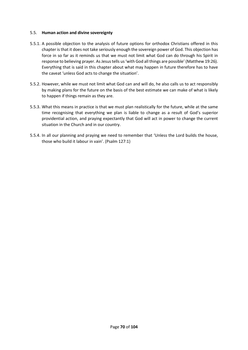#### 5.5. **Human action and divine sovereignty**

- 5.5.1. A possible objection to the analysis of future options for orthodox Christians offered in this chapter is that it does not take seriously enough the sovereign power of God. This objection has force in so far as it reminds us that we must not limit what God can do through his Spirit in response to believing prayer. As Jesus tells us 'with God all things are possible' (Matthew 19:26). Everything that is said in this chapter about what may happen in future therefore has to have the caveat 'unless God acts to change the situation'.
- 5.5.2. However, while we must not limit what God can and will do, he also calls us to act responsibly by making plans for the future on the basis of the best estimate we can make of what is likely to happen if things remain as they are.
- 5.5.3. What this means in practice is that we must plan realistically for the future, while at the same time recognising that everything we plan is liable to change as a result of God's superior providential action, and praying expectantly that God will act in power to change the current situation in the Church and in our country.
- 5.5.4. In all our planning and praying we need to remember that 'Unless the Lord builds the house, those who build it labour in vain'. (Psalm 127:1)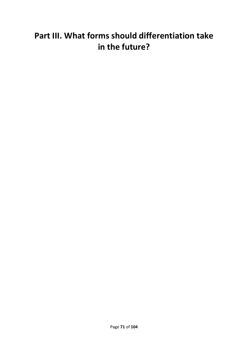# **Part III. What forms should differentiation take in the future?**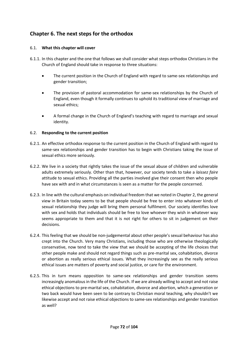# **Chapter 6. The next steps for the orthodox**

#### 6.1. **What this chapter will cover**

- 6.1.1. In this chapter and the one that follows we shall consider what steps orthodox Christians in the Church of England should take in response to three situations:
	- The current position in the Church of England with regard to same-sex relationships and gender transition;
	- The provision of pastoral accommodation for same-sex relationships by the Church of England, even though it formally continues to uphold its traditional view of marriage and sexual ethics;
	- A formal change in the Church of England's teaching with regard to marriage and sexual identity.

#### 6.2. **Responding to the current position**

- 6.2.1. An effective orthodox response to the current position in the Church of England with regard to same-sex relationships and gender transition has to begin with Christians taking the issue of sexual ethics more seriously.
- 6.2.2. We live in a society that rightly takes the issue of the sexual abuse of children and vulnerable adults extremely seriously. Other than that, however, our society tends to take a *laissez faire* attitude to sexual ethics. Providing all the parties involved give their consent then who people have sex with and in what circumstances is seen as a matter for the people concerned.
- 6.2.3. In line with the cultural emphasis on individual freedom that we noted in Chapter 2, the general view in Britain today seems to be that people should be free to enter into whatever kinds of sexual relationship they judge will bring them personal fulfilment. Our society identifies love with sex and holds that individuals should be free to love whoever they wish in whatever way seems appropriate to them and that it is not right for others to sit in judgement on their decisions.
- 6.2.4. This feeling that we should be non-judgemental about other people's sexual behaviour has also crept into the Church. Very many Christians, including those who are otherwise theologically conservative, now tend to take the view that we should be accepting of the life choices that other people make and should not regard things such as pre-marital sex, cohabitation, divorce or abortion as really serious ethical issues. What they increasingly see as the really serious ethical issues are matters of poverty and social justice, or care for the environment.
- 6.2.5. This in turn means opposition to same-sex relationships and gender transition seems increasingly anomalous in the life of the Church. If we are already willing to accept and not raise ethical objections to pre-marital sex, cohabitation, divorce and abortion, which a generation or two back would have been seen to be contrary to Christian moral teaching, why shouldn't we likewise accept and not raise ethical objections to same-sex relationships and gender transition as well?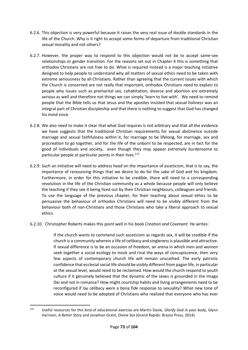- 6.2.6. This objection is very powerful because it raises the very real issue of double standards in the life of the Church. Why is it right to accept some forms of departure from traditional Christian sexual morality and not others?
- 6.2.7. However, the proper way to respond to this objection would not be to accept same-sex relationships or gender transition. For the reasons set out in Chapter 4 this is something that orthodox Christians are not free to do. What is required instead is a major teaching initiative designed to help people to understand why *all* matters of sexual ethics need to be taken with extreme seriousness by all Christians. Rather than agreeing that the current issues with which the Church is concerned are not really that important, orthodox Christians need to explain to people why issues such as premarital sex, cohabitation, divorce and abortion are extremely serious as well and therefore not things we can simply 'learn to live with'. We need to remind people that the Bible tells us that Jesus and the apostles insisted that sexual holiness was an integral part of Christian discipleship and that there is nothing to suggest that God has changed his mind since.
- 6.2.8. We also need to make it clear that what God requires is not arbitrary and that all the evidence we have suggests that the traditional Christian requirements for sexual abstinence outside marriage and sexual faithfulness within it, for marriage to be lifelong, for marriage, sex and procreation to go together, and for the life of the unborn to be respected, are in fact for the good of individuals and society, even though they may appear extremely burdensome to particular people at particular points in their lives.<sup>113</sup>
- 6.2.9. Such an initiative will need to address head on the importance of asceticism, that is to say, the importance of renouncing things that we desire to do for the sake of God and his kingdom. Furthermore, in order for this initiative to be credible, there will need to a corresponding revolution in the life of the Christian community as a whole because people will only believe the teaching if they see it being lived out by their Christian neighbours, colleagues and friends. To use the language of the previous chapter, for their teaching about sexual ethics to be persuasive the behaviour of orthodox Christians will need to be visibly different from the behaviour both of non-Christians and those Christians who take a liberal approach to sexual ethics.
- 6.2.10. Christopher Roberts makes this point well in his book *Creation and Covenant*. He writes:

If the church wants to commend such asceticism as regards sex, it will be credible if the church is a community wherein a life of celibacy and singleness is plausible and attractive. If sexual difference is to be an occasion of freedom, an arena in which men and women seek together a social ecology to mock and rival the ways of concupiscence, then very few aspects of contemporary church life will remain unscathed. The early patristic confidence that ecclesial social life should be visibly different from pagan life, in particular at the sexual level, would need to be reclaimed. How would the church respond to youth culture if it genuinely believed that the dynamic of the sexes is grounded in the Imago Dei and not in romance? How might courtship habits and living arrangements need to be reconfigured if lay celibacy were a bona fide response to sexuality? What new tone of voice would need to be adopted of Christians who realized that everyone who has ever

<sup>113</sup> Useful resources for this kind of educational exercise are Martin Davie, *Glorify God in your body,* Glynn Harrison, *A Better Story* and Jonathan Grant, *Divine Sex* (Grand Rapids: Brazos Press, 2014).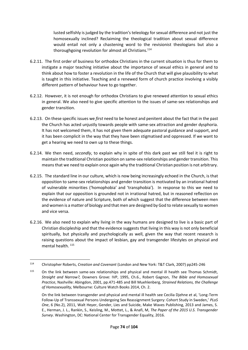lusted selfishly is judged by the tradition's teleology for sexual difference and not just the homosexually inclined? Reclaiming the theological tradition about sexual difference would entail not only a chastening word to the revisionist theologians but also a thoroughgoing revolution for almost all Christians.<sup>114</sup>

- 6.2.11. The first order of business for orthodox Christians in the current situation is thus for them to instigate a major teaching initiative about the importance of sexual ethics in general and to think about how to foster a revolution in the life of the Church that will give plausibility to what is taught in this initiative. Teaching and a renewed form of church practice involving a visibly different pattern of behaviour have to go together.
- 6.2.12. However, it is not enough for orthodox Christians to give renewed attention to sexual ethics in general. We also need to give specific attention to the issues of same-sex relationships and gender transition.
- 6.2.13. On these specific issues we *first* need to be honest and penitent about the fact that in the past the Church has acted unjustly towards people with same-sex attraction and gender dysphoria. It has not welcomed them, it has not given them adequate pastoral guidance and support, and it has been complicit in the way that they have been stigmatised and oppressed. If we want to get a hearing we need to own up to these things.
- 6.2.14. We then need, *secondly*, to explain why in spite of this dark past we still feel it is right to maintain the traditional Christian position on same-sex relationships and gender transition. This means that we need to explain once again why the traditional Christian position is not arbitrary.
- 6.2.15. The standard line in our culture, which is now being increasingly echoed in the Church, is that opposition to same-sex relationships and gender transition is motivated by an irrational hatred of vulnerable minorities ('homophobia' and 'transphobia'). In response to this we need to explain that our opposition is grounded not in irrational hatred, but in reasoned reflection on the evidence of nature and Scripture, both of which suggest that the difference between men and women is a matter of biology and that men are designed by God to relate sexually to women and vice versa.
- 6.2.16. We also need to explain why living in the way humans are designed to live is a basic part of Christian discipleship and that the evidence suggests that living in this way is not only beneficial spiritually, but physically and psychologically as well, given the way that recent research is raising questions about the impact of lesbian, gay and transgender lifestyles on physical and mental health.<sup>115</sup>

<sup>114</sup> Christopher Roberts, *Creation and Covenant* (London and New York: T&T Clark, 2007) pp245-246

 $115$  On the link between same-sex relationships and physical and mental ill health see Thomas Schmidt, *Straight and Narrow?,* Downers Grove: IVP, 1995, Ch.6., Robert Gagnon, *The Bible and Homosexual Practice*, Nashville: Abingdon, 2001, pp.471-485 and Bill Muehlenberg, *Strained Relations, the Challenge of Homosexuality,* Melbourne: Culture Watch Books 2014, Ch. 2.

On the link between transgender and physical and mental ill health see Cecilia Djehne et al, 'Long-Term Follow-Up of Transsexual Persons Undergoing Sex Reassignment Surgery: Cohort Study in Sweden,' *PLoS One*, 6 (No.2), 2011, Walt Heyer, Gender, Lies and Suicide, Make Waves Publishing, 2013 and James, S. E., Herman, J. L., Rankin, S., Keisling, M., Mottet, L., & Anafi, M, *The Paper of the 2015 U.S. Transgender Survey*. Washington, DC: National Center for Transgender Equality, 2016.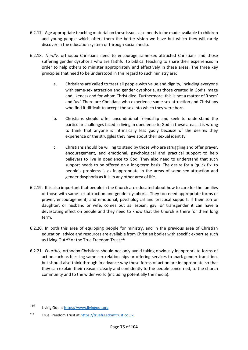- 6.2.17. Age appropriate teaching material on these issues also needs to be made available to children and young people which offers them the better vision we have but which they will rarely discover in the education system or through social media.
- 6.2.18. *Thirdly*, orthodox Christians need to encourage same-sex attracted Christians and those suffering gender dysphoria who are faithful to biblical teaching to share their experiences in order to help others to minister appropriately and effectively in these areas. The three key principles that need to be understood in this regard to such ministry are:
	- a. Christians are called to treat all people with value and dignity, including everyone with same-sex attraction and gender dysphoria, as those created in God's image and likeness and for whom Christ died. Furthermore, this is not a matter of 'them' and 'us.' There are Christians who experience same-sex attraction and Christians who find it difficult to accept the sex into which they were born.
	- b. Christians should offer unconditional friendship and seek to understand the particular challenges faced in living in obedience to God in these areas. It is wrong to think that anyone is intrinsically less godly because of the desires they experience or the struggles they have about their sexual identity.
	- c. Christians should be willing to stand by those who are struggling and offer prayer, encouragement, and emotional, psychological and practical support to help believers to live in obedience to God. They also need to understand that such support needs to be offered on a long-term basis. The desire for a 'quick fix' to people's problems is as inappropriate in the areas of same-sex attraction and gender dysphoria as it is in any other area of life.
- 6.2.19. It is also important that people in the Church are educated about how to care for the families of those with same-sex attraction and gender dysphoria. They too need appropriate forms of prayer, encouragement, and emotional, psychological and practical support. If their son or daughter, or husband or wife, comes out as lesbian, gay, or transgender it can have a devastating effect on people and they need to know that the Church is there for them long term.
- 6.2.20. In both this area of equipping people for ministry, and in the previous area of Christian education, advice and resources are available from Christian bodies with specific expertise such as Living Out<sup>116</sup> or the True Freedom Trust.<sup>117</sup>
- 6.2.21. *Fourthly*, orthodox Christians should not only avoid taking obviously inappropriate forms of action such as blessing same-sex relationships or offering services to mark gender transition, but should also think through in advance why these forms of action are inappropriate so that they can explain their reasons clearly and confidently to the people concerned, to the church community and to the wider world (including potentially the media).

<sup>116</sup> Living Out at [https://www.livingout.org.](https://www.livingout.org/)

<sup>117</sup> True Freedom Trust a[t https://truefreedomtrust.co.uk.](https://truefreedomtrust.co.uk/)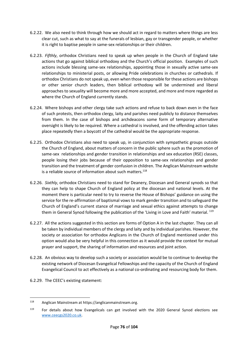- 6.2.22. We also need to think through how we should act in regard to matters where things are less clear cut, such as what to say at the funerals of lesbian, gay or transgender people, or whether it is right to baptise people in same-sex relationships or their children.
- 6.2.23. *Fifthly*, orthodox Christians need to speak up when people in the Church of England take actions that go against biblical orthodoxy and the Church's official position. Examples of such actions include blessing same-sex relationships, appointing those in sexually active same-sex relationships to ministerial posts, or allowing Pride celebrations in churches or cathedrals. If orthodox Christians do not speak up, even when those responsible for these actions are bishops or other senior church leaders, then biblical orthodoxy will be undermined and liberal approaches to sexuality will become more and more accepted, and more and more regarded as where the Church of England currently stands.
- 6.2.24. Where bishops and other clergy take such actions and refuse to back down even in the face of such protests, then orthodox clergy, laity and parishes need publicly to distance themselves from them. In the case of bishops and archdeacons some form of temporary alternative oversight is likely to be required. Where a cathedral is involved, and the offending action takes place repeatedly then a boycott of the cathedral would be the appropriate response.
- 6.2.25. Orthodox Christians also need to speak up, in conjunction with sympathetic groups outside the Church of England, about matters of concern in the public sphere such as the promotion of same-sex relationships and gender transition in relationships and sex education (RSE) classes, people losing their jobs because of their opposition to same-sex relationships and gender transition and the treatment of gender confusion in children. The Anglican Mainstream website is a reliable source of information about such matters.<sup>118</sup>
- 6.2.26. *Sixthly*, orthodox Christians need to stand for Deanery, Diocesan and General synods so that they can help to shape Church of England policy at the diocesan and national levels. At the moment there is particular need to try to reverse the House of Bishops' guidance on using the service for the re-affirmation of baptismal vows to mark gender transition and to safeguard the Church of England's current stance of marriage and sexual ethics against attempts to change them in General Synod following the publication of the 'Living in Love and Faith' material. <sup>119</sup>
- 6.2.27. All the actions suggested in this section are forms of Option A in the last chapter. They can all be taken by individual members of the clergy and laity and by individual parishes. However, the society or association for orthodox Anglicans in the Church of England mentioned under this option would also be very helpful in this connection as it would provide the context for mutual prayer and support, the sharing of information and resources and joint action.
- 6.2.28. An obvious way to develop such a society or association would be to continue to develop the existing network of Diocesan Evangelical Fellowships and the capacity of the Church of England Evangelical Council to act effectively as a national co-ordinating and resourcing body for them.
- 6.2.29. The CEEC's existing statement:

<sup>118</sup> Anglican Mainstream at https://anglicanmainstream.org.

<sup>&</sup>lt;sup>119</sup> For details about how Evangelicals can get involved with the 2020 General Synod elections see [www.ceecgs2020.co.uk.](http://www.ceecgs2020.co.uk/)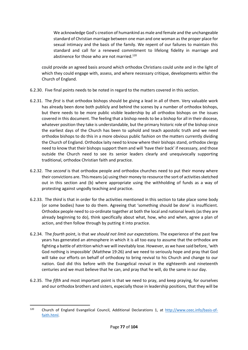We acknowledge God's creation of humankind as male and female and the unchangeable standard of Christian marriage between one man and one woman as the proper place for sexual intimacy and the basis of the family. We repent of our failures to maintain this standard and call for a renewed commitment to lifelong fidelity in marriage and abstinence for those who are not married.<sup>120</sup>

could provide an agreed basis around which orthodox Christians could unite and in the light of which they could engage with, assess, and where necessary critique, developments within the Church of England.

- 6.2.30. Five final points needs to be noted in regard to the matters covered in this section.
- 6.2.31. The *first* is that orthodox bishops should be giving a lead in all of them. Very valuable work has already been done both publicly and behind the scenes by a number of orthodox bishops, but there needs to be more public visible leadership by all orthodox bishops on the issues covered in this document. The feeling that a bishop needs to be a bishop for all in their diocese, whatever position they take is understandable, but the primary historic role of the bishop since the earliest days of the Church has been to uphold and teach apostolic truth and we need orthodox bishops to do this in a more obvious public fashion on the matters currently dividing the Church of England. Orthodox laity need to know where their bishops stand, orthodox clergy need to know that their bishops support them and will 'have their back' if necessary, and those outside the Church need to see its senior leaders clearly and unequivocally supporting traditional, orthodox Christian faith and practice.
- 6.2.32. The *second* is that orthodox people and orthodox churches need to put their money where their convictions are. This means (a) using their money to resource the sort of activities sketched out in this section and (b) where appropriate using the withholding of funds as a way of protesting against ungodly teaching and practice.
- 6.2.33. The *third* is that in order for the activities mentioned in this section to take place some body (or some bodies) have to do them. Agreeing that 'something should be done' is insufficient. Orthodox people need to co-ordinate together at both the local and national levels (as they are already beginning to do), think specifically about what, how, who and when, agree a plan of action, and then follow through by putting it into practice.
- 6.2.34. The *fourth* point, is that *we should not limit our expectations*. The experience of the past few years has generated an atmosphere in which it is all too easy to assume that the orthodox are fighting a battle of attrition which we will inevitably lose. However, as we have said before, 'with God nothing is impossible' (Matthew 19:26) and we need to seriously hope and pray that God will take our efforts on behalf of orthodoxy to bring revival to his Church and change to our nation. God did this before with the Evangelical revival in the eighteenth and nineteenth centuries and we must believe that he can, and pray that he will, do the same in our day.
- 6.2.35. The *fifth* and most important point is that we need to pray, and keep praying, for ourselves and our orthodox brothers and sisters, especially those in leadership positions, that they will be

<sup>120</sup> Church of England Evangelical Council, Additional Declarations 1, at [http://www.ceec.info/basis-of](http://www.ceec.info/basis-of-%20faith.html)[faith.html.](http://www.ceec.info/basis-of-%20faith.html)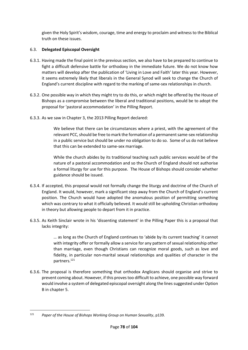given the Holy Spirit's wisdom, courage, time and energy to proclaim and witness to the Biblical truth on these issues.

# <span id="page-77-0"></span>6.3. **Delegated Episcopal Oversight**

- 6.3.1. Having made the final point in the previous section, we also have to be prepared to continue to fight a difficult defensive battle for orthodoxy in the immediate future. We do not know how matters will develop after the publication of 'Living in Love and Faith' later this year. However, it seems extremely likely that liberals in the General Synod will seek to change the Church of England's current discipline with regard to the marking of same-sex relationships in church.
- 6.3.2. One possible way in which they might try to do this, or which might be offered by the House of Bishops as a compromise between the liberal and traditional positions, would be to adopt the proposal for 'pastoral accommodation' in the Pilling Report.
- 6.3.3. As we saw in Chapter 3, the 2013 Pilling Report declared:

We believe that there can be circumstances where a priest, with the agreement of the relevant PCC, should be free to mark the formation of a permanent same-sex relationship in a public service but should be under no obligation to do so. Some of us do not believe that this can be extended to same-sex marriage.

While the church abides by its traditional teaching such public services would be of the nature of a pastoral accommodation and so the Church of England should not authorise a formal liturgy for use for this purpose. The House of Bishops should consider whether guidance should be issued.

- 6.3.4. If accepted, this proposal would not formally change the liturgy and doctrine of the Church of England. It would, however, mark a significant step away from the Church of England's current position. The Church would have adopted the anomalous position of permitting something which was contrary to what it officially believed. It would still be upholding Christian orthodoxy in theory but allowing people to depart from it in practice.
- 6.3.5. As Keith Sinclair wrote in his 'dissenting statement' in the Pilling Paper this is a proposal that lacks integrity:

… as long as the Church of England continues to 'abide by its current teaching' it cannot with integrity offer or formally allow a service for any pattern of sexual relationship other than marriage, even though Christians can recognize moral goods, such as love and fidelity, in particular non-marital sexual relationships and qualities of character in the partners.<sup>121</sup>

6.3.6. The proposal is therefore something that orthodox Anglicans should organise and strive to prevent coming about. However, if this proves too difficult to achieve, one possible way forward would involve a system of delegated episcopal oversight along the lines suggested under Option B in chapter 5.

<sup>121</sup> *Paper of the House of Bishops Working Group on Human Sexuality*, p139.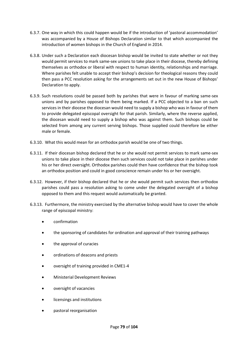- 6.3.7. One way in which this could happen would be if the introduction of 'pastoral accommodation' was accompanied by a House of Bishops Declaration similar to that which accompanied the introduction of women bishops in the Church of England in 2014.
- 6.3.8. Under such a Declaration each diocesan bishop would be invited to state whether or not they would permit services to mark same-sex unions to take place in their diocese, thereby defining themselves as orthodox or liberal with respect to human identity, relationships and marriage. Where parishes felt unable to accept their bishop's decision for theological reasons they could then pass a PCC resolution asking for the arrangements set out in the new House of Bishops' Declaration to apply.
- 6.3.9. Such resolutions could be passed both by parishes that were in favour of marking same-sex unions and by parishes opposed to them being marked. If a PCC objected to a ban on such services in their diocese the diocesan would need to supply a bishop who was in favour of them to provide delegated episcopal oversight for that parish. Similarly, where the reverse applied, the diocesan would need to supply a bishop who was against them. Such bishops could be selected from among any current serving bishops. Those supplied could therefore be either male or female.
- 6.3.10. What this would mean for an orthodox parish would be one of two things.
- 6.3.11. If their diocesan bishop declared that he or she would not permit services to mark same-sex unions to take place in their diocese then such services could not take place in parishes under his or her direct oversight. Orthodox parishes could then have confidence that the bishop took an orthodox position and could in good conscience remain under his or her oversight.
- 6.3.12. However, if their bishop declared that he or she would permit such services then orthodox parishes could pass a resolution asking to come under the delegated oversight of a bishop opposed to them and this request would automatically be granted.
- 6.3.13. Furthermore, the ministry exercised by the alternative bishop would have to cover the whole range of episcopal ministry:
	- confirmation
	- the sponsoring of candidates for ordination and approval of their training pathways
	- the approval of curacies
	- ordinations of deacons and priests
	- oversight of training provided in CME1-4
	- Ministerial Development Reviews
	- oversight of vacancies
	- licensings and institutions
	- pastoral reorganisation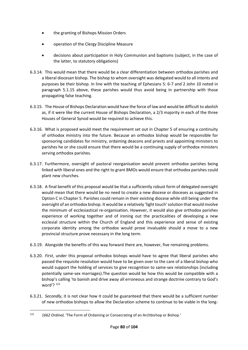- the granting of Bishops Mission Orders
- operation of the Clergy Discipline Measure
- decisions about participation in Holy Communion and baptisms (subject, in the case of the latter, to statutory obligations)
- 6.3.14. This would mean that there would be a clear differentiation between orthodox parishes and a liberal diocesan bishop. The bishop to whom oversight was delegated would to all intents and purposes be their bishop. In line with the teaching of Ephesians 5: 6-7 and 2 John 10 noted in paragraph 5.1.15 above, these parishes would thus avoid being in partnership with those propagating false teaching.
- 6.3.15. The House of Bishops Declaration would have the force of law and would be difficult to abolish as, if it were like the current House of Bishops Declaration, a 2/3 majority in each of the three Houses of General Synod would be required to achieve this.
- 6.3.16. What is proposed would meet the requirement set out in Chapter 5 of ensuring a continuity of orthodox ministry into the future. Because an orthodox bishop would be responsible for sponsoring candidates for ministry, ordaining deacons and priests and appointing ministers to parishes he or she could ensure that there would be a continuing supply of orthodox ministers serving orthodox parishes.
- 6.3.17. Furthermore, oversight of pastoral reorganisation would prevent orthodox parishes being linked with liberal ones and the right to grant BMOs would ensure that orthodox parishes could plant new churches.
- 6.3.18. A final benefit of this proposal would be that a sufficiently robust form of delegated oversight would mean that there would be no need to create a new diocese or dioceses as suggested in Option C in Chapter 5. Parishes could remain in their existing diocese while still being under the oversight of an orthodox bishop. It would be a relatively 'light touch' solution that would involve the minimum of ecclesiastical re-organisation. However, it would also give orthodox parishes experience of working together and of ironing out the practicalities of developing a new ecclesial structure within the Church of England and this experience and sense of existing corporate identity among the orthodox would prove invaluable should a move to a new provincial structure prove necessary in the long term.
- 6.3.19. Alongside the benefits of this way forward there are, however, five remaining problems.
- 6.3.20. *First*, under this proposal orthodox bishops would have to agree that liberal parishes who passed the requisite resolution would have to be given over to the care of a liberal bishop who would support the holding of services to give recognition to same-sex relationships (including potentially same-sex marriages).The question would be how this would be compatible with a bishop's calling 'to banish and drive away all erroneous and strange doctrine contrary to God's word'? <sup>122</sup>
- 6.3.21. *Secondly*, it is not clear how it could be guaranteed that there would be a sufficient number of new orthodox bishops to allow the Declaration scheme to continue to be viable in the long-

<sup>122</sup> *1662 Ordinal,* 'The Form of Ordaining or Consecrating of an Archbishop or Bishop.'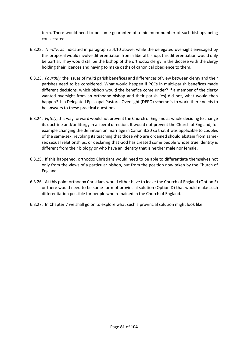term. There would need to be some guarantee of a minimum number of such bishops being consecrated.

- 6.3.22. *Thirdly*, as indicated in paragraph 5.4.10 above, while the delegated oversight envisaged by this proposal would involve differentiation from a liberal bishop, this differentiation would only be partial. They would still be the bishop of the orthodox clergy in the diocese with the clergy holding their licences and having to make oaths of canonical obedience to them.
- 6.3.23. *Fourthly*, the issues of multi parish benefices and differences of view between clergy and their parishes need to be considered. What would happen if PCCs in multi-parish benefices made different decisions, which bishop would the benefice come under? If a member of the clergy wanted oversight from an orthodox bishop and their parish (es) did not, what would then happen? If a Delegated Episcopal Pastoral Oversight (DEPO) scheme is to work, there needs to be answers to these practical questions.
- 6.3.24. *Fifthly*, this way forward would not prevent the Church of England as whole deciding to change its doctrine and/or liturgy in a liberal direction. It would not prevent the Church of England, for example changing the definition on marriage in Canon B.30 so that it was applicable to couples of the same-sex, revoking its teaching that those who are ordained should abstain from samesex sexual relationships, or declaring that God has created some people whose true identity is different from their biology or who have an identity that is neither male nor female.
- 6.3.25. If this happened, orthodox Christians would need to be able to differentiate themselves not only from the views of a particular bishop, but from the position now taken by the Church of England.
- 6.3.26. At this point orthodox Christians would either have to leave the Church of England (Option E) or there would need to be some form of provincial solution (Option D) that would make such differentiation possible for people who remained in the Church of England.
- 6.3.27. In Chapter 7 we shall go on to explore what such a provincial solution might look like.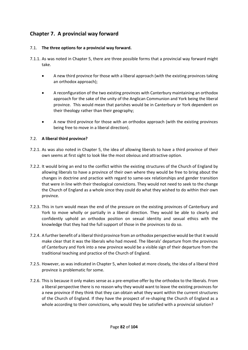# **Chapter 7. A provincial way forward**

## 7.1. **The three options for a provincial way forward.**

- 7.1.1. As was noted in Chapter 5, there are three possible forms that a provincial way forward might take.
	- A new third province for those with a liberal approach (with the existing provinces taking an orthodox approach);
	- A reconfiguration of the two existing provinces with Canterbury maintaining an orthodox approach for the sake of the unity of the Anglican Communion and York being the liberal province. This would mean that parishes would be in Canterbury or York dependent on their theology rather than their geography;
	- A new third province for those with an orthodox approach (with the existing provinces being free to move in a liberal direction).

## 7.2. **A liberal third province?**

- 7.2.1. As was also noted in Chapter 5, the idea of allowing liberals to have a third province of their own seems at first sight to look like the most obvious and attractive option.
- 7.2.2. It would bring an end to the conflict within the existing structures of the Church of England by allowing liberals to have a province of their own where they would be free to bring about the changes in doctrine and practice with regard to same-sex relationships and gender transition that were in line with their theological convictions. They would not need to seek to the change the Church of England as a whole since they could do what they wished to do within their own province.
- 7.2.3. This in turn would mean the end of the pressure on the existing provinces of Canterbury and York to move wholly or partially in a liberal direction. They would be able to clearly and confidently uphold an orthodox position on sexual identity and sexual ethics with the knowledge that they had the full support of those in the provinces to do so.
- 7.2.4. A further benefit of a liberal third province from an orthodox perspective would be that it would make clear that it was the liberals who had moved. The liberals' departure from the provinces of Canterbury and York into a new province would be a visible sign of their departure from the traditional teaching and practice of the Church of England.
- 7.2.5. However, as was indicated in Chapter 5, when looked at more closely, the idea of a liberal third province is problematic for some.
- 7.2.6. This is because it only makes sense as a pre-emptive offer by the orthodox to the liberals. From a liberal perspective there is no reason why they would want to leave the existing provinces for a new province if they think that they can obtain what they want within the current structures of the Church of England. If they have the prospect of re-shaping the Church of England as a whole according to their convictions, why would they be satisfied with a provincial solution?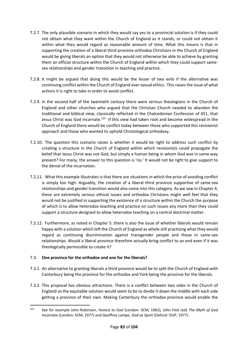- 7.2.7. The only plausible scenario in which they would say yes to a provincial solution is if they could not obtain what they want within the Church of England as it stands, or could not obtain it within what they would regard as reasonable amount of time. What this means is that in supporting the creation of a liberal third province orthodox Christians in the Church of England would be giving liberals an option that they would not otherwise be able to achieve by granting them an official structure within the Church of England within which they could support samesex relationships and gender transition in teaching and practice.
- 7.2.8. It might be argued that doing this would be the lesser of two evils if the alternative was continuing conflict within the Church of England over sexual ethics. This raises the issue of what actions it is right to take in order to avoid conflict.
- 7.2.9. In the second half of the twentieth century there were serious theologians in the Church of England and other churches who argued that the Christian Church needed to abandon the traditional and biblical view, classically reflected in the Chalcedonian Confession of 451, that Jesus Christ was God incarnate.<sup>123</sup> If this view had taken root and become widespread in the Church of England there would be conflict today between those who supported this revisionist approach and those who wanted to uphold Christological orthodoxy.
- 7.2.10. The question this scenario raises is whether it would be right to address such conflict by creating a structure in the Church of England within which revisionists could propagate the belief that Jesus Christ was not God, but simply a human being in whom God was in some way present? For many, the answer to this question is 'no.' It would not be right to give support to the denial of the incarnation.
- 7.2.11. What this example illustrates is that there are situations in which the price of avoiding conflict is simply too high. Arguably, the creation of a liberal third province supportive of same-sex relationships and gender transition would also come into this category. As we saw in Chapter 4, these are extremely serious ethical issues and orthodox Christians might well feel that they would not be justified in supporting the existence of a structure within the Church the purpose of which is to allow heterodox teaching and practice on such issues any more than they could support a structure designed to allow heterodox teaching on a central doctrinal matter.
- 7.2.12. Furthermore, as noted in Chapter 5. there is also the issue of whether liberals would remain happy with a solution which left the Church of England as whole still practising what they would regard as continuing discrimination against transgender people and those in same-sex relationships. Would a liberal province therefore actually bring conflict to an end even if it was theologically permissible to create it?

## 7.3. **One province for the orthodox and one for the liberals?**

- 7.3.1. An alternative to granting liberals a third province would be to split the Church of England with Canterbury being the province for the orthodox and York being the province for the liberals.
- 7.3.2. This proposal has obvious attractions. There is a conflict between two sides in the Church of England so the equitable solution would seem to be to divide it down the middle with each side getting a province of their own. Making Canterbury the orthodox province would enable the

<sup>123</sup> See for example John Robinson, *Honest to God* (London: SCM, 1963), John Hick (ed) *The Myth of God Incarnate* (London: SCM, 1977) and Geoffrey Lampe, *God as Spirit* (Oxford: OUP, 1977).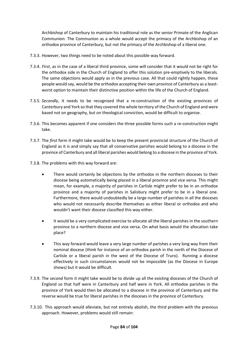Archbishop of Canterbury to maintain his traditional role as the senior Primate of the Anglican Communion. The Communion as a whole would accept the primacy of the Archbishop of an orthodox province of Canterbury, but not the primacy of the Archbishop of a liberal one.

- 7.3.3. However, two things need to be noted about this possible way forward.
- 7.3.4. *First*, as in the case of a liberal third province, some will consider that it would not be right for the orthodox side in the Church of England to offer this solution pre-emptively to the liberals. The same objections would apply as in the previous case. All that could rightly happen, these people would say, would be the orthodox accepting their own province of Canterbury as a leastworst option to maintain their distinctive position within the life of the Church of England.
- 7.3.5. *Secondly*, it needs to be recognised that a re-construction of the existing provinces of Canterbury and York so that they covered the whole territory of the Church of England and were based not on geography, but on theological conviction, would be difficult to organise.
- 7.3.6. This becomes apparent if one considers the three possible forms such a re-construction might take.
- 7.3.7. The *first* form it might take would be to keep the present provincial structure of the Church of England as it is and simply say that all conservative parishes would belong to a diocese in the province of Canterbury and all liberal parishes would belong to a diocese in the province of York.
- 7.3.8. The problems with this way forward are:
	- There would certainly be objections by the orthodox in the northern dioceses to their diocese being automatically being placed in a liberal province and vice versa. This might mean, for example, a majority of parishes in Carlisle might prefer to be in an orthodox province and a majority of parishes in Salisbury might prefer to be in a liberal one. Furthermore, there would undoubtedly be a large number of parishes in all the dioceses who would not necessarily describe themselves as either liberal or orthodox and who wouldn't want their diocese classified this way either.
	- It would be a very complicated exercise to allocate all the liberal parishes in the southern province to a northern diocese and vice versa. On what basis would the allocation take place?
	- This way forward would leave a very large number of parishes a very long way from their nominal diocese (think for instance of an orthodox parish in the north of the Diocese of Carlisle or a liberal parish in the west of the Diocese of Truro). Running a diocese effectively in such circumstances would not be impossible (as the Diocese in Europe shows) but it would be difficult.
- 7.3.9. The *second* form it might take would be to divide up all the existing dioceses of the Church of England so that half were in Canterbury and half were in York. All orthodox parishes in the province of York would then be allocated to a diocese in the province of Canterbury and the reverse would be true for liberal parishes in the dioceses in the province of Canterbury.
- 7.3.10. This approach would alleviate, but not entirely abolish, the third problem with the previous approach. However, problems would still remain: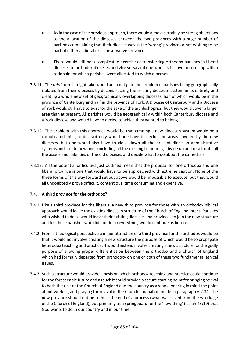- As in the case of the previous approach, there would almost certainly be strong objections to the allocation of the dioceses between the two provinces with a huge number of parishes complaining that their diocese was in the 'wrong' province or not wishing to be part of either a liberal or a conservative province.
- There would still be a complicated exercise of transferring orthodox parishes in liberal dioceses to orthodox dioceses and vice versa and one would still have to come up with a rationale for which parishes were allocated to which dioceses.
- 7.3.11. The *third* form it might take would be to mitigate the problem of parishes being geographically isolated from their dioceses by deconstructing the existing diocesan system in its entirety and creating a whole new set of geographically overlapping dioceses, half of which would be in the province of Canterbury and half in the province of York. A Diocese of Canterbury and a Diocese of York would still have to exist for the sake of the archbishoprics, but they would cover a larger area than at present. All parishes would be geographically within both Canterbury diocese and a York diocese and would have to decide to which they wanted to belong.
- 7.3.12. The problem with this approach would be that creating a new diocesan system would be a complicated thing to do. Not only would one have to decide the areas covered by the new dioceses, but one would also have to close down all the present diocesan administrative systems and create new ones (including all the existing bishoprics), divide up and re-allocate all the assets and liabilities of the old dioceses and decide what to do about the cathedrals.
- 7.3.13. All the potential difficulties just outlined mean that the proposal for one orthodox and one liberal province is one that would have to be approached with extreme caution. None of the three forms of this way forward set out above would be impossible to execute, but they would all undoubtedly prove difficult, contentious, time consuming and expensive.

## 7.4. **A third province for the orthodox?**

- 7.4.1. Like a third province for the liberals, a new third province for those with an orthodox biblical approach would leave the existing diocesan structure of the Church of England intact. Parishes who wished to do so would leave their existing dioceses and provinces to join the new structure and for those parishes who did not do so everything would continue as before.
- 7.4.2. From a theological perspective a major attraction of a third province for the orthodox would be that it would not involve creating a new structure the purpose of which would be to propagate heterodox teaching and practice. It would instead involve creating a new structure for the godly purpose of allowing proper differentiation between the orthodox and a Church of England which had formally departed from orthodoxy on one or both of these two fundamental ethical issues.
- 7.4.3. Such a structure would provide a basis on which orthodox teaching and practice could continue for the foreseeable future and as such it could provide a secure starting point for bringing revival to both the rest of the Church of England and the country as a whole bearing in mind the point about working and praying for revival in the Church and nation made in paragraph 6.2.34. The new province should not be seen as the end of a process (what was saved from the wreckage of the Church of England), but primarily as a springboard for the 'new thing' (Isaiah 43:19) that God wants to do in our country and in our time.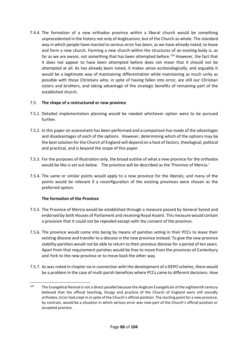7.4.4. The formation of a new orthodox province within a liberal church would be something unprecedented in the history not only of Anglicanism, but of the Church as whole. The standard way in which people have reacted to serious error has been, as we have already noted, to leave and form a new church. Forming a new church within the structures of an existing body is, as far as we are aware, not something that has been attempted before.<sup>124</sup> However, the fact that it does not appear to have been attempted before does not mean that it should not be attempted at all. As has already been noted, it makes sense ecclesiologically, and arguably it would be a legitimate way of maintaining differentiation while maintaining as much unity as possible with those Christians who, in spite of having fallen into error, are still our Christian sisters and brothers, and taking advantage of the strategic benefits of remaining part of the established church.

## 7.5. **The shape of a restructured or new province**

- 7.5.1. Detailed implementation planning would be needed whichever option were to be pursued further.
- 7.5.2. In this paper an assessment has been performed and a comparison has made of the advantages and disadvantages of each of the options. However, determining which of the options may be the best solution for the Church of England will depend on a host of factors, theological, political and practical, and is beyond the scope of this paper.
- 7.5.3. For the purposes of illustration only, the broad outline of what a new province for the orthodox would be like is set out below. The province will be described as the 'Province of Mercia.'
- 7.5.4. The same or similar points would apply to a new province for the liberals; and many of the points would be relevant if a reconfiguration of the existing provinces were chosen as the preferred option.

## **The formation of the Province**

- 7.5.5. The Province of Mercia would be established through a measure passed by General Synod and endorsed by both Houses of Parliament and receiving Royal Assent. This measure would contain a provision that it could not be repealed except with the consent of the province.
- 7.5.6. The province would come into being by means of parishes voting in their PCCs to leave their existing diocese and transfer to a diocese in the new province instead. To give the new province stability parishes would not be able to return to their previous diocese for a period of ten years. Apart from that requirement parishes would be free to move from the provinces of Canterbury and York to the new province or to move back the other way.
- 7.5.7. As was noted in chapter six in connection with the development of a DEPO scheme, there would be a problem in the case of multi parish benefices where PCCs came to different decisions. How

<sup>&</sup>lt;sup>124</sup> The Evangelical Revival is not a direct parallel because the Anglican Evangelicals of the eighteenth century believed that the official teaching, liturgy and practice of the Church of England were still soundly orthodox, Error had crept in in spite of the Church's official position. The starting point for a new province, by contrast, would be a situation in which serious error was now part of the Church's official position or accepted practice.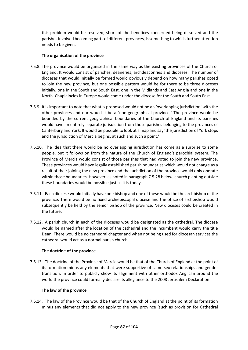this problem would be resolved, short of the benefices concerned being dissolved and the parishes involved becoming parts of different provinces, is something to which further attention needs to be given.

## **The organisation of the province**

- 7.5.8. The province would be organised in the same way as the existing provinces of the Church of England. It would consist of parishes, deaneries, archdeaconries and dioceses. The number of dioceses that would initially be formed would obviously depend on how many parishes opted to join the new province, but one possible pattern would be for there to be three dioceses initially, one in the South and South East, one in the Midlands and East Anglia and one in the North. Chaplaincies in Europe would come under the diocese for the South and South East.
- 7.5.9. It is important to note that what is proposed would not be an 'overlapping jurisdiction' with the other provinces and nor would it be a 'non-geographical province.' The province would be bounded by the current geographical boundaries of the Church of England and its parishes would have an entirely separate jurisdiction from those parishes belonging to the provinces of Canterbury and York. It would be possible to look at a map and say 'the jurisdiction of York stops and the jurisdiction of Mercia begins, at such and such a point.'
- 7.5.10. The idea that there would be no overlapping jurisdiction has come as a surprise to some people, but it follows on from the nature of the Church of England's parochial system. The Province of Mercia would consist of those parishes that had voted to join the new province. These provinces would have legally established parish boundaries which would not change as a result of their joining the new province and the jurisdiction of the province would only operate within those boundaries. However, as noted in paragraph 7.5.28 below, church planting outside these boundaries would be possible just as it is today.
- 7.5.11. Each diocese would initially have one bishop and one of these would be the archbishop of the province. There would be no fixed archiepiscopal diocese and the office of archbishop would subsequently be held by the senior bishop of the province. New dioceses could be created in the future.
- 7.5.12. A parish church in each of the dioceses would be designated as the cathedral. The diocese would be named after the location of the cathedral and the incumbent would carry the title Dean. There would be no cathedral chapter and when not being used for diocesan services the cathedral would act as a normal parish church.

## **The doctrine of the province**

7.5.13. The doctrine of the Province of Mercia would be that of the Church of England at the point of its formation minus any elements that were supportive of same-sex relationships and gender transition. In order to publicly show its alignment with other orthodox Anglican around the world the province could formally declare its allegiance to the 2008 Jerusalem Declaration.

## **The law of the province**

7.5.14. The law of the Province would be that of the Church of England at the point of its formation minus any elements that did not apply to the new province (such as provision for Cathedral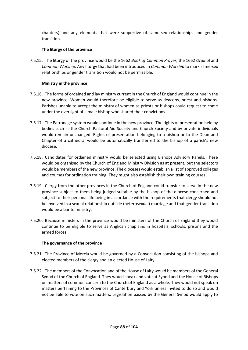chapters) and any elements that were supportive of same-sex relationships and gender transition.

## **The liturgy of the province**

7.5.15. The liturgy of the province would be the 1662 *Book of Common Prayer,* the 1662 *Ordina*l and *Common Worship*. Any liturgy that had been introduced in *Common Worship* to mark same-sex relationships or gender transition would not be permissible.

## **Ministry in the province**

- 7.5.16. The forms of ordained and lay ministry current in the Church of England would continue in the new province. Women would therefore be eligible to serve as deacons, priest and bishops. Parishes unable to accept the ministry of women as priests or bishops could request to come under the oversight of a male bishop who shared their convictions.
- 7.5.17. The Patronage system would continue in the new province. The rights of presentation held by bodies such as the Church Pastoral Aid Society and Church Society and by private individuals would remain unchanged. Rights of presentation belonging to a bishop or to the Dean and Chapter of a cathedral would be automatically transferred to the bishop of a parish's new diocese.
- 7.5.18. Candidates for ordained ministry would be selected using Bishops Advisory Panels. These would be organised by the Church of England Ministry Division as at present, but the selectors would be members of the new province. The dioceses would establish a list of approved colleges and courses for ordination training. They might also establish their own training courses.
- 7.5.19. Clergy from the other provinces in the Church of England could transfer to serve in the new province subject to them being judged suitable by the bishop of the diocese concerned and subject to their personal life being in accordance with the requirements that clergy should not be involved in a sexual relationship outside (heterosexual) marriage and that gender transition would be a bar to ministry.
- 7.5.20. Because ministers in the province would be ministers of the Church of England they would continue to be eligible to serve as Anglican chaplains in hospitals, schools, prisons and the armed forces.

## **The governance of the province**

- 7.5.21. The Province of Mercia would be governed by a Convocation consisting of the bishops and elected members of the clergy and an elected House of Laity.
- 7.5.22. The members of the Convocation and of the House of Laity would be members of the General Synod of the Church of England. They would speak and vote at Synod and the House of Bishops on matters of common concern to the Church of England as a whole. They would not speak on matters pertaining to the Provinces of Canterbury and York unless invited to do so and would not be able to vote on such matters. Legislation passed by the General Synod would apply to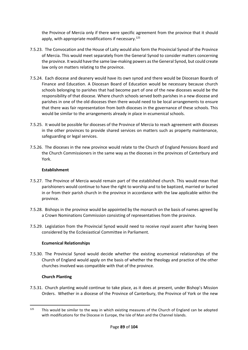the Province of Mercia only if there were specific agreement from the province that it should apply, with appropriate modifications if necessary.<sup>125</sup>

- 7.5.23. The Convocation and the House of Laity would also form the Provincial Synod of the Province of Mercia. This would meet separately from the General Synod to consider matters concerning the province. It would have the same law-making powers as the General Synod, but could create law only on matters relating to the province.
- 7.5.24. Each diocese and deanery would have its own synod and there would be Diocesan Boards of Finance and Education. A Diocesan Board of Education would be necessary because church schools belonging to parishes that had become part of one of the new dioceses would be the responsibility of that diocese. Where church schools served both parishes in a new diocese and parishes in one of the old dioceses then there would need to be local arrangements to ensure that there was fair representation from both dioceses in the governance of these schools. This would be similar to the arrangements already in place in ecumenical schools.
- 7.5.25. It would be possible for dioceses of the Province of Mercia to reach agreement with dioceses in the other provinces to provide shared services on matters such as property maintenance, safeguarding or legal services.
- 7.5.26. The dioceses in the new province would relate to the Church of England Pensions Board and the Church Commissioners in the same way as the dioceses in the provinces of Canterbury and York.

## **Establishment**

- 7.5.27. The Province of Mercia would remain part of the established church. This would mean that parishioners would continue to have the right to worship and to be baptized, married or buried in or from their parish church in the province in accordance with the law applicable within the province.
- 7.5.28. Bishops in the province would be appointed by the monarch on the basis of names agreed by a Crown Nominations Commission consisting of representatives from the province.
- 7.5.29. Legislation from the Provincial Synod would need to receive royal assent after having been considered by the Ecclesiastical Committee in Parliament.

## **Ecumenical Relationships**

7.5.30. The Provincial Synod would decide whether the existing ecumenical relationships of the Church of England would apply on the basis of whether the theology and practice of the other churches involved was compatible with that of the province.

## **Church Planting**

7.5.31. Church planting would continue to take place, as it does at present, under Bishop's Mission Orders. Whether in a diocese of the Province of Canterbury, the Province of York or the new

 $125$  This would be similar to the way in which existing measures of the Church of England can be adopted with modifications for the Diocese in Europe, the Isle of Man and the Channel Islands.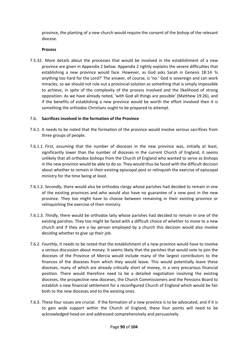province, the planting of a new church would require the consent of the bishop of the relevant diocese.

#### **Process**

7.5.32. More details about the processes that would be involved in the establishment of a new province are given in Appendix 2 below. Appendix 2 rightly explains the severe difficulties that establishing a new province would face. However, as God asks Sarah in Genesis 18:14 'Is anything too hard for the Lord?' The answer, of course, is 'no.' God is sovereign and can work miracles, so we should not rule out a provincial solution as something that is simply impossible to achieve, in spite of the complexity of the process involved and the likelihood of strong opposition. As we have already noted, 'with God all things are possible' (Matthew 19:26), and if the benefits of establishing a new province would be worth the effort involved then it is something the orthodox Christians ought to be prepared to attempt.

## 7.6. **Sacrifices involved in the formation of the Province**

- 7.6.1. It needs to be noted that the formation of the province would involve serious sacrifices from three groups of people.
- 7.6.1.1. *First*, assuming that the number of dioceses in the new province was, initially at least, significantly lower than the number of dioceses in the current Church of England, it seems unlikely that all orthodox bishops from the Church of England who wanted to serve as bishops in the new province would be able to do so. They would thus be faced with the difficult decision about whether to remain in their existing episcopal post or relinquish the exercise of episcopal ministry for the time being at least.
- 7.6.1.2. *Secondly*, there would also be orthodox clergy whose parishes had decided to remain in one of the existing provinces and who would also have no guarantee of a new post in the new province. They too might have to choose between remaining in their existing province or relinquishing the exercise of their ministry.
- 7.6.1.3. *Thirdly*, there would be orthodox laity whose parishes had decided to remain in one of the existing parishes. They too might be faced with a difficult choice of whether to move to a new church and if they are a lay person employed by a church this decision would also involve deciding whether to give up their job.
- 7.6.2. *Fourthly*, it needs to be noted that the establishment of a new province would have to involve a serious discussion about money. It seems likely that the parishes that would vote to join the dioceses of the Province of Mercia would include many of the largest contributors to the finances of the dioceses from which they would leave. This would potentially leave these dioceses, many of which are already critically short of money, in a very precarious financial position. There would therefore need to be a detailed negotiation involving the existing dioceses, the prospective new dioceses, the Church Commissioners and the Pensions Board to establish a new financial settlement for a reconfigured Church of England which would be fair both to the new dioceses and to the existing ones.
- 7.6.3. These four issues are crucial. If the formation of a new province is to be advocated, and if it is to gain wide support within the Church of England, these four points will need to be acknowledged head-on and addressed comprehensively and persuasively.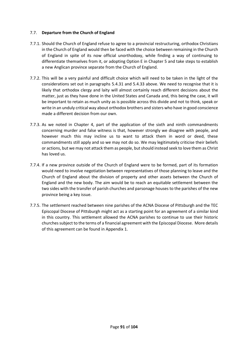## 7.7. **Departure from the Church of England**

- 7.7.1. Should the Church of England refuse to agree to a provincial restructuring, orthodox Christians in the Church of England would then be faced with the choice between remaining in the Church of England in spite of its now official unorthodoxy, while finding a way of continuing to differentiate themselves from it, or adopting Option E in Chapter 5 and take steps to establish a new Anglican province separate from the Church of England.
- 7.7.2. This will be a very painful and difficult choice which will need to be taken in the light of the considerations set out in paragraphs [5.4.31](#page-68-0) and [5.4.33](#page-68-1) above. We need to recognise that it is likely that orthodox clergy and laity will almost certainly reach different decisions about the matter, just as they have done in the United States and Canada and, this being the case, it will be important to retain as much unity as is possible across this divide and not to think, speak or write in an unduly critical way about orthodox brothers and sisters who have in good conscience made a different decision from our own.
- 7.7.3. As we noted in Chapter 4, part of the application of the sixth and ninth commandments concerning murder and false witness is that, however strongly we disagree with people, and however much this may incline us to want to attack them in word or deed, these commandments still apply and so we may not do so. We may legitimately criticise their beliefs or actions, but we may not attack them as people, but should instead seek to love them as Christ has loved us.
- 7.7.4. If a new province outside of the Church of England were to be formed, part of its formation would need to involve negotiation between representatives of those planning to leave and the Church of England about the division of property and other assets between the Church of England and the new body. The aim would be to reach an equitable settlement between the two sides with the transfer of parish churches and parsonage houses to the parishes of the new province being a key issue.
- 7.7.5. The settlement reached between nine parishes of the ACNA Diocese of Pittsburgh and the TEC Episcopal Diocese of Pittsburgh might act as a starting point for an agreement of a similar kind in this country. This settlement allowed the ACNA parishes to continue to use their historic churches subject to the terms of a financial agreement with the Episcopal Diocese. More details of this agreement can be found in Appendix 1.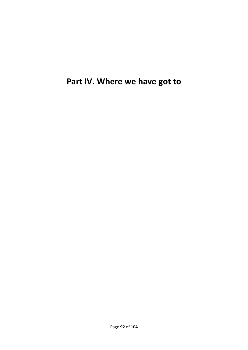**Part IV. Where we have got to**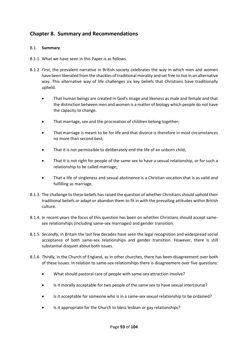# **Chapter 8. Summary and Recommendations**

## 8.1. **Summary**

- 8.1.1. What we have seen in this Paper is as follows.
- 8.1.2. *First*, the prevalent narrative in British society celebrates the way in which men and women have been liberated from the shackles of traditional morality and set free to live in an alternative way. This alternative way of life challenges six key beliefs that Christians have traditionally upheld.
	- That human beings are created in God's image and likeness as male and female and that the distinction between men and women is a matter of biology which people do not have the capacity to change.
	- That marriage, sex and the procreation of children belong together;
	- That marriage is meant to be for life and that divorce is therefore in most circumstances no more than second best;
	- That it is not permissible to deliberately end the life of an unborn child;
	- That it is not right for people of the same sex to have a sexual relationship, or for such a relationship to be called marriage;
	- That a life of singleness and sexual abstinence is a Christian vocation that is as valid and fulfilling as marriage.
- 8.1.3. The challenge to these beliefs has raised the question of whether Christians should uphold their traditional beliefs or adapt or abandon them to fit in with the prevailing attitudes within British culture.
- 8.1.4. In recent years the focus of this question has been on whether Christians should accept samesex relationships (including same-sex marriages) and gender transition.
- 8.1.5. *Secondly*, in Britain the last few decades have seen the legal recognition and widespread social acceptance of both same-sex relationships and gender transition. However, there is still substantial disquiet about both issues.
- 8.1.6. *Thirdly*, in the Church of England, as in other churches, there has been disagreement over both of these issues. In relation to same-sex relationships there is disagreement over five questions:
	- What should pastoral care of people with same-sex attraction involve?
	- Is it morally acceptable for two people of the same sex to have sexual intercourse?
	- Is it acceptable for someone who is in a same-sex sexual relationship to be ordained?
	- Is it appropriate for the Church to bless lesbian or gay relationships?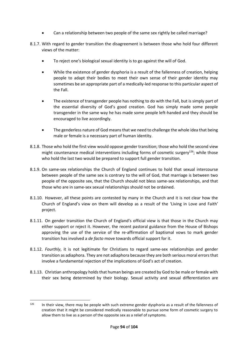- Can a relationship between two people of the same sex rightly be called marriage?
- 8.1.7. With regard to gender transition the disagreement is between those who hold four different views of the matter:
	- To reject one's biological sexual identity is to go against the will of God.
	- While the existence of gender dysphoria is a result of the fallenness of creation, helping people to adapt their bodies to meet their own sense of their gender identity may sometimes be an appropriate part of a medically-led response to this particular aspect of the Fall.
	- The existence of transgender people has nothing to do with the Fall, but is simply part of the essential diversity of God's good creation. God has simply made some people transgender in the same way he has made some people left-handed and they should be encouraged to live accordingly.
	- The genderless nature of God means that we need to challenge the whole idea that being male or female is a necessary part of human identity.
- 8.1.8. Those who hold the first view would oppose gender transition; those who hold the second view might countenance medical interventions including forms of cosmetic surgery<sup>126</sup>; while those who hold the last two would be prepared to support full gender transition.
- 8.1.9. On same-sex relationships the Church of England continues to hold that sexual intercourse between people of the same sex is contrary to the will of God, that marriage is between two people of the opposite sex, that the Church should not bless same-sex relationships, and that those who are in same-sex sexual relationships should not be ordained.
- 8.1.10. However, all these points are contested by many in the Church and it is not clear how the Church of England's view on them will develop as a result of the 'Living in Love and Faith' project.
- 8.1.11. On gender transition the Church of England's official view is that those in the Church may either support or reject it. However, the recent pastoral guidance from the House of Bishops approving the use of the service of the re-affirmation of baptismal vows to mark gender transition has involved a *de facto* move towards official support for it.
- 8.1.12. *Fourthly*, it is not legitimate for Christians to regard same-sex relationships and gender transition as adiaphora. They are not adiaphora because they are both serious moral errors that involve a fundamental rejection of the implications of God's act of creation.
- 8.1.13. Christian anthropology holds that human beings are created by God to be male or female with their sex being determined by their biology. Sexual activity and sexual differentiation are

 $126$  In their view, there may be people with such extreme gender dysphoria as a result of the fallenness of creation that it might be considered medically reasonable to pursue some form of cosmetic surgery to allow them to live as a person of the opposite sex as a relief of symptoms.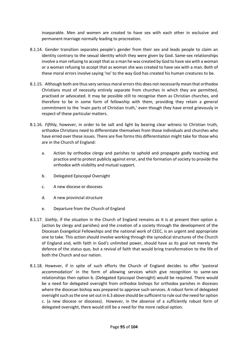inseparable. Men and women are created to have sex with each other in exclusive and permanent marriage normally leading to procreation.

- 8.1.14. Gender transition separates people's gender from their sex and leads people to claim an identity contrary to the sexual identity which they were given by God. Same-sex relationships involve a man refusing to accept that as a man he was created by God to have sex with a woman or a woman refusing to accept that as woman she was created to have sex with a man. Both of these moral errors involve saying 'no' to the way God has created his human creatures to be.
- 8.1.15. Although both are thus very serious moral errors this does not necessarily mean that orthodox Christians must of necessity entirely separate from churches in which they are permitted, practised or advocated. It may be possible still to recognise them as Christian churches, and therefore to be in some form of fellowship with them, providing they retain a general commitment to the 'main parts of Christian truth,' even though they have erred grievously in respect of these particular matters.
- 8.1.16. *Fifthly*, however, in order to be salt and light by bearing clear witness to Christian truth, orthodox Christians need to differentiate themselves from those individuals and churches who have erred over these issues. There are five forms this differentiation might take for those who are in the Church of England:
	- a. Action by orthodox clergy and parishes to uphold and propagate godly teaching and practice and to protest publicly against error, and the formation of society to provide the orthodox with visibility and mutual support.
	- b. Delegated Episcopal Oversight
	- c. A new diocese or dioceses
	- d. A new provincial structure
	- e. Departure from the Church of England
- 8.1.17. *Sixthly*, If the situation in the Church of England remains as it is at present then option a. (action by clergy and parishes) and the creation of a society through the development of the Diocesan Evangelical Fellowships and the national work of CEEC, is an urgent and appropriate one to take. This action should involve working through the synodical structures of the Church of England and, with faith in God's unlimited power, should have as its goal not merely the defence of the status quo, but a revival of faith that would bring transformation to the life of both the Church and our nation.
- 8.1.18. However, if in spite of such efforts the Church of England decides to offer 'pastoral accommodation' in the form of allowing services which give recognition to same-sex relationships then option b. (Delegated Episcopal Oversight) would be required. There would be a need for delegated oversight from orthodox bishops for orthodox parishes in dioceses where the diocesan bishop was prepared to approve such services. A robust form of delegated oversight such as the one set out i[n 6.3](#page-77-0) above should be sufficient to rule out the need for option c. (a new diocese or dioceses). However, in the absence of a sufficiently robust form of delegated oversight, there would still be a need for the more radical option.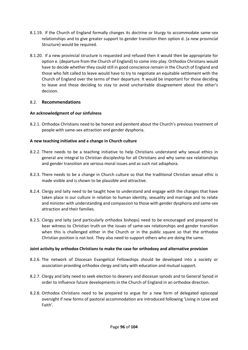- 8.1.19. If the Church of England formally changes its doctrine or liturgy to accommodate same-sex relationships and to give greater support to gender transition then option d. (a new provincial Structure) would be required.
- 8.1.20. If a new provincial structure is requested and refused then it would then be appropriate for option e. (departure from the Church of England) to come into play. Orthodox Christians would have to decide whether they could still in good conscience remain in the Church of England and those who felt called to leave would have to try to negotiate an equitable settlement with the Church of England over the terms of their departure. It would be important for those deciding to leave and those deciding to stay to avoid uncharitable disagreement about the other's decision.

## 8.2. **Recommendations**

## **An acknowledgment of our sinfulness**

8.2.1. Orthodox Christians need to be honest and penitent about the Church's previous treatment of people with same-sex attraction and gender dysphoria.

## **A new teaching initiative and a change in Church culture**

- 8.2.2. There needs to be a teaching initiative to help Christians understand why sexual ethics in general are integral to Christian discipleship for all Christians and why same-sex relationships and gender transition are serious moral issues and as such not adiaphora.
- 8.2.3. There needs to be a change in Church culture so that the traditional Christian sexual ethic is made visible and is shown to be plausible and attractive.
- 8.2.4. Clergy and laity need to be taught how to understand and engage with the changes that have taken place in our culture in relation to human identity, sexuality and marriage and to relate and minister with understanding and compassion to those with gender dysphoria and same-sex attraction and their families.
- 8.2.5. Clergy and laity (and particularly orthodox bishops) need to be encouraged and prepared to bear witness to Christian truth on the issues of same-sex relationships and gender transition when this is challenged either in the Church or in the public square so that the orthodox Christian position is not lost. They also need to support others who are doing the same.

## **Joint activity by orthodox Christians to make the case for orthodoxy and alternative provision**

- 8.2.6. The network of Diocesan Evangelical Fellowships should be developed into a society or association providing orthodox clergy and laity with education and mutual support.
- 8.2.7. Clergy and laity need to seek election to deanery and diocesan synods and to General Synod in order to influence future developments in the Church of England in an orthodox direction.
- 8.2.8. Orthodox Christians need to be prepared to argue for a new form of delegated episcopal oversight if new forms of pastoral accommodation are introduced following 'Living in Love and Faith'.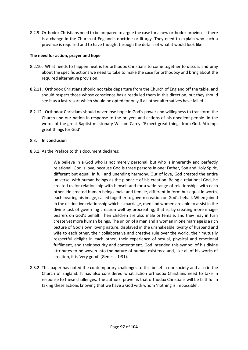8.2.9. Orthodox Christians need to be prepared to argue the case for a new orthodox province if there is a change in the Church of England's doctrine or liturgy. They need to explain why such a province is required and to have thought through the details of what it would look like.

## **The need for action, prayer and hope**

- 8.2.10. What needs to happen next is for orthodox Christians to come together to discuss and pray about the specific actions we need to take to make the case for orthodoxy and bring about the required alternative provision.
- 8.2.11. Orthodox Christians should not take departure from the Church of England off the table, and should respect those whose conscience has already led them in this direction, but they should see it as a last resort which should be opted for only if all other alternatives have failed.
- 8.2.12. Orthodox Christians should never lose hope in God's power and willingness to transform the Church and our nation in response to the prayers and actions of his obedient people. In the words of the great Baptist missionary William Carey: 'Expect great things from God. Attempt great things for God'.

## 8.3. **In conclusion**

8.3.1. As the Preface to this document declares:

We believe in a God who is not merely personal, but who is inherently and perfectly relational. God is love, because God is three persons in one: Father, Son and Holy Spirit, different but equal, in full and unending harmony. Out of love, God created the entire universe, with human beings as the pinnacle of his creation. Being a relational God, he created us for relationship with himself and for a wide range of relationships with each other. He created human beings male and female, different in form but equal in worth, each bearing his image, called together to govern creation on God's behalf. When joined in the distinctive relationship which is marriage, men and women are able to assist in the divine task of governing creation well by procreating, that is, by creating more imagebearers on God's behalf. Their children are also male or female, and they may in turn create yet more human beings. The union of a man and a woman in one marriage is a rich picture of God's own loving nature, displayed in the unshakeable loyalty of husband and wife to each other, their collaborative and creative rule over the world, their mutually respectful delight in each other, their experience of sexual, physical and emotional fulfilment, and their security and contentment. God intended this symbol of his divine attributes to be woven into the nature of human existence and, like all of his works of creation, it is 'very good' (Genesis 1:31).

8.3.2. This paper has noted the contemporary challenges to this belief in our society and also in the Church of England. It has also considered what action orthodox Christians need to take in response to these challenges. The authors' prayer is that orthodox Christians will be faithful in taking these actions knowing that we have a God with whom 'nothing is impossible'.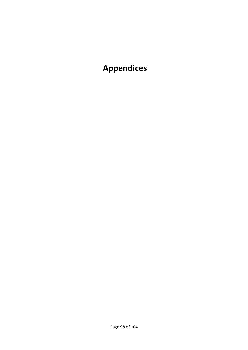# **Appendices**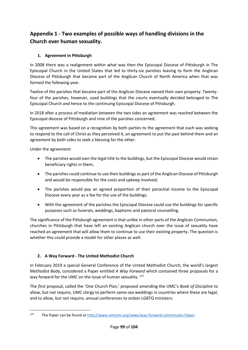# **Appendix 1 - Two examples of possible ways of handling divisions in the Church over human sexuality.**

# **1. Agreement in Pittsburgh**

In 2008 there was a realignment within what was then the Episcopal Diocese of Pittsburgh in The Episcopal Church in the United States that led to thirty-six parishes leaving to form the Anglican Diocese of Pittsburgh that became part of the Anglican Church of North America when that was formed the following year.

Twelve of the parishes that became part of the Anglican Diocese owned their own property. Twentyfour of the parishes, however, used buildings that the courts eventually decided belonged to The Episcopal Church and hence to the continuing Episcopal Diocese of Pittsburgh.

In 2018 after a process of mediation between the two sides an agreement was reached between the Episcopal diocese of Pittsburgh and nine of the parishes concerned.

This agreement was based on a recognition by both parties to the agreement that each was seeking to respond to the call of Christ as they perceived it, an agreement to put the past behind them and an agreement by both sides to seek a blessing for the other.

Under the agreement:

- The parishes would own the legal title to the buildings, but the Episcopal Diocese would retain beneficiary rights in them;
- The parishes could continue to use their buildings as part of the Anglican Diocese of Pittsburgh and would be responsible for the costs and upkeep involved;
- The parishes would pay an agreed proportion of their parochial income to the Episcopal Diocese every year as a fee for the use of the buildings.
- With the agreement of the parishes the Episcopal Diocese could use the buildings for specific purposes such as funerals, weddings, baptisms and pastoral counselling.

The significance of the Pittsburgh agreement is that unlike in other parts of the Anglican Communion, churches in Pittsburgh that have left an existing Anglican church over the issue of sexuality have reached an agreement that will allow them to continue to use their existing property. The question is whether this could provide a model for other places as well.

# **2. A Way Forward - The United Methodist Church**

In February 2019 a special General Conference of the United Methodist Church, the world's largest Methodist Body, considered a Paper entitled *A Way Forward* which contained three proposals for a way forward for the UMC on the issue of human sexuality.  $^{127}$ 

The *first* proposal, called the 'One Church Plan,' proposed amending the UMC's *Book of Discipline* to allow, but not require, UMC clergy to perform same-sex weddings in countries where these are legal, and to allow, but not require, annual conferences to ordain LGBTQ ministers.

<sup>127</sup> The Paper can be found a[t http://www.umcom.org/news/way-forward-commission-Paper.](http://www.umcom.org/news/way-forward-commission-Paper)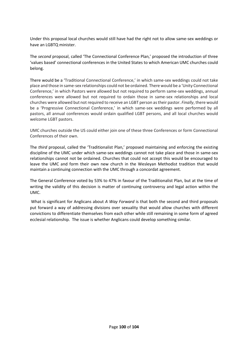Under this proposal local churches would still have had the right not to allow same-sex weddings or have an LGBTQ minister.

The *second* proposal, called 'The Connectional Conference Plan,' proposed the introduction of three 'values based' connectional conferences in the United States to which American UMC churches could belong.

There would be a 'Traditional Connectional Conference,' in which same-sex weddings could not take place and those in same-sex relationships could not be ordained. There would be a 'Unity Connectional Conference,' in which Pastors were allowed but not required to perform same-sex weddings, annual conferences were allowed but not required to ordain those in same-sex relationships and local churches were allowed but not required to receive an LGBT person as their pastor. *Finally*, there would be a 'Progressive Connectional Conference,' in which same-sex weddings were performed by all pastors, all annual conferences would ordain qualified LGBT persons, and all local churches would welcome LGBT pastors.

UMC churches outside the US could either join one of these three Conferences or form Connectional Conferences of their own.

The *third* proposal, called the 'Traditionalist Plan,' proposed maintaining and enforcing the existing discipline of the UMC under which same-sex weddings cannot not take place and those in same-sex relationships cannot not be ordained. Churches that could not accept this would be encouraged to leave the UMC and form their own new church in the Wesleyan Methodist tradition that would maintain a continuing connection with the UMC through a concordat agreement.

The General Conference voted by 53% to 47% in favour of the Traditionalist Plan, but at the time of writing the validity of this decision is matter of continuing controversy and legal action within the UMC.

What is significant for Anglicans about *A Way Forward* is that both the second and third proposals put forward a way of addressing divisions over sexuality that would allow churches with different convictions to differentiate themselves from each other while still remaining in some form of agreed ecclesial relationship. The issue is whether Anglicans could develop something similar.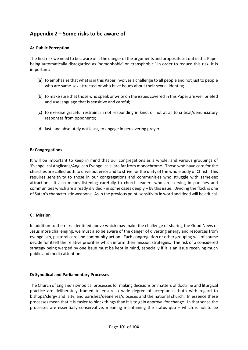# **Appendix 2 – Some risks to be aware of**

## **A: Public Perception**

The first risk we need to be aware of is the danger of the arguments and proposals set out in this Paper being automatically disregarded as 'homophobic' or 'transphobic.' In order to reduce this risk, it is important:

- (a) to emphasize that what is in this Paper involves a challenge to all people and not just to people who are same-sex attracted or who have issues about their sexual identity;
- (b) to make sure that those who speak or write on the issues covered in this Paper are well briefed and use language that is sensitive and careful;
- (c) to exercise graceful restraint in not responding in kind, or not at all to critical/denunciatory responses from opponents;
- (d) last, and absolutely not least, to engage in persevering prayer.

## **B: Congregations**

It will be important to keep in mind that our congregations as a whole, and various groupings of 'Evangelical Anglicans/Anglican Evangelicals' are far from monochrome. Those who have care for the churches are called both to drive out error and to strive for the unity of the whole body of Christ. This requires sensitivity to those in our congregations and communities who struggle with same-sex attraction. It also means listening carefully to church leaders who are serving in parishes and communities which are already divided - in some cases deeply – by this issue. Dividing the flock is one of Satan's characteristic weapons. As in the previous point, sensitivity in word and deed will be critical.

#### **C: Mission**

In addition to the risks identified above which may make the challenge of sharing the Good News of Jesus more challenging, we must also be aware of the danger of diverting energy and resources from evangelism, pastoral care and community action. Each congregation or other grouping will of course decide for itself the relative priorities which inform their mission strategies. The risk of a considered strategy being warped by one issue must be kept in mind, especially if it is an issue receiving much public and media attention.

#### **D: Synodical and Parliamentary Processes**

The Church of England's synodical processes for making decisions on matters of doctrine and liturgical practice are deliberately framed to ensure a wide degree of acceptance, both with regard to bishops/clergy and laity, and parishes/deaneries/dioceses and the national church. In essence these processes mean that it is easier to block things than it is to gain approval for change. In that sense the processes are essentially conservative, meaning maintaining the status quo – which is not to be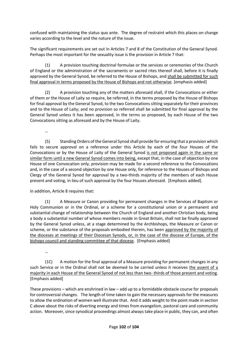confused with maintaining the status quo ante. The degree of restraint which this places on change varies according to the level and the nature of the issue.

The significant requirements are set out in Articles 7 and 8 of the Constitution of the General Synod. Perhaps the most important for the sexuality issue is the provision in Article 7 that:

(1) A provision touching doctrinal formulae or the services or ceremonies of the Church of England or the administration of the sacraments or sacred rites thereof shall, before it is finally approved by the General Synod, be referred to the House of Bishops, and shall be submitted for such final approval in terms proposed by the House of Bishops and not otherwise. [emphasis added]

(2) A provision touching any of the matters aforesaid shall, if the Convocations or either of them or the House of Laity so require, be referred, in the terms proposed by the House of Bishops for final approval by the General Synod, to the two Convocations sitting separately for their provinces and to the House of Laity; and no provision so referred shall be submitted for final approval by the General Synod unless it has been approved, in the terms so proposed, by each House of the two Convocations sitting as aforesaid and by the House of Laity.

…

(5) Standing Orders of the General Synod shall provide for ensuring that a provision which fails to secure approval on a reference under this Article by each of the four Houses of the Convocations or by the House of Laity of the General Synod is not proposed again in the same or similar form until a new General Synod comes into being, except that, in the case of objection by one House of one Convocation only, provision may be made for a second reference to the Convocations and, in the case of a second objection by one House only, for reference to the Houses of Bishops and Clergy of the General Synod for approval by a two-thirds majority of the members of each House present and voting, in lieu of such approval by the four Houses aforesaid. [Emphasis added].

In addition, Article 8 requires that:

(1) A Measure or Canon providing for permanent changes in the Services of Baptism or Holy Communion or in the Ordinal, or a scheme for a constitutional union or a permanent and substantial change of relationship between the Church of England and another Christian body, being a body a substantial number of whose members reside in Great Britain, shall not be finally approved by the General Synod unless, at a stage determined by the Archbishops, the Measure or Canon or scheme, or the substance of the proposals embodied therein, has been approved by the majority of the dioceses at meetings of their Diocesan Synods, or, in the case of the diocese of Europe, of the bishops council and standing committee of that diocese. [Emphasis added]

…

(1C) A motion for the final approval of a Measure providing for permanent changes in any such Service or in the Ordinal shall not be deemed to be carried unless it receives the assent of a majority in each House of the General Synod of not less than two- thirds of those present and voting. [Emphasis added]

These provisions – which are enshrined in law – add up to a formidable obstacle course for proposals for controversial changes. The length of time taken to gain the necessary approvals for the measures to allow the ordination of women well illustrate that. And it adds weight to the point made in section C above about the risks of diverting energy and times from evangelism, pastoral care and community action. Moreover, since synodical proceedings almost always take place in public, they can, and often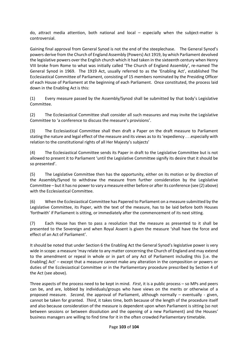do, attract media attention, both national and local – especially when the subject-matter is controversial.

Gaining final approval from General Synod is not the end of the steeplechase. The General Synod's powers derive from the Church of England Assembly (Powers) Act 1919, by which Parliament devolved the legislative powers over the English church which it had taken in the sixteenth century when Henry VIII broke from Rome to what was initially called 'The Church of England Assembly', re-named The General Synod in 1969. The 1919 Act, usually referred to as the 'Enabling Act', established The Ecclesiastical Committee of Parliament, consisting of 15 members nominated by the Presiding Officer of each House of Parliament at the beginning of each Parliament. Once constituted, the process laid down in the Enabling Act is this:

(1) Every measure passed by the Assembly/Synod shall be submitted by that body's Legislative Committee.

(2) The Ecclesiastical Committee shall consider all such measures and may invite the Legislative Committee to 'a conference to discuss the measure's provisions'.

(3) The Ecclesiastical Committee shall then draft a Paper on the draft measure to Parliament stating the nature and legal effect of the measure and its views as to its 'expediency . . .especially with relation to the constitutional rights of all Her Majesty's subjects'

(4) The Ecclesiastical Committee sends its Paper in draft to the Legislative Committee but is not allowed to present it to Parliament 'until the Legislative Committee signify its desire that it should be so presented'.

(5) The Legislative Committee then has the opportunity, either on its motion or by direction of the Assembly/Synod to withdraw the measure from further consideration by the Legislative Committee – but it has no power to vary a measure either before or after its conference (see (2) above) with the Ecclesiastical Committee.

(6) When the Ecclesiastical Committee has Papered to Parliament on a measure submitted by the Legislative Committee, its Paper, with the text of the measure, has to be laid before both Houses 'forthwith' if Parliament is sitting, or immediately after the commencement of its next sitting.

(7) Each House has then to pass a resolution that the measure as presented to it shall be presented to the Sovereign and when Royal Assent is given the measure 'shall have the force and effect of an Act of Parliament'.

It should be noted that under Section 6 the Enabling Act the General Synod's legislative power is very wide in scope: a measure 'may relate to any matter concerning the Church of England and may extend to the amendment or repeal in whole or in part of any Act of Parliament including this [i.e. the Enabling] Act' – except that a measure cannot make any alteration in the composition or powers or duties of the Ecclesiastical Committee or in the Parliamentary procedure prescribed by Section 4 of the Act (see above).

Three aspects of the process need to be kept in mind. *First*, it is a public process – so MPs and peers can be, and are, lobbied by individuals/groups who have views on the merits or otherwise of a proposed measure. *Second*, the approval of Parliament, although normally – eventually - given, cannot be taken for granted. *Third*, it takes time, both because of the length of the procedure itself and also because consideration of the measure is dependent upon when Parliament is sitting (so not between sessions or between dissolution and the opening of a new Parliament) and the Houses' business managers are willing to find time for it in the often crowded Parliamentary timetable.